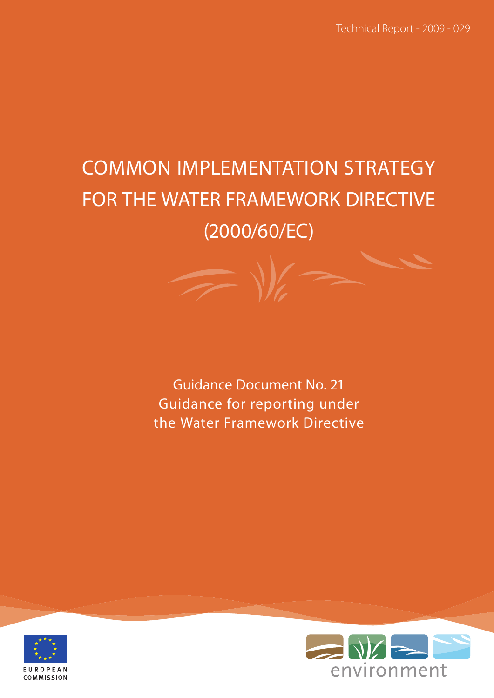# COMMON IMPLEMENTATION STRATEGY FOR THE WATER FRAMEWORK DIRECTIVE (2000/60/EC)

Guidance Document No. 21 Guidance for reporting under the Water Framework Directive



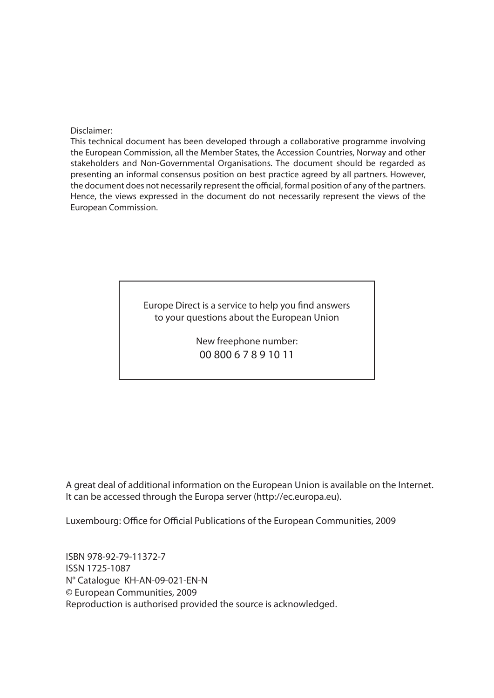Disclaimer:

This technical document has been developed through a collaborative programme involving the European Commission, all the Member States, the Accession Countries, Norway and other stakeholders and Non-Governmental Organisations. The document should be regarded as presenting an informal consensus position on best practice agreed by all partners. However, the document does not necessarily represent the official, formal position of any of the partners. Hence, the views expressed in the document do not necessarily represent the views of the European Commission.

> Europe Direct is a service to help you find answers to your questions about the European Union

> > New freephone number: 00 800 6 7 8 9 10 11

A great deal of additional information on the European Union is available on the Internet. It can be accessed through the Europa server (http://ec.europa.eu).

Luxembourg: Office for Official Publications of the European Communities, 2009

ISBN 978-92-79-11372-7 ISSN 1725-1087 N° Catalogue KH-AN-09-021-EN-N © European Communities, 2009 Reproduction is authorised provided the source is acknowledged.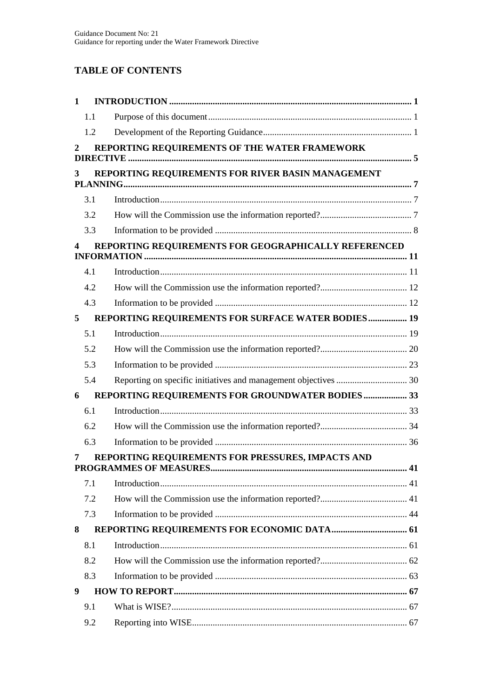# **TABLE OF CONTENTS**

| $\mathbf{1}$ |     |                                                                 |  |
|--------------|-----|-----------------------------------------------------------------|--|
|              | 1.1 |                                                                 |  |
|              | 1.2 |                                                                 |  |
| 2            |     | REPORTING REQUIREMENTS OF THE WATER FRAMEWORK                   |  |
| 3            |     | REPORTING REQUIREMENTS FOR RIVER BASIN MANAGEMENT               |  |
|              |     |                                                                 |  |
|              | 3.1 |                                                                 |  |
|              | 3.2 |                                                                 |  |
|              | 3.3 |                                                                 |  |
| 4            |     | REPORTING REQUIREMENTS FOR GEOGRAPHICALLY REFERENCED            |  |
|              | 4.1 |                                                                 |  |
|              | 4.2 |                                                                 |  |
|              | 4.3 |                                                                 |  |
| 5            |     | REPORTING REQUIREMENTS FOR SURFACE WATER BODIES 19              |  |
|              | 5.1 |                                                                 |  |
|              | 5.2 |                                                                 |  |
|              | 5.3 |                                                                 |  |
|              | 5.4 | Reporting on specific initiatives and management objectives  30 |  |
| 6            |     | REPORTING REQUIREMENTS FOR GROUNDWATER BODIES  33               |  |
|              | 6.1 |                                                                 |  |
|              | 6.2 |                                                                 |  |
|              | 6.3 |                                                                 |  |
| 7            |     | REPORTING REQUIREMENTS FOR PRESSURES, IMPACTS AND               |  |
|              | 7.1 |                                                                 |  |
|              | 7.2 |                                                                 |  |
|              | 7.3 |                                                                 |  |
| 8            |     |                                                                 |  |
|              | 8.1 |                                                                 |  |
|              | 8.2 |                                                                 |  |
|              | 8.3 |                                                                 |  |
| 9            |     |                                                                 |  |
|              | 9.1 |                                                                 |  |
|              | 9.2 |                                                                 |  |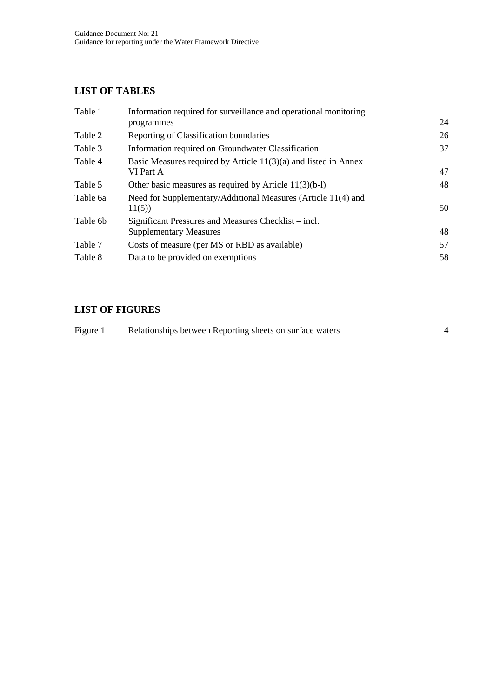# **LIST OF TABLES**

| Table 1  | Information required for surveillance and operational monitoring  |    |
|----------|-------------------------------------------------------------------|----|
|          | programmes                                                        | 24 |
| Table 2  | Reporting of Classification boundaries                            | 26 |
| Table 3  | Information required on Groundwater Classification                | 37 |
| Table 4  | Basic Measures required by Article $11(3)(a)$ and listed in Annex |    |
|          | VI Part A                                                         | 47 |
| Table 5  | Other basic measures as required by Article $11(3)(b-1)$          | 48 |
| Table 6a | Need for Supplementary/Additional Measures (Article 11(4) and     |    |
|          | 11(5)                                                             | 50 |
| Table 6b | Significant Pressures and Measures Checklist – incl.              |    |
|          | <b>Supplementary Measures</b>                                     | 48 |
| Table 7  | Costs of measure (per MS or RBD as available)                     | 57 |
| Table 8  | Data to be provided on exemptions                                 | 58 |

# **LIST OF FIGURES**

| Figure 1 | Relationships between Reporting sheets on surface waters |  |
|----------|----------------------------------------------------------|--|
|----------|----------------------------------------------------------|--|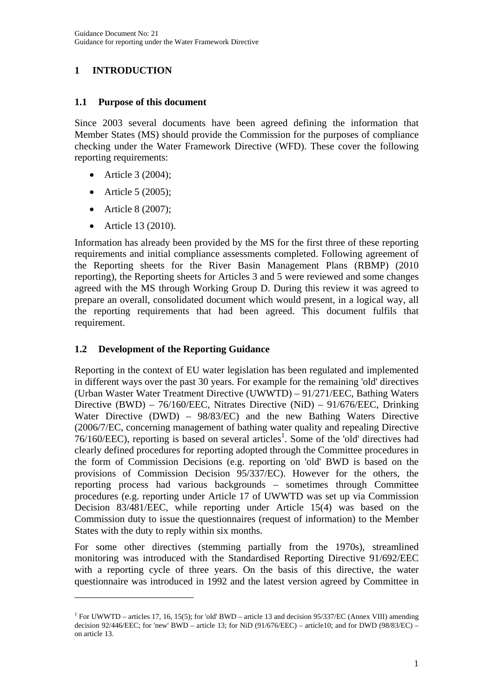# <span id="page-4-0"></span>**1 INTRODUCTION**

## <span id="page-4-1"></span>**1.1 Purpose of this document**

Since 2003 several documents have been agreed defining the information that Member States (MS) should provide the Commission for the purposes of compliance checking under the Water Framework Directive (WFD). These cover the following reporting requirements:

- Article 3 (2004);
- Article 5 (2005);
- Article 8 (2007);
- Article 13 (2010).

 $\overline{a}$ 

Information has already been provided by the MS for the first three of these reporting requirements and initial compliance assessments completed. Following agreement of the Reporting sheets for the River Basin Management Plans (RBMP) (2010 reporting), the Reporting sheets for Articles 3 and 5 were reviewed and some changes agreed with the MS through Working Group D. During this review it was agreed to prepare an overall, consolidated document which would present, in a logical way, all the reporting requirements that had been agreed. This document fulfils that requirement.

## <span id="page-4-2"></span>**1.2 Development of the Reporting Guidance**

Reporting in the context of EU water legislation has been regulated and implemented in different ways over the past 30 years. For example for the remaining 'old' directives (Urban Waster Water Treatment Directive (UWWTD) – 91/271/EEC, Bathing Waters Directive (BWD) – 76/160/EEC, Nitrates Directive (NiD) – 91/676/EEC, Drinking Water Directive (DWD) – 98/83/EC) and the new Bathing Waters Directive (2006/7/EC, concerning management of bathing water quality and repealing Directive 76/160/EEC), reporting is based on several articles<sup>1</sup>. Some of the 'old' directives had clearly defined procedures for reporting adopted through the Committee procedures in the form of Commission Decisions (e.g. reporting on 'old' BWD is based on the provisions of Commission Decision 95/337/EC). However for the others, the reporting process had various backgrounds – sometimes through Committee procedures (e.g. reporting under Article 17 of UWWTD was set up via Commission Decision 83/481/EEC, while reporting under Article 15(4) was based on the Commission duty to issue the questionnaires (request of information) to the Member States with the duty to reply within six months.

For some other directives (stemming partially from the 1970s), streamlined monitoring was introduced with the Standardised Reporting Directive 91/692/EEC with a reporting cycle of three years. On the basis of this directive, the water questionnaire was introduced in 1992 and the latest version agreed by Committee in

<sup>&</sup>lt;sup>1</sup> For UWWTD – articles 17, 16, 15(5); for 'old' BWD – article 13 and decision 95/337/EC (Annex VIII) amending decision 92/446/EEC; for 'new' BWD – article 13; for NiD (91/676/EEC) – article10; and for DWD (98/83/EC) – on article 13.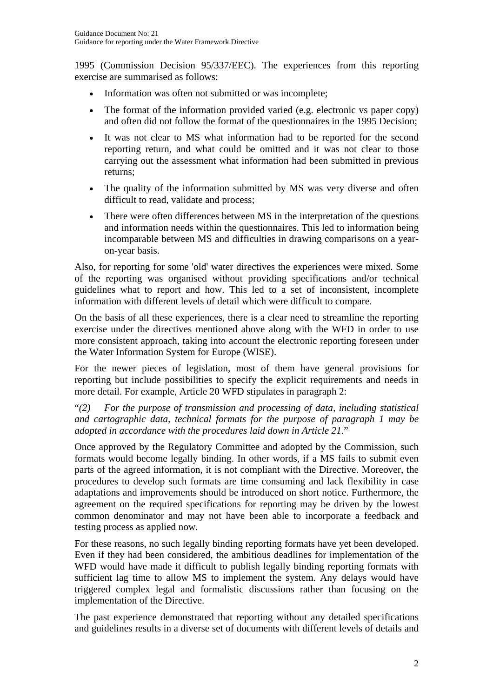1995 (Commission Decision 95/337/EEC). The experiences from this reporting exercise are summarised as follows:

- Information was often not submitted or was incomplete;
- The format of the information provided varied (e.g. electronic vs paper copy) and often did not follow the format of the questionnaires in the 1995 Decision;
- It was not clear to MS what information had to be reported for the second reporting return, and what could be omitted and it was not clear to those carrying out the assessment what information had been submitted in previous returns;
- The quality of the information submitted by MS was very diverse and often difficult to read, validate and process;
- There were often differences between MS in the interpretation of the questions and information needs within the questionnaires. This led to information being incomparable between MS and difficulties in drawing comparisons on a yearon-year basis.

Also, for reporting for some 'old' water directives the experiences were mixed. Some of the reporting was organised without providing specifications and/or technical guidelines what to report and how. This led to a set of inconsistent, incomplete information with different levels of detail which were difficult to compare.

On the basis of all these experiences, there is a clear need to streamline the reporting exercise under the directives mentioned above along with the WFD in order to use more consistent approach, taking into account the electronic reporting foreseen under the Water Information System for Europe (WISE).

For the newer pieces of legislation, most of them have general provisions for reporting but include possibilities to specify the explicit requirements and needs in more detail. For example, Article 20 WFD stipulates in paragraph 2:

"*(2) For the purpose of transmission and processing of data, including statistical and cartographic data, technical formats for the purpose of paragraph 1 may be adopted in accordance with the procedures laid down in Article 21.*"

Once approved by the Regulatory Committee and adopted by the Commission, such formats would become legally binding. In other words, if a MS fails to submit even parts of the agreed information, it is not compliant with the Directive. Moreover, the procedures to develop such formats are time consuming and lack flexibility in case adaptations and improvements should be introduced on short notice. Furthermore, the agreement on the required specifications for reporting may be driven by the lowest common denominator and may not have been able to incorporate a feedback and testing process as applied now.

For these reasons, no such legally binding reporting formats have yet been developed. Even if they had been considered, the ambitious deadlines for implementation of the WFD would have made it difficult to publish legally binding reporting formats with sufficient lag time to allow MS to implement the system. Any delays would have triggered complex legal and formalistic discussions rather than focusing on the implementation of the Directive.

The past experience demonstrated that reporting without any detailed specifications and guidelines results in a diverse set of documents with different levels of details and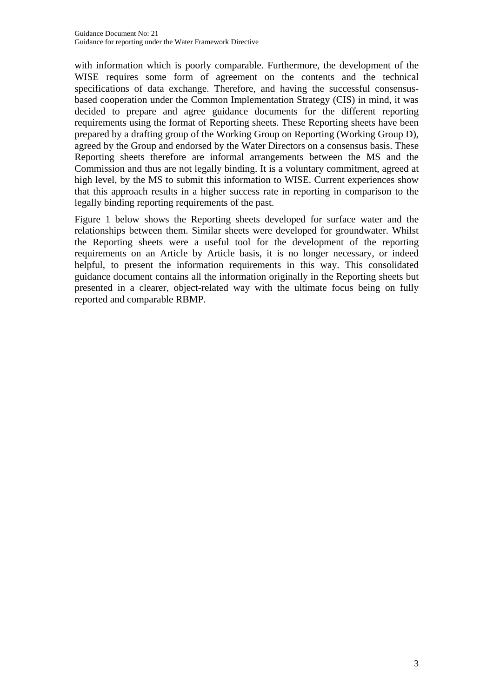with information which is poorly comparable. Furthermore, the development of the WISE requires some form of agreement on the contents and the technical specifications of data exchange. Therefore, and having the successful consensusbased cooperation under the Common Implementation Strategy (CIS) in mind, it was decided to prepare and agree guidance documents for the different reporting requirements using the format of Reporting sheets. These Reporting sheets have been prepared by a drafting group of the Working Group on Reporting (Working Group D), agreed by the Group and endorsed by the Water Directors on a consensus basis. These Reporting sheets therefore are informal arrangements between the MS and the Commission and thus are not legally binding. It is a voluntary commitment, agreed at high level, by the MS to submit this information to WISE. Current experiences show that this approach results in a higher success rate in reporting in comparison to the legally binding reporting requirements of the past.

[Figure 1](#page-7-0) below shows the Reporting sheets developed for surface water and the relationships between them. Similar sheets were developed for groundwater. Whilst the Reporting sheets were a useful tool for the development of the reporting requirements on an Article by Article basis, it is no longer necessary, or indeed helpful, to present the information requirements in this way. This consolidated guidance document contains all the information originally in the Reporting sheets but presented in a clearer, object-related way with the ultimate focus being on fully reported and comparable RBMP.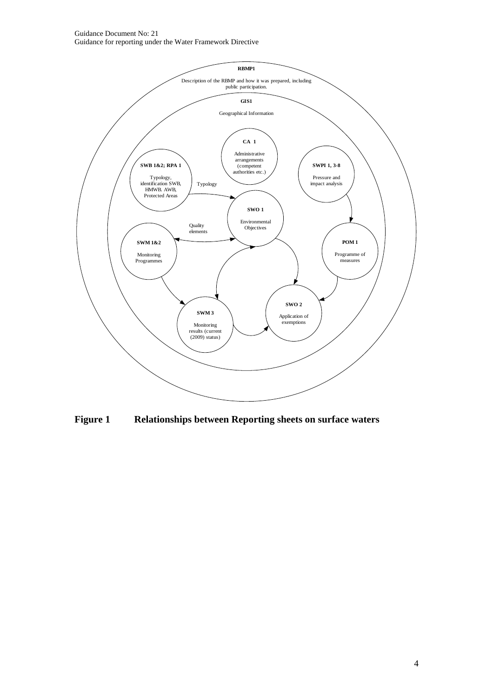Guidance Document No: 21 Guidance for reporting under the Water Framework Directive



<span id="page-7-0"></span>**Figure 1 Relationships between Reporting sheets on surface waters**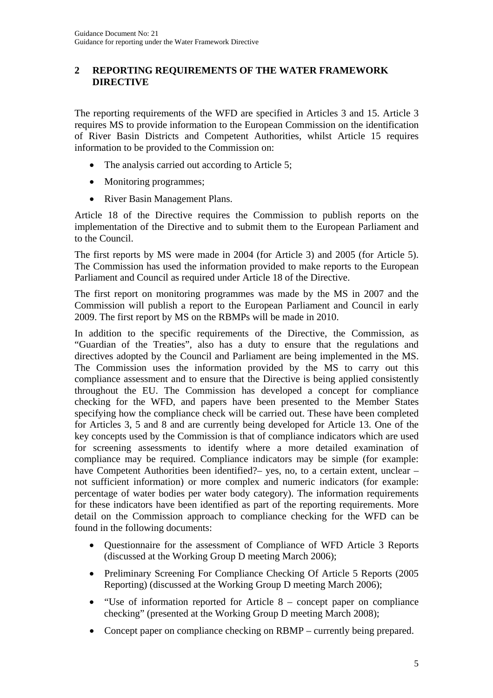#### <span id="page-8-0"></span>**2 REPORTING REQUIREMENTS OF THE WATER FRAMEWORK DIRECTIVE**

The reporting requirements of the WFD are specified in Articles 3 and 15. Article 3 requires MS to provide information to the European Commission on the identification of River Basin Districts and Competent Authorities, whilst Article 15 requires information to be provided to the Commission on:

- The analysis carried out according to Article 5:
- Monitoring programmes;
- River Basin Management Plans.

Article 18 of the Directive requires the Commission to publish reports on the implementation of the Directive and to submit them to the European Parliament and to the Council.

The first reports by MS were made in 2004 (for Article 3) and 2005 (for Article 5). The Commission has used the information provided to make reports to the European Parliament and Council as required under Article 18 of the Directive.

The first report on monitoring programmes was made by the MS in 2007 and the Commission will publish a report to the European Parliament and Council in early 2009. The first report by MS on the RBMPs will be made in 2010.

In addition to the specific requirements of the Directive, the Commission, as "Guardian of the Treaties", also has a duty to ensure that the regulations and directives adopted by the Council and Parliament are being implemented in the MS. The Commission uses the information provided by the MS to carry out this compliance assessment and to ensure that the Directive is being applied consistently throughout the EU. The Commission has developed a concept for compliance checking for the WFD, and papers have been presented to the Member States specifying how the compliance check will be carried out. These have been completed for Articles 3, 5 and 8 and are currently being developed for Article 13. One of the key concepts used by the Commission is that of compliance indicators which are used for screening assessments to identify where a more detailed examination of compliance may be required. Compliance indicators may be simple (for example: have Competent Authorities been identified?– yes, no, to a certain extent, unclear – not sufficient information) or more complex and numeric indicators (for example: percentage of water bodies per water body category). The information requirements for these indicators have been identified as part of the reporting requirements. More detail on the Commission approach to compliance checking for the WFD can be found in the following documents:

- Questionnaire for the assessment of Compliance of WFD Article 3 Reports (discussed at the Working Group D meeting March 2006);
- Preliminary Screening For Compliance Checking Of Article 5 Reports (2005) Reporting) (discussed at the Working Group D meeting March 2006);
- "Use of information reported for Article 8 concept paper on compliance checking" (presented at the Working Group D meeting March 2008);
- Concept paper on compliance checking on RBMP currently being prepared.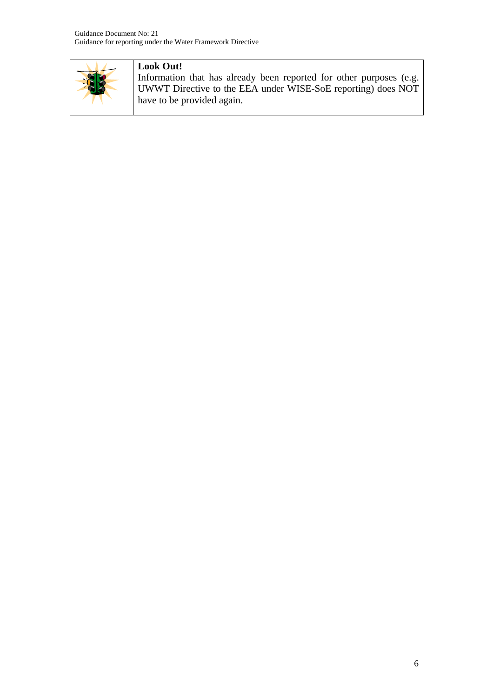

## **Look Out!**

Information that has already been reported for other purposes (e.g. UWWT Directive to the EEA under WISE-SoE reporting) does NOT have to be provided again.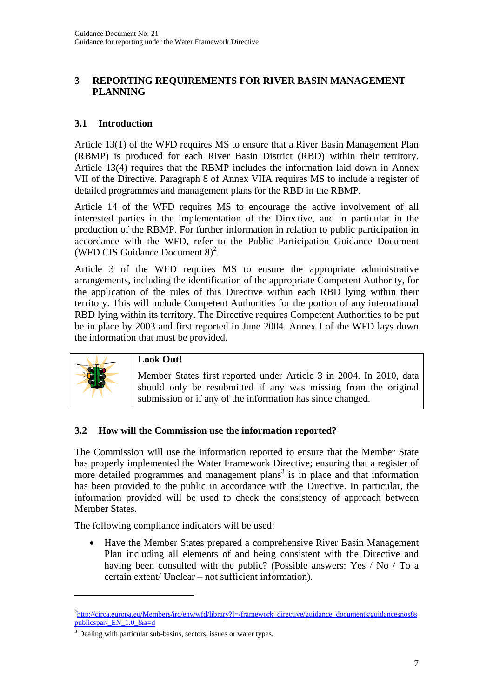## <span id="page-10-0"></span>**3 REPORTING REQUIREMENTS FOR RIVER BASIN MANAGEMENT PLANNING**

## <span id="page-10-1"></span>**3.1 Introduction**

Article 13(1) of the WFD requires MS to ensure that a River Basin Management Plan (RBMP) is produced for each River Basin District (RBD) within their territory. Article 13(4) requires that the RBMP includes the information laid down in Annex VII of the Directive. Paragraph 8 of Annex VIIA requires MS to include a register of detailed programmes and management plans for the RBD in the RBMP.

Article 14 of the WFD requires MS to encourage the active involvement of all interested parties in the implementation of the Directive, and in particular in the production of the RBMP. For further information in relation to public participation in accordance with the WFD, refer to the Public Participation Guidance Document (WFD CIS Guidance Document  $8)^2$ .

Article 3 of the WFD requires MS to ensure the appropriate administrative arrangements, including the identification of the appropriate Competent Authority, for the application of the rules of this Directive within each RBD lying within their territory. This will include Competent Authorities for the portion of any international RBD lying within its territory. The Directive requires Competent Authorities to be put be in place by 2003 and first reported in June 2004. Annex I of the WFD lays down the information that must be provided.



 $\overline{a}$ 

#### **Look Out!**

Member States first reported under Article 3 in 2004. In 2010, data should only be resubmitted if any was missing from the original submission or if any of the information has since changed.

#### <span id="page-10-2"></span>**3.2 How will the Commission use the information reported?**

The Commission will use the information reported to ensure that the Member State has properly implemented the Water Framework Directive; ensuring that a register of more detailed programmes and management plans<sup>3</sup> is in place and that information has been provided to the public in accordance with the Directive. In particular, the information provided will be used to check the consistency of approach between Member States.

The following compliance indicators will be used:

• Have the Member States prepared a comprehensive River Basin Management Plan including all elements of and being consistent with the Directive and having been consulted with the public? (Possible answers: Yes / No / To a certain extent/ Unclear – not sufficient information).

<sup>&</sup>lt;sup>2</sup>[http://circa.europa.eu/Members/irc/env/wfd/library?l=/framework\\_directive/guidance\\_documents/guidancesnos8s](http://circa.europa.eu/Members/irc/env/wfd/library?l=/framework_directive/guidance_documents/guidancesnos8spublicspar/_EN_1.0_&a=d) [publicspar/\\_EN\\_1.0\\_&a=d](http://circa.europa.eu/Members/irc/env/wfd/library?l=/framework_directive/guidance_documents/guidancesnos8spublicspar/_EN_1.0_&a=d)

<sup>&</sup>lt;sup>3</sup> Dealing with particular sub-basins, sectors, issues or water types.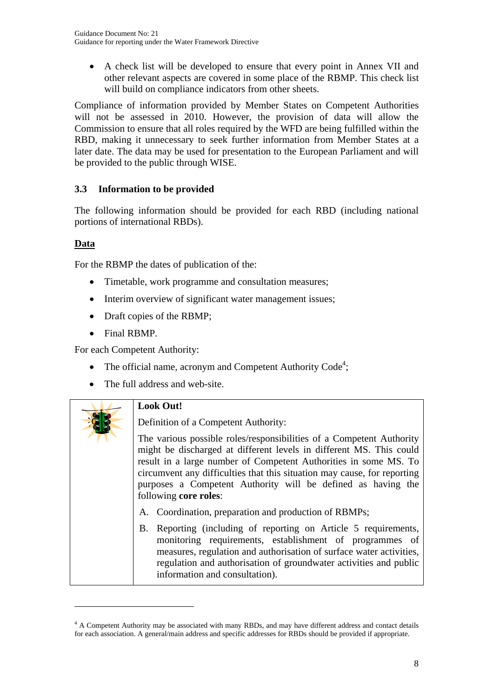• A check list will be developed to ensure that every point in Annex VII and other relevant aspects are covered in some place of the RBMP. This check list will build on compliance indicators from other sheets.

Compliance of information provided by Member States on Competent Authorities will not be assessed in 2010. However, the provision of data will allow the Commission to ensure that all roles required by the WFD are being fulfilled within the RBD, making it unnecessary to seek further information from Member States at a later date. The data may be used for presentation to the European Parliament and will be provided to the public through WISE.

# <span id="page-11-0"></span>**3.3 Information to be provided**

The following information should be provided for each RBD (including national portions of international RBDs).

# **Data**

For the RBMP the dates of publication of the:

- Timetable, work programme and consultation measures;
- Interim overview of significant water management issues;
- Draft copies of the RBMP;
- Final RBMP.

For each Competent Authority:

- The official name, acronym and Competent Authority Code<sup>4</sup>;
- The full address and web-site.



 $\overline{a}$ 

# **Look Out!**

Definition of a Competent Authority:

The various possible roles/responsibilities of a Competent Authority might be discharged at different levels in different MS. This could result in a large number of Competent Authorities in some MS. To circumvent any difficulties that this situation may cause, for reporting purposes a Competent Authority will be defined as having the following **core roles**:

- A. Coordination, preparation and production of RBMPs;
- B. Reporting (including of reporting on Article 5 requirements, monitoring requirements, establishment of programmes of measures, regulation and authorisation of surface water activities, regulation and authorisation of groundwater activities and public information and consultation).

<sup>&</sup>lt;sup>4</sup> A Competent Authority may be associated with many RBDs, and may have different address and contact details for each association. A general/main address and specific addresses for RBDs should be provided if appropriate.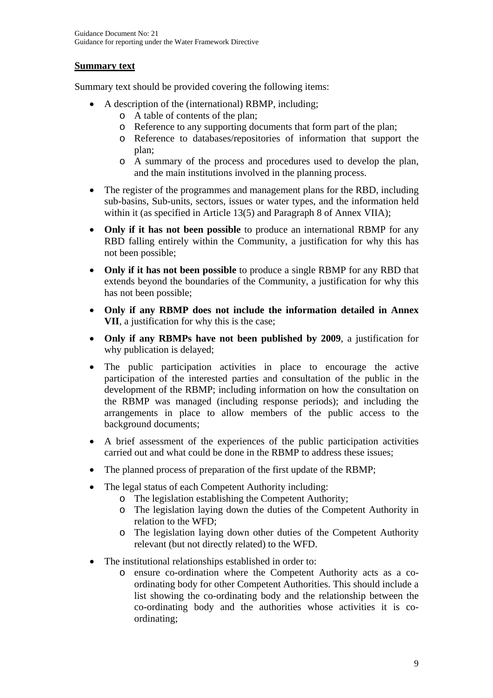## **Summary text**

Summary text should be provided covering the following items:

- A description of the (international) RBMP, including;
	- o A table of contents of the plan;
	- o Reference to any supporting documents that form part of the plan;
	- o Reference to databases/repositories of information that support the plan;
	- o A summary of the process and procedures used to develop the plan, and the main institutions involved in the planning process.
- The register of the programmes and management plans for the RBD, including sub-basins, Sub-units, sectors, issues or water types, and the information held within it (as specified in Article 13(5) and Paragraph 8 of Annex VIIA);
- **Only if it has not been possible** to produce an international RBMP for any RBD falling entirely within the Community, a justification for why this has not been possible;
- **Only if it has not been possible** to produce a single RBMP for any RBD that extends beyond the boundaries of the Community, a justification for why this has not been possible;
- **Only if any RBMP does not include the information detailed in Annex VII**, a justification for why this is the case;
- **Only if any RBMPs have not been published by 2009**, a justification for why publication is delayed;
- The public participation activities in place to encourage the active participation of the interested parties and consultation of the public in the development of the RBMP; including information on how the consultation on the RBMP was managed (including response periods); and including the arrangements in place to allow members of the public access to the background documents;
- A brief assessment of the experiences of the public participation activities carried out and what could be done in the RBMP to address these issues;
- The planned process of preparation of the first update of the RBMP;
- The legal status of each Competent Authority including:
	- o The legislation establishing the Competent Authority;
	- o The legislation laying down the duties of the Competent Authority in relation to the WFD;
	- o The legislation laying down other duties of the Competent Authority relevant (but not directly related) to the WFD.
- The institutional relationships established in order to:
	- o ensure co-ordination where the Competent Authority acts as a coordinating body for other Competent Authorities. This should include a list showing the co-ordinating body and the relationship between the co-ordinating body and the authorities whose activities it is coordinating;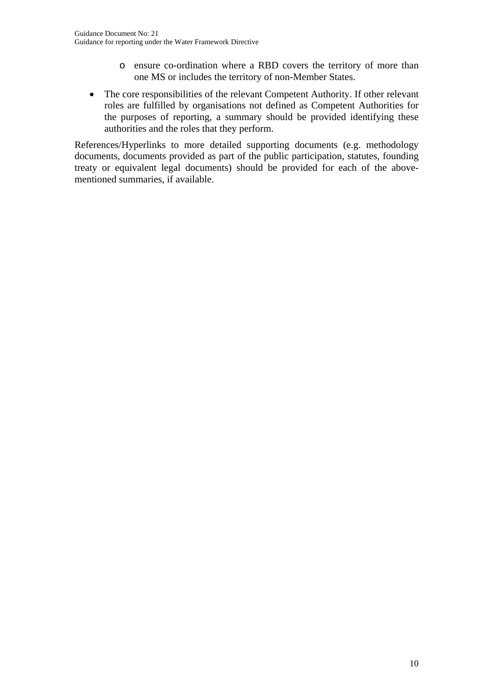- o ensure co-ordination where a RBD covers the territory of more than one MS or includes the territory of non-Member States.
- The core responsibilities of the relevant Competent Authority. If other relevant roles are fulfilled by organisations not defined as Competent Authorities for the purposes of reporting, a summary should be provided identifying these authorities and the roles that they perform.

References/Hyperlinks to more detailed supporting documents (e.g. methodology documents, documents provided as part of the public participation, statutes, founding treaty or equivalent legal documents) should be provided for each of the abovementioned summaries, if available.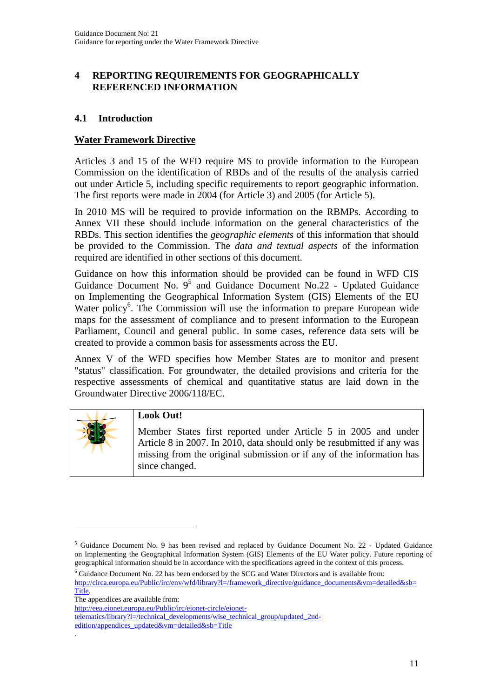## <span id="page-14-0"></span>**4 REPORTING REQUIREMENTS FOR GEOGRAPHICALLY REFERENCED INFORMATION**

## <span id="page-14-1"></span>**4.1 Introduction**

#### **Water Framework Directive**

Articles 3 and 15 of the WFD require MS to provide information to the European Commission on the identification of RBDs and of the results of the analysis carried out under Article 5, including specific requirements to report geographic information. The first reports were made in 2004 (for Article 3) and 2005 (for Article 5).

In 2010 MS will be required to provide information on the RBMPs. According to Annex VII these should include information on the general characteristics of the RBDs. This section identifies the *geographic elements* of this information that should be provided to the Commission. The *data and textual aspects* of the information required are identified in other sections of this document.

Guidance on how this information should be provided can be found in WFD CIS Guidance Document No.  $9^5$  and Guidance Document No. 22 - Updated Guidance on Implementing the Geographical Information System (GIS) Elements of the EU Water policy<sup>6</sup>. The Commission will use the information to prepare European wide maps for the assessment of compliance and to present information to the European Parliament, Council and general public. In some cases, reference data sets will be created to provide a common basis for assessments across the EU.

Annex V of the WFD specifies how Member States are to monitor and present "status" classification. For groundwater, the detailed provisions and criteria for the respective assessments of chemical and quantitative status are laid down in the Groundwater Directive 2006/118/EC.



 $\overline{a}$ 

.

#### **Look Out!**

Member States first reported under Article 5 in 2005 and under Article 8 in 2007. In 2010, data should only be resubmitted if any was missing from the original submission or if any of the information has since changed.

 $<sup>6</sup>$  Guidance Document No. 22 has been endorsed by the SCG and Water Directors and is available from:</sup> [http://circa.europa.eu/Public/irc/env/wfd/library?l=/framework\\_directive/guidance\\_documents&vm=detailed&sb=](http://circa.europa.eu/Public/irc/env/wfd/library?l=/framework_directive/guidance_documents&vm=detailed&sb=Title) [Title.](http://circa.europa.eu/Public/irc/env/wfd/library?l=/framework_directive/guidance_documents&vm=detailed&sb=Title) 

[telematics/library?l=/technical\\_developments/wise\\_technical\\_group/updated\\_2nd](http://eea.eionet.europa.eu/Public/irc/eionet-circle/eionet-telematics/library?l=/technical_developments/wise_technical_group/updated_2nd-edition/appendices_updated&vm=detailed&sb=Title)[edition/appendices\\_updated&vm=detailed&sb=Title](http://eea.eionet.europa.eu/Public/irc/eionet-circle/eionet-telematics/library?l=/technical_developments/wise_technical_group/updated_2nd-edition/appendices_updated&vm=detailed&sb=Title)

<sup>&</sup>lt;sup>5</sup> Guidance Document No. 9 has been revised and replaced by Guidance Document No. 22 - Updated Guidance on Implementing the Geographical Information System (GIS) Elements of the EU Water policy. Future reporting of geographical information should be in accordance with the specifications agreed in the context of this process.

The appendices are available from:

[http://eea.eionet.europa.eu/Public/irc/eionet-circle/eionet-](http://eea.eionet.europa.eu/Public/irc/eionet-circle/eionet-telematics/library?l=/technical_developments/wise_technical_group/updated_2nd-edition/appendices_updated&vm=detailed&sb=Title)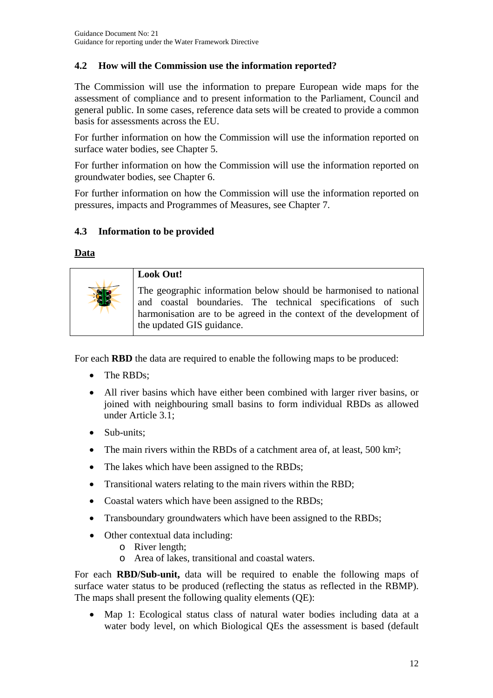# <span id="page-15-0"></span>**4.2 How will the Commission use the information reported?**

The Commission will use the information to prepare European wide maps for the assessment of compliance and to present information to the Parliament, Council and general public. In some cases, reference data sets will be created to provide a common basis for assessments across the EU.

For further information on how the Commission will use the information reported on surface water bodies, see Chapter 5.

For further information on how the Commission will use the information reported on groundwater bodies, see Chapter 6.

For further information on how the Commission will use the information reported on pressures, impacts and Programmes of Measures, see Chapter 7.

# <span id="page-15-1"></span>**4.3 Information to be provided**

## **Data**



#### **Look Out!**

The geographic information below should be harmonised to national and coastal boundaries. The technical specifications of such harmonisation are to be agreed in the context of the development of the updated GIS guidance.

For each **RBD** the data are required to enable the following maps to be produced:

- The RBDs:
- All river basins which have either been combined with larger river basins, or joined with neighbouring small basins to form individual RBDs as allowed under Article 3.1;
- Sub-units:
- The main rivers within the RBDs of a catchment area of, at least, 500 km<sup>2</sup>;
- The lakes which have been assigned to the RBDs;
- Transitional waters relating to the main rivers within the RBD;
- Coastal waters which have been assigned to the RBDs;
- Transboundary groundwaters which have been assigned to the RBDs;
- Other contextual data including:
	- o River length;
	- o Area of lakes, transitional and coastal waters.

For each **RBD/Sub-unit,** data will be required to enable the following maps of surface water status to be produced (reflecting the status as reflected in the RBMP). The maps shall present the following quality elements (QE):

Map 1: Ecological status class of natural water bodies including data at a water body level, on which Biological QEs the assessment is based (default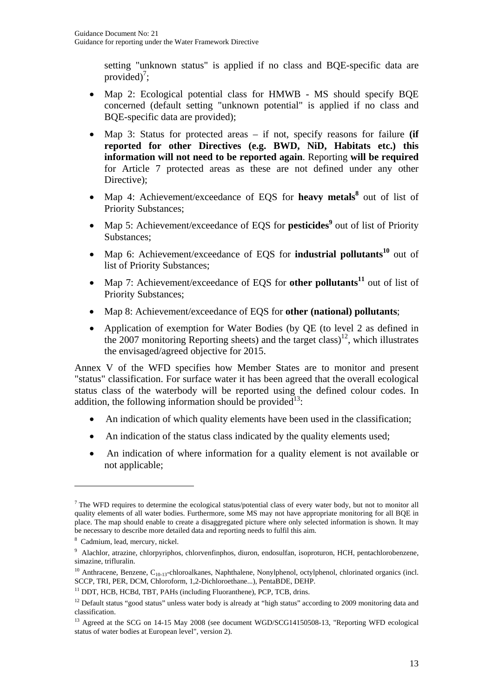setting "unknown status" is applied if no class and BQE-specific data are provided)<sup>7</sup>;

- Map 2: Ecological potential class for HMWB MS should specify BQE concerned (default setting "unknown potential" is applied if no class and BQE-specific data are provided);
- Map 3: Status for protected areas if not, specify reasons for failure **(if reported for other Directives (e.g. BWD, NiD, Habitats etc.) this information will not need to be reported again**. Reporting **will be required** for Article 7 protected areas as these are not defined under any other Directive);
- Map 4: Achievement/exceedance of EQS for **heavy metals**<sup>8</sup> out of list of Priority Substances;
- Map 5: Achievement/exceedance of EQS for **pesticides<sup>9</sup>** out of list of Priority Substances;
- Map 6: Achievement/exceedance of EQS for **industrial pollutants**<sup>10</sup> out of list of Priority Substances;
- Map 7: Achievement/exceedance of EQS for **other pollutants**<sup>11</sup> out of list of Priority Substances;
- Map 8: Achievement/exceedance of EQS for **other (national) pollutants**;
- Application of exemption for Water Bodies (by QE (to level 2 as defined in the 2007 monitoring Reporting sheets) and the target class)<sup>12</sup>, which illustrates the envisaged/agreed objective for 2015.

Annex V of the WFD specifies how Member States are to monitor and present "status" classification. For surface water it has been agreed that the overall ecological status class of the waterbody will be reported using the defined colour codes. In addition, the following information should be provided<sup>13</sup>:

- An indication of which quality elements have been used in the classification;
- An indication of the status class indicated by the quality elements used;
- An indication of where information for a quality element is not available or not applicable;

 $<sup>7</sup>$  The WFD requires to determine the ecological status/potential class of every water body, but not to monitor all</sup> quality elements of all water bodies. Furthermore, some MS may not have appropriate monitoring for all BQE in place. The map should enable to create a disaggregated picture where only selected information is shown. It may be necessary to describe more detailed data and reporting needs to fulfil this aim.

<sup>8</sup> Cadmium, lead, mercury, nickel.

<sup>9</sup> Alachlor, atrazine, chlorpyriphos, chlorvenfinphos, diuron, endosulfan, isoproturon, HCH, pentachlorobenzene, simazine, trifluralin.

 $10$  Anthracene, Benzene, C<sub>10-13</sub>-chloroalkanes, Naphthalene, Nonylphenol, octylphenol, chlorinated organics (incl. SCCP, TRI, PER, DCM, Chloroform, 1,2-Dichloroethane...), PentaBDE, DEHP.

<sup>&</sup>lt;sup>11</sup> DDT, HCB, HCBd, TBT, PAHs (including Fluoranthene), PCP, TCB, drins.

<sup>&</sup>lt;sup>12</sup> Default status "good status" unless water body is already at "high status" according to 2009 monitoring data and classification.

<sup>&</sup>lt;sup>13</sup> Agreed at the SCG on 14-15 May 2008 (see document WGD/SCG14150508-13, "Reporting WFD ecological status of water bodies at European level", version 2).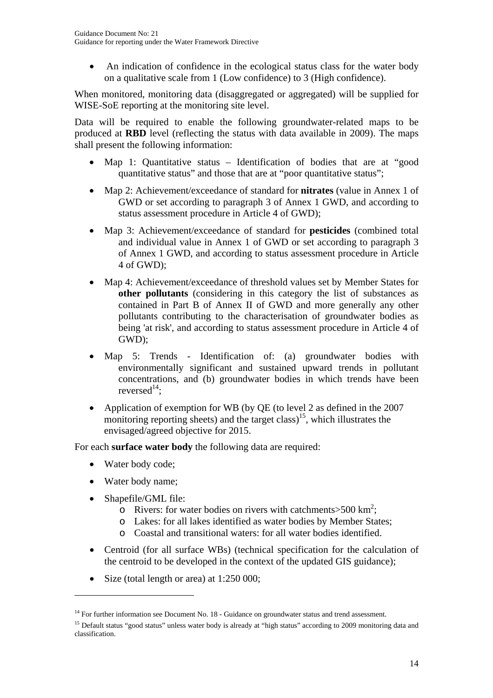An indication of confidence in the ecological status class for the water body on a qualitative scale from 1 (Low confidence) to 3 (High confidence).

When monitored, monitoring data (disaggregated or aggregated) will be supplied for WISE-SoE reporting at the monitoring site level.

Data will be required to enable the following groundwater-related maps to be produced at **RBD** level (reflecting the status with data available in 2009). The maps shall present the following information:

- Map 1: Quantitative status Identification of bodies that are at "good quantitative status" and those that are at "poor quantitative status";
- Map 2: Achievement/exceedance of standard for **nitrates** (value in Annex 1 of GWD or set according to paragraph 3 of Annex 1 GWD, and according to status assessment procedure in Article 4 of GWD);
- Map 3: Achievement/exceedance of standard for **pesticides** (combined total and individual value in Annex 1 of GWD or set according to paragraph 3 of Annex 1 GWD, and according to status assessment procedure in Article 4 of GWD);
- Map 4: Achievement/exceedance of threshold values set by Member States for **other pollutants** (considering in this category the list of substances as contained in Part B of Annex II of GWD and more generally any other pollutants contributing to the characterisation of groundwater bodies as being 'at risk', and according to status assessment procedure in Article 4 of GWD);
- Map 5: Trends Identification of: (a) groundwater bodies with environmentally significant and sustained upward trends in pollutant concentrations, and (b) groundwater bodies in which trends have been reversed $^{14}$ ;
- Application of exemption for WB (by OE (to level 2 as defined in the 2007) monitoring reporting sheets) and the target class)<sup>15</sup>, which illustrates the envisaged/agreed objective for 2015.

For each **surface water body** the following data are required:

- Water body code;
- Water body name;
- Shapefile/GML file:

- No Rivers: for water bodies on rivers with catchments  $>500 \text{ km}^2$ ;
- o Lakes: for all lakes identified as water bodies by Member States;
- o Coastal and transitional waters: for all water bodies identified.
- Centroid (for all surface WBs) (technical specification for the calculation of the centroid to be developed in the context of the updated GIS guidance);
- Size (total length or area) at 1:250 000;

<sup>&</sup>lt;sup>14</sup> For further information see Document No. 18 - Guidance on groundwater status and trend assessment.

<sup>&</sup>lt;sup>15</sup> Default status "good status" unless water body is already at "high status" according to 2009 monitoring data and classification.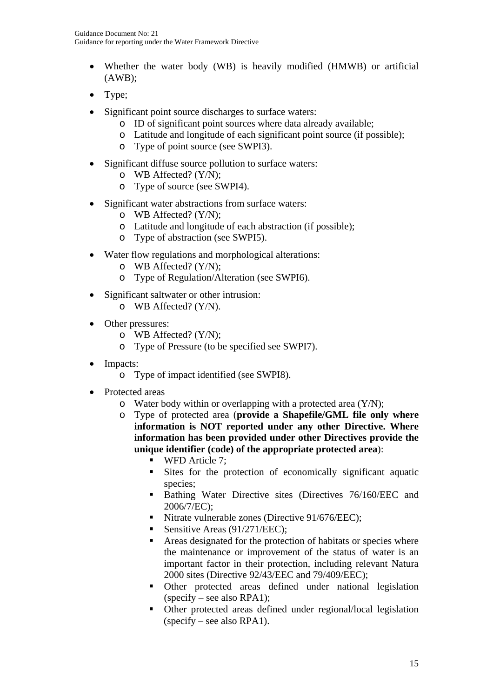- Whether the water body (WB) is heavily modified (HMWB) or artificial (AWB);
- Type;
- Significant point source discharges to surface waters:
	- o ID of significant point sources where data already available;
	- o Latitude and longitude of each significant point source (if possible);
	- o Type of point source (see SWPI3).
- Significant diffuse source pollution to surface waters:
	- o WB Affected? (Y/N);
	- o Type of source (see SWPI4).
- Significant water abstractions from surface waters:
	- o WB Affected? (Y/N);
	- o Latitude and longitude of each abstraction (if possible);
	- o Type of abstraction (see SWPI5).
- Water flow regulations and morphological alterations:
	- o WB Affected? (Y/N);
	- o Type of Regulation/Alteration (see SWPI6).
- Significant saltwater or other intrusion:
	- o WB Affected? (Y/N).
- Other pressures:
	- o WB Affected? (Y/N);
	- o Type of Pressure (to be specified see SWPI7).
- Impacts:
	- o Type of impact identified (see SWPI8).
- Protected areas
	- $\circ$  Water body within or overlapping with a protected area  $(Y/N)$ ;
	- o Type of protected area (**provide a Shapefile/GML file only where information is NOT reported under any other Directive. Where information has been provided under other Directives provide the unique identifier (code) of the appropriate protected area**):
		- WFD Article 7;
		- Sites for the protection of economically significant aquatic species;
		- Bathing Water Directive sites (Directives 76/160/EEC and 2006/7/EC);
		- Nitrate vulnerable zones (Directive 91/676/EEC);
		- Sensitive Areas (91/271/EEC);
		- Areas designated for the protection of habitats or species where the maintenance or improvement of the status of water is an important factor in their protection, including relevant Natura 2000 sites (Directive 92/43/EEC and 79/409/EEC);
		- Other protected areas defined under national legislation  $(specify - see also RPA1);$
		- Other protected areas defined under regional/local legislation (specify – see also RPA1).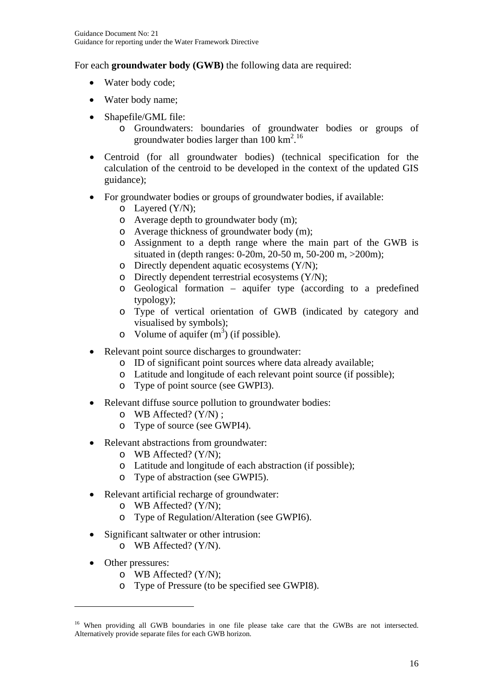For each **groundwater body (GWB)** the following data are required:

- Water body code;
- Water body name;
- Shapefile/GML file:
	- o Groundwaters: boundaries of groundwater bodies or groups of groundwater bodies larger than  $100 \text{ km}^2$ .<sup>16</sup>
- Centroid (for all groundwater bodies) (technical specification for the calculation of the centroid to be developed in the context of the updated GIS guidance);
- For groundwater bodies or groups of groundwater bodies, if available:
	- o Layered (Y/N);
	- o Average depth to groundwater body (m);
	- o Average thickness of groundwater body (m);
	- o Assignment to a depth range where the main part of the GWB is situated in (depth ranges: 0-20m, 20-50 m, 50-200 m, >200m);
	- o Directly dependent aquatic ecosystems (Y/N);
	- o Directly dependent terrestrial ecosystems (Y/N);
	- o Geological formation aquifer type (according to a predefined typology);
	- o Type of vertical orientation of GWB (indicated by category and visualised by symbols);
	- o Volume of aquifer  $(m^3)$  (if possible).
- Relevant point source discharges to groundwater:
	- o ID of significant point sources where data already available;
	- o Latitude and longitude of each relevant point source (if possible);
	- o Type of point source (see GWPI3).
- Relevant diffuse source pollution to groundwater bodies:
	- o WB Affected? (Y/N) ;
	- o Type of source (see GWPI4).
- Relevant abstractions from groundwater:
	- o WB Affected? (Y/N);
	- o Latitude and longitude of each abstraction (if possible);
	- o Type of abstraction (see GWPI5).
- Relevant artificial recharge of groundwater:
	- o WB Affected? (Y/N);
	- o Type of Regulation/Alteration (see GWPI6).
- Significant saltwater or other intrusion:
	- o WB Affected? (Y/N).
- Other pressures:

- o WB Affected? (Y/N);
- o Type of Pressure (to be specified see GWPI8).

<sup>&</sup>lt;sup>16</sup> When providing all GWB boundaries in one file please take care that the GWBs are not intersected. Alternatively provide separate files for each GWB horizon.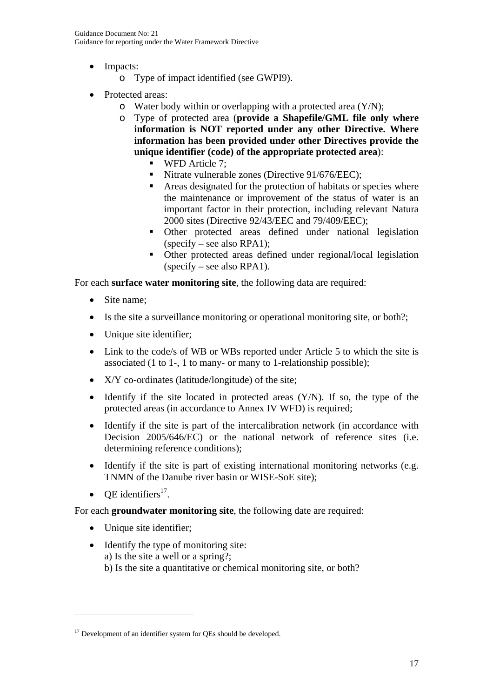- Impacts:
	- o Type of impact identified (see GWPI9).
- Protected areas:
	- $\circ$  Water body within or overlapping with a protected area  $(Y/N)$ :
	- o Type of protected area (**provide a Shapefile/GML file only where information is NOT reported under any other Directive. Where information has been provided under other Directives provide the unique identifier (code) of the appropriate protected area**):
		- WFD Article 7;
		- Nitrate vulnerable zones (Directive 91/676/EEC);
		- Areas designated for the protection of habitats or species where the maintenance or improvement of the status of water is an important factor in their protection, including relevant Natura 2000 sites (Directive 92/43/EEC and 79/409/EEC);
		- Other protected areas defined under national legislation (specify – see also RPA1);
		- Other protected areas defined under regional/local legislation (specify – see also RPA1).

For each **surface water monitoring site**, the following data are required:

- Site name:
- Is the site a surveillance monitoring or operational monitoring site, or both?;
- Unique site identifier;
- Link to the code/s of WB or WBs reported under Article 5 to which the site is associated (1 to 1-, 1 to many- or many to 1-relationship possible);
- X/Y co-ordinates (latitude/longitude) of the site;
- Identify if the site located in protected areas  $(Y/N)$ . If so, the type of the protected areas (in accordance to Annex IV WFD) is required;
- Identify if the site is part of the intercalibration network (in accordance with Decision 2005/646/EC) or the national network of reference sites (i.e. determining reference conditions);
- Identify if the site is part of existing international monitoring networks (e.g. TNMN of the Danube river basin or WISE-SoE site);
- OE identifiers $^{17}$ .

 $\overline{a}$ 

For each **groundwater monitoring site**, the following date are required:

- Unique site identifier;
- Identify the type of monitoring site:
	- a) Is the site a well or a spring?;
	- b) Is the site a quantitative or chemical monitoring site, or both?

 $17$  Development of an identifier system for OEs should be developed.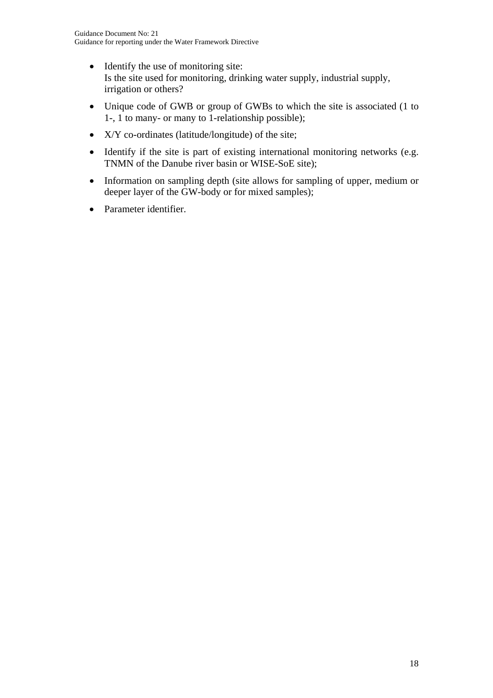- Identify the use of monitoring site: Is the site used for monitoring, drinking water supply, industrial supply, irrigation or others?
- Unique code of GWB or group of GWBs to which the site is associated (1 to 1-, 1 to many- or many to 1-relationship possible);
- X/Y co-ordinates (latitude/longitude) of the site;
- Identify if the site is part of existing international monitoring networks (e.g. TNMN of the Danube river basin or WISE-SoE site);
- Information on sampling depth (site allows for sampling of upper, medium or deeper layer of the GW-body or for mixed samples);
- Parameter identifier.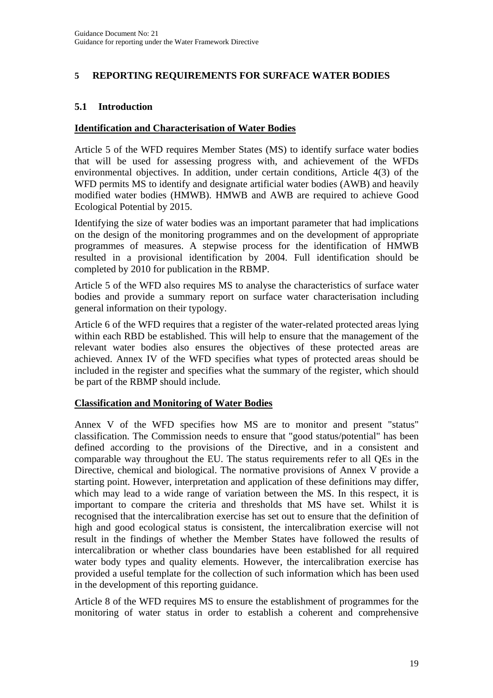## <span id="page-22-0"></span>**5 REPORTING REQUIREMENTS FOR SURFACE WATER BODIES**

## <span id="page-22-1"></span>**5.1 Introduction**

#### **Identification and Characterisation of Water Bodies**

Article 5 of the WFD requires Member States (MS) to identify surface water bodies that will be used for assessing progress with, and achievement of the WFDs environmental objectives. In addition, under certain conditions, Article 4(3) of the WFD permits MS to identify and designate artificial water bodies (AWB) and heavily modified water bodies (HMWB). HMWB and AWB are required to achieve Good Ecological Potential by 2015.

Identifying the size of water bodies was an important parameter that had implications on the design of the monitoring programmes and on the development of appropriate programmes of measures. A stepwise process for the identification of HMWB resulted in a provisional identification by 2004. Full identification should be completed by 2010 for publication in the RBMP.

Article 5 of the WFD also requires MS to analyse the characteristics of surface water bodies and provide a summary report on surface water characterisation including general information on their typology.

Article 6 of the WFD requires that a register of the water-related protected areas lying within each RBD be established. This will help to ensure that the management of the relevant water bodies also ensures the objectives of these protected areas are achieved. Annex IV of the WFD specifies what types of protected areas should be included in the register and specifies what the summary of the register, which should be part of the RBMP should include.

#### **Classification and Monitoring of Water Bodies**

Annex V of the WFD specifies how MS are to monitor and present "status" classification. The Commission needs to ensure that "good status/potential" has been defined according to the provisions of the Directive, and in a consistent and comparable way throughout the EU. The status requirements refer to all QEs in the Directive, chemical and biological. The normative provisions of Annex V provide a starting point. However, interpretation and application of these definitions may differ, which may lead to a wide range of variation between the MS. In this respect, it is important to compare the criteria and thresholds that MS have set. Whilst it is recognised that the intercalibration exercise has set out to ensure that the definition of high and good ecological status is consistent, the intercalibration exercise will not result in the findings of whether the Member States have followed the results of intercalibration or whether class boundaries have been established for all required water body types and quality elements. However, the intercalibration exercise has provided a useful template for the collection of such information which has been used in the development of this reporting guidance.

Article 8 of the WFD requires MS to ensure the establishment of programmes for the monitoring of water status in order to establish a coherent and comprehensive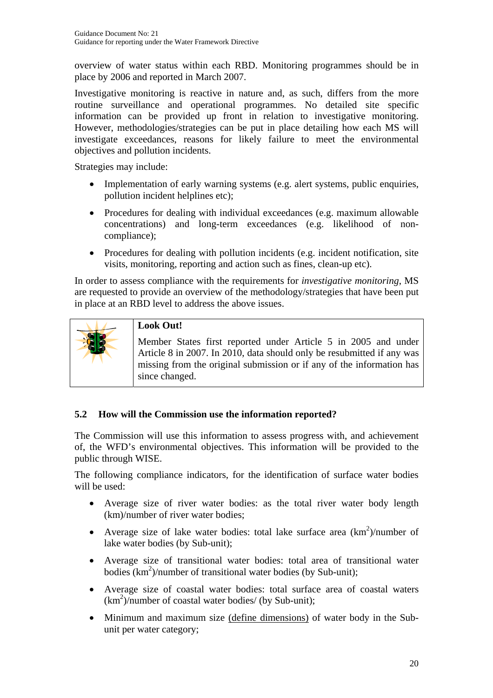overview of water status within each RBD. Monitoring programmes should be in place by 2006 and reported in March 2007.

Investigative monitoring is reactive in nature and, as such, differs from the more routine surveillance and operational programmes. No detailed site specific information can be provided up front in relation to investigative monitoring. However, methodologies/strategies can be put in place detailing how each MS will investigate exceedances, reasons for likely failure to meet the environmental objectives and pollution incidents.

Strategies may include:

- Implementation of early warning systems (e.g. alert systems, public enquiries, pollution incident helplines etc);
- Procedures for dealing with individual exceedances (e.g. maximum allowable concentrations) and long-term exceedances (e.g. likelihood of noncompliance);
- Procedures for dealing with pollution incidents (e.g. incident notification, site visits, monitoring, reporting and action such as fines, clean-up etc).

In order to assess compliance with the requirements for *investigative monitoring*, MS are requested to provide an overview of the methodology/strategies that have been put in place at an RBD level to address the above issues.



## **Look Out!**

Member States first reported under Article 5 in 2005 and under Article 8 in 2007. In 2010, data should only be resubmitted if any was missing from the original submission or if any of the information has since changed.

## <span id="page-23-0"></span>**5.2 How will the Commission use the information reported?**

The Commission will use this information to assess progress with, and achievement of, the WFD's environmental objectives. This information will be provided to the public through WISE.

The following compliance indicators, for the identification of surface water bodies will be used:

- Average size of river water bodies: as the total river water body length (km)/number of river water bodies;
- Average size of lake water bodies: total lake surface area  $(km^2)/number$  of lake water bodies (by Sub-unit);
- Average size of transitional water bodies: total area of transitional water bodies  $(km^2)/$ number of transitional water bodies (by Sub-unit);
- Average size of coastal water bodies: total surface area of coastal waters  $(km<sup>2</sup>)$ /number of coastal water bodies/ (by Sub-unit);
- Minimum and maximum size (define dimensions) of water body in the Subunit per water category;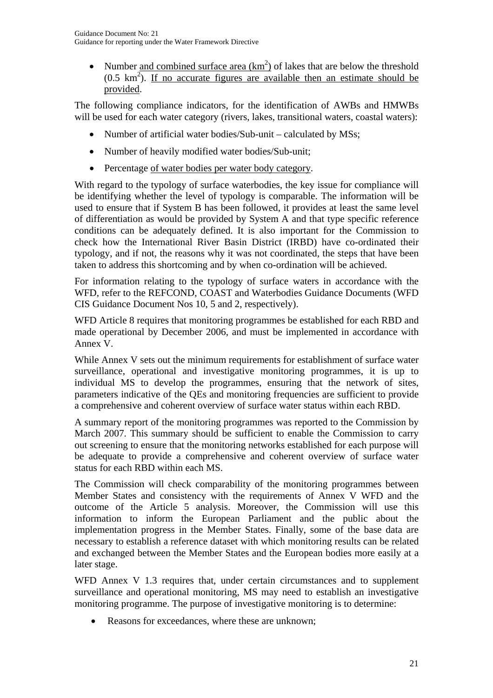• Number <u>and combined surface area  $(km^2)$ </u> of lakes that are below the threshold  $(0.5 \text{ km}^2)$ . If no accurate figures are available then an estimate should be provided.

The following compliance indicators, for the identification of AWBs and HMWBs will be used for each water category (rivers, lakes, transitional waters, coastal waters):

- Number of artificial water bodies/Sub-unit calculated by MSs;
- Number of heavily modified water bodies/Sub-unit;
- Percentage of water bodies per water body category.

With regard to the typology of surface waterbodies, the key issue for compliance will be identifying whether the level of typology is comparable. The information will be used to ensure that if System B has been followed, it provides at least the same level of differentiation as would be provided by System A and that type specific reference conditions can be adequately defined. It is also important for the Commission to check how the International River Basin District (IRBD) have co-ordinated their typology, and if not, the reasons why it was not coordinated, the steps that have been taken to address this shortcoming and by when co-ordination will be achieved.

For information relating to the typology of surface waters in accordance with the WFD, refer to the REFCOND, COAST and Waterbodies Guidance Documents (WFD CIS Guidance Document Nos 10, 5 and 2, respectively).

WFD Article 8 requires that monitoring programmes be established for each RBD and made operational by December 2006, and must be implemented in accordance with Annex V.

While Annex V sets out the minimum requirements for establishment of surface water surveillance, operational and investigative monitoring programmes, it is up to individual MS to develop the programmes, ensuring that the network of sites, parameters indicative of the QEs and monitoring frequencies are sufficient to provide a comprehensive and coherent overview of surface water status within each RBD.

A summary report of the monitoring programmes was reported to the Commission by March 2007. This summary should be sufficient to enable the Commission to carry out screening to ensure that the monitoring networks established for each purpose will be adequate to provide a comprehensive and coherent overview of surface water status for each RBD within each MS.

The Commission will check comparability of the monitoring programmes between Member States and consistency with the requirements of Annex V WFD and the outcome of the Article 5 analysis. Moreover, the Commission will use this information to inform the European Parliament and the public about the implementation progress in the Member States. Finally, some of the base data are necessary to establish a reference dataset with which monitoring results can be related and exchanged between the Member States and the European bodies more easily at a later stage.

WFD Annex V 1.3 requires that, under certain circumstances and to supplement surveillance and operational monitoring, MS may need to establish an investigative monitoring programme. The purpose of investigative monitoring is to determine:

Reasons for exceedances, where these are unknown;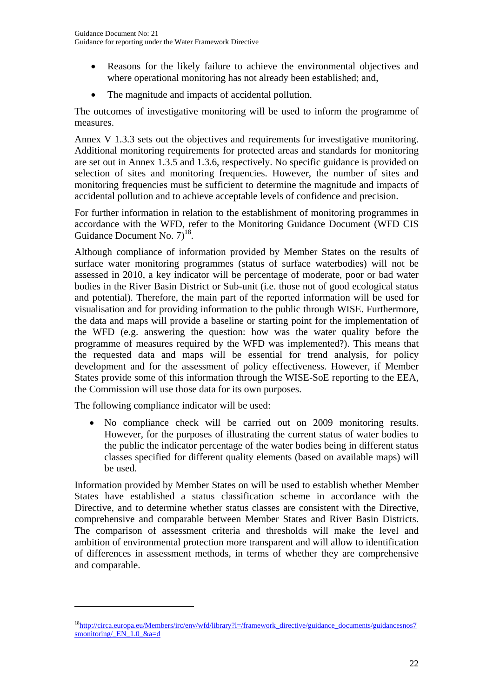- Reasons for the likely failure to achieve the environmental objectives and where operational monitoring has not already been established; and,
- The magnitude and impacts of accidental pollution.

The outcomes of investigative monitoring will be used to inform the programme of measures.

Annex V 1.3.3 sets out the objectives and requirements for investigative monitoring. Additional monitoring requirements for protected areas and standards for monitoring are set out in Annex 1.3.5 and 1.3.6, respectively. No specific guidance is provided on selection of sites and monitoring frequencies. However, the number of sites and monitoring frequencies must be sufficient to determine the magnitude and impacts of accidental pollution and to achieve acceptable levels of confidence and precision.

For further information in relation to the establishment of monitoring programmes in accordance with the WFD, refer to the Monitoring Guidance Document (WFD CIS Guidance Document No.  $7)^{18}$ .

Although compliance of information provided by Member States on the results of surface water monitoring programmes (status of surface waterbodies) will not be assessed in 2010, a key indicator will be percentage of moderate, poor or bad water bodies in the River Basin District or Sub-unit (i.e. those not of good ecological status and potential). Therefore, the main part of the reported information will be used for visualisation and for providing information to the public through WISE. Furthermore, the data and maps will provide a baseline or starting point for the implementation of the WFD (e.g. answering the question: how was the water quality before the programme of measures required by the WFD was implemented?). This means that the requested data and maps will be essential for trend analysis, for policy development and for the assessment of policy effectiveness. However, if Member States provide some of this information through the WISE-SoE reporting to the EEA, the Commission will use those data for its own purposes.

The following compliance indicator will be used:

 $\overline{a}$ 

• No compliance check will be carried out on 2009 monitoring results. However, for the purposes of illustrating the current status of water bodies to the public the indicator percentage of the water bodies being in different status classes specified for different quality elements (based on available maps) will be used.

Information provided by Member States on will be used to establish whether Member States have established a status classification scheme in accordance with the Directive, and to determine whether status classes are consistent with the Directive, comprehensive and comparable between Member States and River Basin Districts. The comparison of assessment criteria and thresholds will make the level and ambition of environmental protection more transparent and will allow to identification of differences in assessment methods, in terms of whether they are comprehensive and comparable.

<sup>&</sup>lt;sup>18</sup>http://circa.europa.eu/Members/irc/env/wfd/library?l=/framework\_directive/guidance\_documents/guidancesnos7 smonitoring/ EN\_1.0 &a=d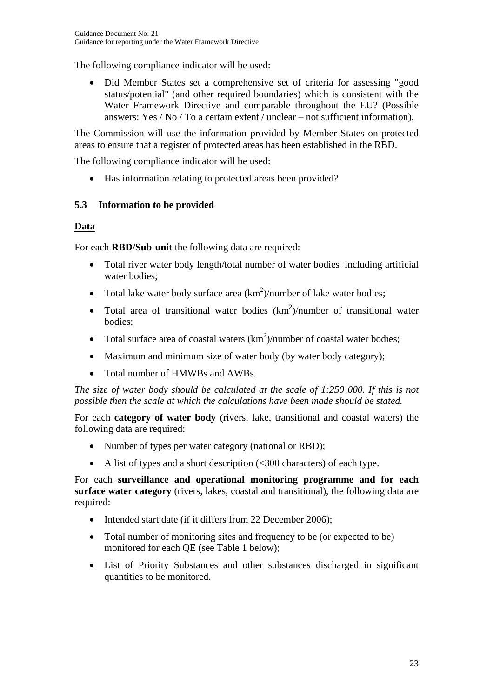The following compliance indicator will be used:

• Did Member States set a comprehensive set of criteria for assessing "good status/potential" (and other required boundaries) which is consistent with the Water Framework Directive and comparable throughout the EU? (Possible answers: Yes / No / To a certain extent / unclear – not sufficient information).

The Commission will use the information provided by Member States on protected areas to ensure that a register of protected areas has been established in the RBD.

The following compliance indicator will be used:

• Has information relating to protected areas been provided?

#### <span id="page-26-0"></span>**5.3 Information to be provided**

#### **Data**

For each **RBD/Sub-unit** the following data are required:

- Total river water body length/total number of water bodies including artificial water bodies;
- Total lake water body surface area  $(km^2)/$ number of lake water bodies;
- Total area of transitional water bodies  $(km^2)/number$  of transitional water bodies;
- Total surface area of coastal waters  $(km^2)/$ number of coastal water bodies;
- Maximum and minimum size of water body (by water body category);
- Total number of HMWBs and AWBs.

*The size of water body should be calculated at the scale of 1:250 000. If this is not possible then the scale at which the calculations have been made should be stated.* 

For each **category of water body** (rivers, lake, transitional and coastal waters) the following data are required:

- Number of types per water category (national or RBD);
- A list of types and a short description (<300 characters) of each type.

For each **surveillance and operational monitoring programme and for each surface water category** (rivers, lakes, coastal and transitional), the following data are required:

- Intended start date (if it differs from 22 December 2006);
- Total number of monitoring sites and frequency to be (or expected to be) monitored for each QE (see Table 1 below);
- List of Priority Substances and other substances discharged in significant quantities to be monitored.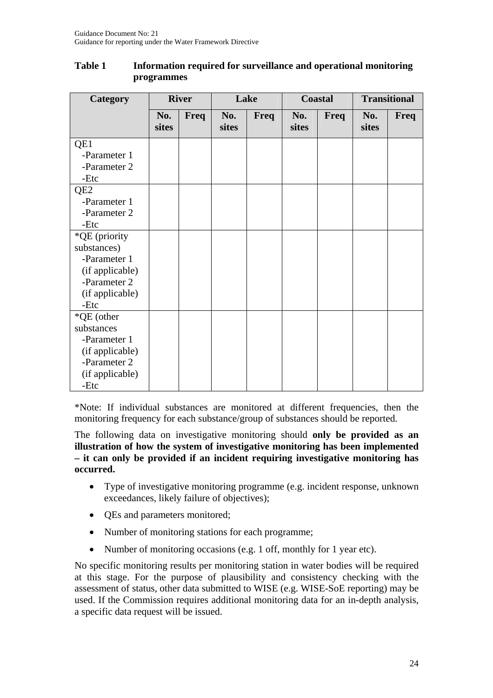| Category        | <b>River</b> |             |              | Lake        |              | <b>Coastal</b> | <b>Transitional</b> |             |
|-----------------|--------------|-------------|--------------|-------------|--------------|----------------|---------------------|-------------|
|                 | No.<br>sites | <b>Freq</b> | No.<br>sites | <b>Freq</b> | No.<br>sites | Freq           | No.<br>sites        | <b>Freq</b> |
| QE1             |              |             |              |             |              |                |                     |             |
| -Parameter 1    |              |             |              |             |              |                |                     |             |
| -Parameter 2    |              |             |              |             |              |                |                     |             |
| -Etc            |              |             |              |             |              |                |                     |             |
| QE <sub>2</sub> |              |             |              |             |              |                |                     |             |
| -Parameter 1    |              |             |              |             |              |                |                     |             |
| -Parameter 2    |              |             |              |             |              |                |                     |             |
| -Etc            |              |             |              |             |              |                |                     |             |
| *QE (priority   |              |             |              |             |              |                |                     |             |
| substances)     |              |             |              |             |              |                |                     |             |
| -Parameter 1    |              |             |              |             |              |                |                     |             |
| (if applicable) |              |             |              |             |              |                |                     |             |
| -Parameter 2    |              |             |              |             |              |                |                     |             |
| (if applicable) |              |             |              |             |              |                |                     |             |
| -Etc            |              |             |              |             |              |                |                     |             |
| *QE (other      |              |             |              |             |              |                |                     |             |
| substances      |              |             |              |             |              |                |                     |             |
| -Parameter 1    |              |             |              |             |              |                |                     |             |
| (if applicable) |              |             |              |             |              |                |                     |             |
| -Parameter 2    |              |             |              |             |              |                |                     |             |
| (if applicable) |              |             |              |             |              |                |                     |             |
| -Etc            |              |             |              |             |              |                |                     |             |

## <span id="page-27-0"></span>**Table 1 Information required for surveillance and operational monitoring programmes**

\*Note: If individual substances are monitored at different frequencies, then the monitoring frequency for each substance/group of substances should be reported.

The following data on investigative monitoring should **only be provided as an illustration of how the system of investigative monitoring has been implemented – it can only be provided if an incident requiring investigative monitoring has occurred.** 

- Type of investigative monitoring programme (e.g. incident response, unknown exceedances, likely failure of objectives);
- QEs and parameters monitored;
- Number of monitoring stations for each programme:
- Number of monitoring occasions (e.g. 1 off, monthly for 1 year etc).

No specific monitoring results per monitoring station in water bodies will be required at this stage. For the purpose of plausibility and consistency checking with the assessment of status, other data submitted to WISE (e.g. WISE-SoE reporting) may be used. If the Commission requires additional monitoring data for an in-depth analysis, a specific data request will be issued.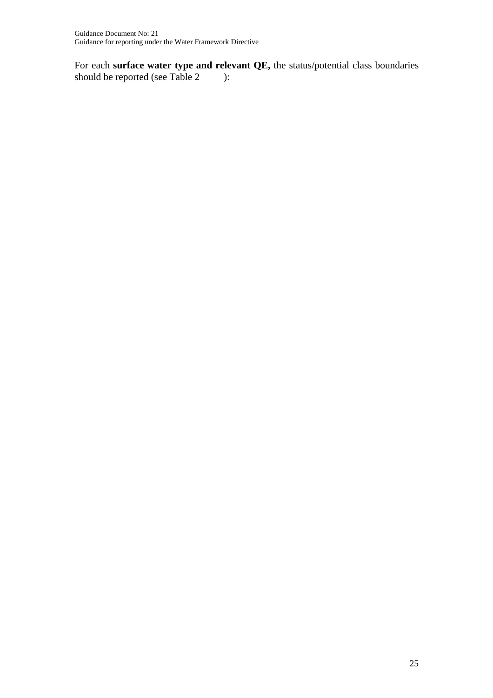For each **surface water type and relevant QE,** the status/potential class boundaries should be reported (see [Table 2 \)](#page-29-0):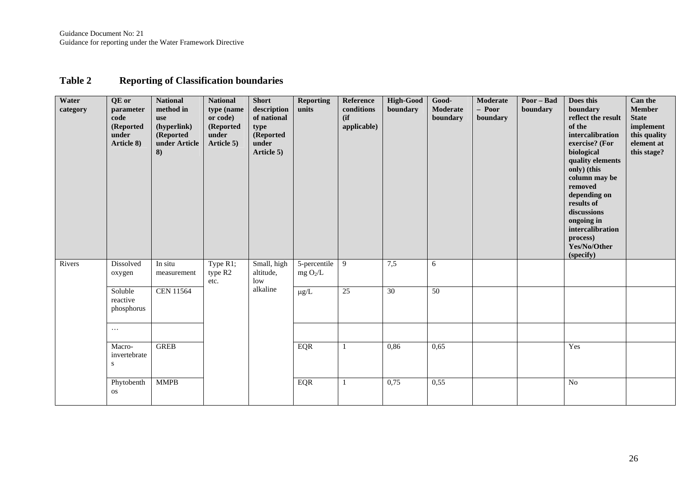| Table 2 |  | <b>Reporting of Classification boundaries</b> |  |
|---------|--|-----------------------------------------------|--|
|---------|--|-----------------------------------------------|--|

<span id="page-29-0"></span>

| Water<br>category | QE or<br>parameter<br>code<br>(Reported<br>under<br>Article 8) | <b>National</b><br>method in<br><b>use</b><br>(hyperlink)<br>(Reported<br>under Article<br>8) | <b>National</b><br>type (name<br>or code)<br>(Reported<br>under<br>Article 5) | <b>Short</b><br>description<br>of national<br>type<br>(Reported<br>under<br>Article 5) | <b>Reporting</b><br>units  | Reference<br>conditions<br>(ii)<br>applicable) | High-Good<br>boundary | Good-<br><b>Moderate</b><br>boundary | Moderate<br>$-$ Poor<br>boundary | Poor-Bad<br>boundary | Does this<br>boundary<br>reflect the result<br>of the<br>intercalibration<br>exercise? (For<br>biological<br>quality elements<br>only) (this<br>column may be<br>removed<br>depending on<br>results of<br>discussions<br>ongoing in<br>intercalibration<br>process)<br>Yes/No/Other<br>(specify) | Can the<br><b>Member</b><br><b>State</b><br>implement<br>this quality<br>element at<br>this stage? |
|-------------------|----------------------------------------------------------------|-----------------------------------------------------------------------------------------------|-------------------------------------------------------------------------------|----------------------------------------------------------------------------------------|----------------------------|------------------------------------------------|-----------------------|--------------------------------------|----------------------------------|----------------------|--------------------------------------------------------------------------------------------------------------------------------------------------------------------------------------------------------------------------------------------------------------------------------------------------|----------------------------------------------------------------------------------------------------|
| Rivers            | Dissolved<br>oxygen                                            | In situ<br>measurement                                                                        | Type R1;<br>type R2<br>etc.                                                   | Small, high<br>altitude,<br>low                                                        | 5-percentile<br>mg $O_2/L$ | 9                                              | 7,5                   | 6                                    |                                  |                      |                                                                                                                                                                                                                                                                                                  |                                                                                                    |
|                   | Soluble<br>reactive<br>phosphorus                              | <b>CEN 11564</b>                                                                              |                                                                               | alkaline                                                                               | $\mu g/L$                  | $\overline{25}$                                | $\overline{30}$       | 50                                   |                                  |                      |                                                                                                                                                                                                                                                                                                  |                                                                                                    |
|                   | $\cdots$                                                       |                                                                                               |                                                                               |                                                                                        |                            |                                                |                       |                                      |                                  |                      |                                                                                                                                                                                                                                                                                                  |                                                                                                    |
|                   | Macro-<br>invertebrate<br>S                                    | <b>GREB</b>                                                                                   |                                                                               |                                                                                        | EQR                        |                                                | 0,86                  | 0,65                                 |                                  |                      | Yes                                                                                                                                                                                                                                                                                              |                                                                                                    |
|                   | Phytobenth<br><b>OS</b>                                        | <b>MMPB</b>                                                                                   |                                                                               |                                                                                        | <b>EQR</b>                 |                                                | 0,75                  | 0,55                                 |                                  |                      | $\overline{No}$                                                                                                                                                                                                                                                                                  |                                                                                                    |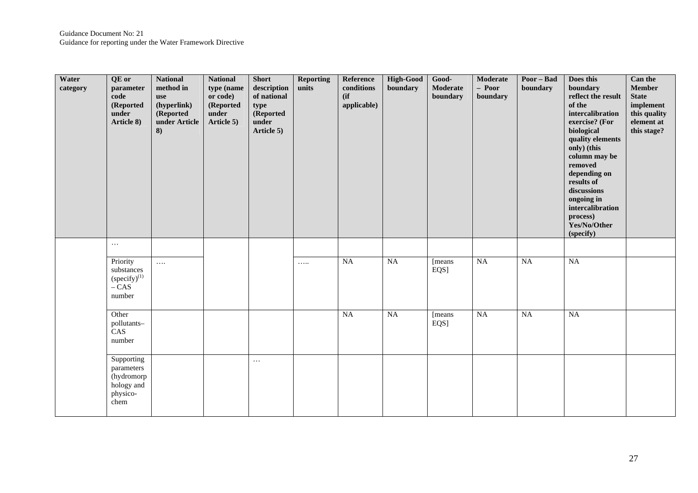| Water<br>category | QE or<br>parameter<br>code<br>(Reported<br>under<br>Article 8)           | <b>National</b><br>method in<br>use<br>(hyperlink)<br>(Reported<br>under Article<br>8) | <b>National</b><br>type (name<br>or code)<br>(Reported<br>under<br>Article 5) | <b>Short</b><br>description<br>of national<br>type<br>(Reported<br>under<br>Article 5) | <b>Reporting</b><br>units | Reference<br>conditions<br>(ii)<br>applicable) | <b>High-Good</b><br>boundary | Good-<br><b>Moderate</b><br>boundary | Moderate<br>$-$ Poor<br>boundary | Poor-Bad<br>boundary | Does this<br>boundary<br>reflect the result<br>of the<br>intercalibration<br>exercise? (For<br>biological<br>quality elements<br>only) (this<br>column may be<br>removed<br>depending on<br>results of<br>discussions<br>ongoing in<br>intercalibration<br>process)<br>Yes/No/Other<br>(specify) | Can the<br><b>Member</b><br><b>State</b><br>implement<br>this quality<br>element at<br>this stage? |
|-------------------|--------------------------------------------------------------------------|----------------------------------------------------------------------------------------|-------------------------------------------------------------------------------|----------------------------------------------------------------------------------------|---------------------------|------------------------------------------------|------------------------------|--------------------------------------|----------------------------------|----------------------|--------------------------------------------------------------------------------------------------------------------------------------------------------------------------------------------------------------------------------------------------------------------------------------------------|----------------------------------------------------------------------------------------------------|
|                   | $\ldots$                                                                 |                                                                                        |                                                                               |                                                                                        |                           |                                                |                              |                                      |                                  |                      |                                                                                                                                                                                                                                                                                                  |                                                                                                    |
|                   | Priority<br>substances<br>$(specify)^{(1)}$<br>$-CAS$<br>number          | $\ldots$                                                                               |                                                                               |                                                                                        | $\ldots$                  | NA                                             | NA                           | [means<br>EQS]                       | NA                               | NA                   | NA                                                                                                                                                                                                                                                                                               |                                                                                                    |
|                   | Other<br>pollutants-<br>CAS<br>number                                    |                                                                                        |                                                                               |                                                                                        |                           | NA                                             | NA                           | [means]<br>EQS]                      | NA                               | NA                   | NA                                                                                                                                                                                                                                                                                               |                                                                                                    |
|                   | Supporting<br>parameters<br>(hydromorp<br>hology and<br>physico-<br>chem |                                                                                        |                                                                               | $\ddotsc$                                                                              |                           |                                                |                              |                                      |                                  |                      |                                                                                                                                                                                                                                                                                                  |                                                                                                    |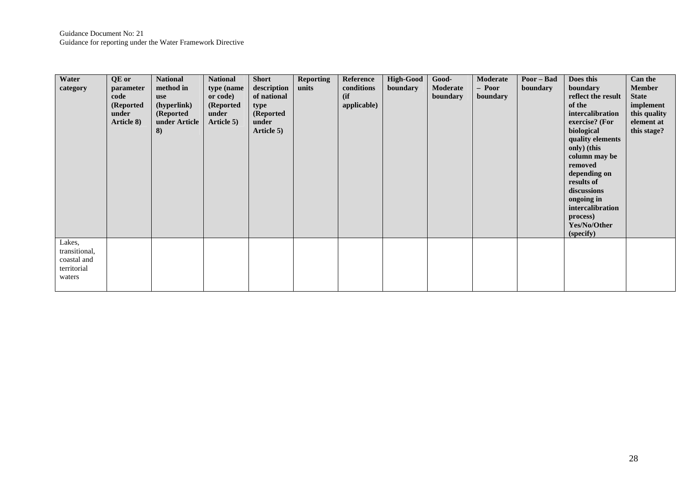| Water<br>category                                               | QE or<br>parameter<br>code<br>(Reported<br>under<br>Article 8) | <b>National</b><br>method in<br><b>use</b><br>(hyperlink)<br>(Reported<br>under Article<br>8) | <b>National</b><br>type (name<br>or code)<br>(Reported<br>under<br>Article 5) | <b>Short</b><br>description<br>of national<br>type<br>(Reported<br>under<br>Article 5) | <b>Reporting</b><br>units | Reference<br>conditions<br>(ii)<br>applicable) | High-Good<br>boundary | Good-<br>Moderate<br>boundary | Moderate<br>$-$ Poor<br>boundary | Poor - Bad<br>boundary | Does this<br>boundary<br>reflect the result<br>of the<br>intercalibration<br>exercise? (For<br>biological<br>quality elements<br>only) (this<br>column may be<br>removed<br>depending on<br>results of<br>discussions<br>ongoing in<br>intercalibration<br>process)<br>Yes/No/Other<br>(specify) | Can the<br><b>Member</b><br><b>State</b><br>implement<br>this quality<br>element at<br>this stage? |
|-----------------------------------------------------------------|----------------------------------------------------------------|-----------------------------------------------------------------------------------------------|-------------------------------------------------------------------------------|----------------------------------------------------------------------------------------|---------------------------|------------------------------------------------|-----------------------|-------------------------------|----------------------------------|------------------------|--------------------------------------------------------------------------------------------------------------------------------------------------------------------------------------------------------------------------------------------------------------------------------------------------|----------------------------------------------------------------------------------------------------|
| Lakes,<br>transitional,<br>coastal and<br>territorial<br>waters |                                                                |                                                                                               |                                                                               |                                                                                        |                           |                                                |                       |                               |                                  |                        |                                                                                                                                                                                                                                                                                                  |                                                                                                    |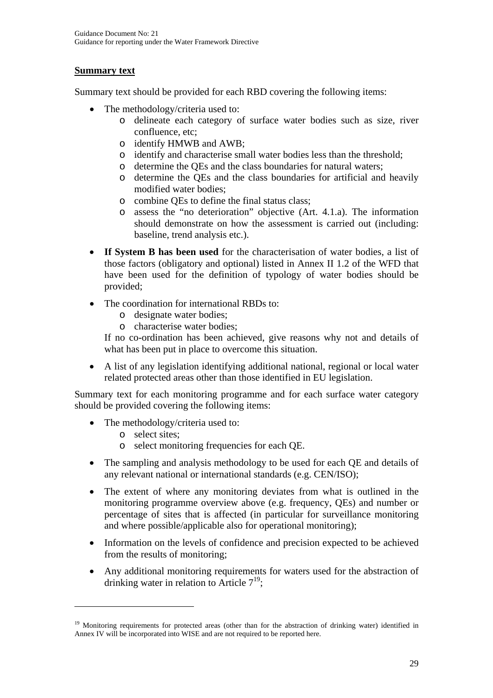## **Summary text**

Summary text should be provided for each RBD covering the following items:

- The methodology/criteria used to:
	- o delineate each category of surface water bodies such as size, river confluence, etc;
	- o identify HMWB and AWB;
	- o identify and characterise small water bodies less than the threshold;
	- o determine the QEs and the class boundaries for natural waters;
	- o determine the QEs and the class boundaries for artificial and heavily modified water bodies;
	- o combine QEs to define the final status class;
	- o assess the "no deterioration" objective (Art. 4.1.a). The information should demonstrate on how the assessment is carried out (including: baseline, trend analysis etc.).
- **If System B has been used** for the characterisation of water bodies, a list of those factors (obligatory and optional) listed in Annex II 1.2 of the WFD that have been used for the definition of typology of water bodies should be provided;
- The coordination for international RBDs to:
	- o designate water bodies;
	- o characterise water bodies;

If no co-ordination has been achieved, give reasons why not and details of what has been put in place to overcome this situation.

• A list of any legislation identifying additional national, regional or local water related protected areas other than those identified in EU legislation.

Summary text for each monitoring programme and for each surface water category should be provided covering the following items:

- The methodology/criteria used to:
	- o select sites;

- o select monitoring frequencies for each QE.
- The sampling and analysis methodology to be used for each QE and details of any relevant national or international standards (e.g. CEN/ISO);
- The extent of where any monitoring deviates from what is outlined in the monitoring programme overview above (e.g. frequency, QEs) and number or percentage of sites that is affected (in particular for surveillance monitoring and where possible/applicable also for operational monitoring);
- Information on the levels of confidence and precision expected to be achieved from the results of monitoring;
- Any additional monitoring requirements for waters used for the abstraction of drinking water in relation to Article  $7^{19}$ ;

<sup>&</sup>lt;sup>19</sup> Monitoring requirements for protected areas (other than for the abstraction of drinking water) identified in Annex IV will be incorporated into WISE and are not required to be reported here.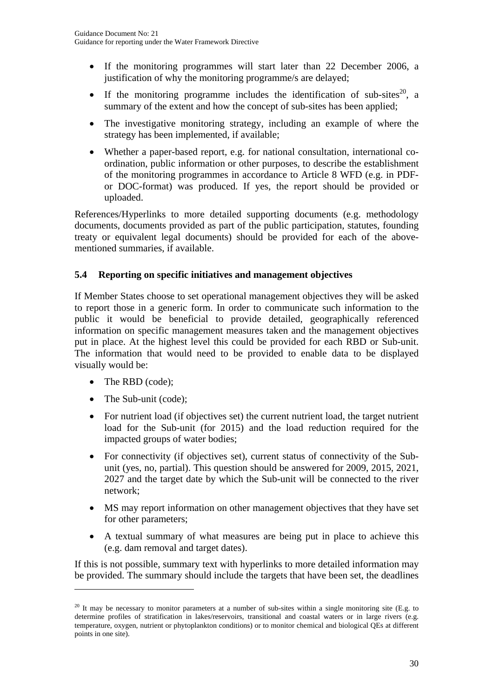- If the monitoring programmes will start later than 22 December 2006, a justification of why the monitoring programme/s are delayed;
- If the monitoring programme includes the identification of sub-sites<sup>20</sup>, a summary of the extent and how the concept of sub-sites has been applied;
- The investigative monitoring strategy, including an example of where the strategy has been implemented, if available;
- Whether a paper-based report, e.g. for national consultation, international coordination, public information or other purposes, to describe the establishment of the monitoring programmes in accordance to Article 8 WFD (e.g. in PDFor DOC-format) was produced. If yes, the report should be provided or uploaded.

References/Hyperlinks to more detailed supporting documents (e.g. methodology documents, documents provided as part of the public participation, statutes, founding treaty or equivalent legal documents) should be provided for each of the abovementioned summaries, if available.

## <span id="page-33-0"></span>**5.4 Reporting on specific initiatives and management objectives**

If Member States choose to set operational management objectives they will be asked to report those in a generic form. In order to communicate such information to the public it would be beneficial to provide detailed, geographically referenced information on specific management measures taken and the management objectives put in place. At the highest level this could be provided for each RBD or Sub-unit. The information that would need to be provided to enable data to be displayed visually would be:

• The RBD (code);

 $\overline{a}$ 

- The Sub-unit (code):
- For nutrient load (if objectives set) the current nutrient load, the target nutrient load for the Sub-unit (for 2015) and the load reduction required for the impacted groups of water bodies;
- For connectivity (if objectives set), current status of connectivity of the Subunit (yes, no, partial). This question should be answered for 2009, 2015, 2021, 2027 and the target date by which the Sub-unit will be connected to the river network;
- MS may report information on other management objectives that they have set for other parameters;
- A textual summary of what measures are being put in place to achieve this (e.g. dam removal and target dates).

If this is not possible, summary text with hyperlinks to more detailed information may be provided. The summary should include the targets that have been set, the deadlines

<sup>&</sup>lt;sup>20</sup> It may be necessary to monitor parameters at a number of sub-sites within a single monitoring site (E.g. to determine profiles of stratification in lakes/reservoirs, transitional and coastal waters or in large rivers (e.g. temperature, oxygen, nutrient or phytoplankton conditions) or to monitor chemical and biological QEs at different points in one site).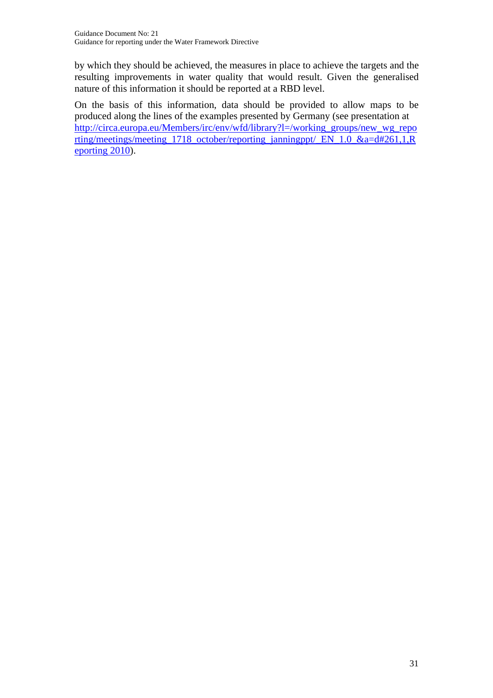by which they should be achieved, the measures in place to achieve the targets and the resulting improvements in water quality that would result. Given the generalised nature of this information it should be reported at a RBD level.

On the basis of this information, data should be provided to allow maps to be produced along the lines of the examples presented by Germany (see presentation at [http://circa.europa.eu/Members/irc/env/wfd/library?l=/working\\_groups/new\\_wg\\_repo](http://circa.europa.eu/Members/irc/env/wfd/library?l=/working_groups/new_wg_reporting/meetings/meeting_1718_october/reporting_janningppt/_EN_1.0_&a=d#261,1,Reporting 2010) [rting/meetings/meeting\\_1718\\_october/reporting\\_janningppt/\\_EN\\_1.0\\_&a=d#261,1,R](http://circa.europa.eu/Members/irc/env/wfd/library?l=/working_groups/new_wg_reporting/meetings/meeting_1718_october/reporting_janningppt/_EN_1.0_&a=d#261,1,Reporting 2010) [eporting 2010\)](http://circa.europa.eu/Members/irc/env/wfd/library?l=/working_groups/new_wg_reporting/meetings/meeting_1718_october/reporting_janningppt/_EN_1.0_&a=d#261,1,Reporting 2010).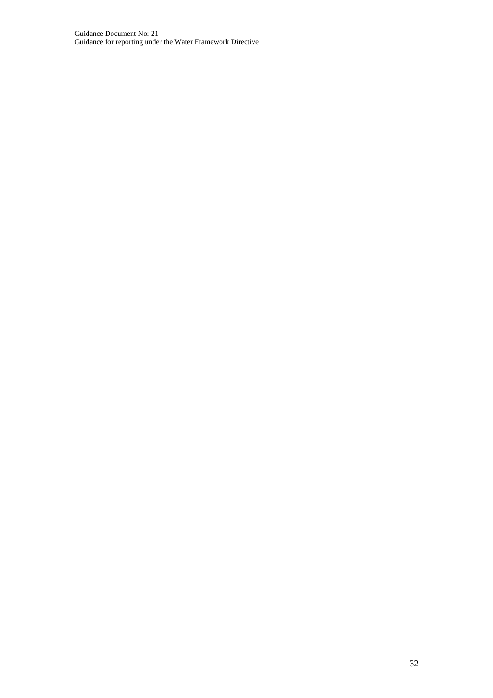Guidance Document No: 21 Guidance for reporting under the Water Framework Directive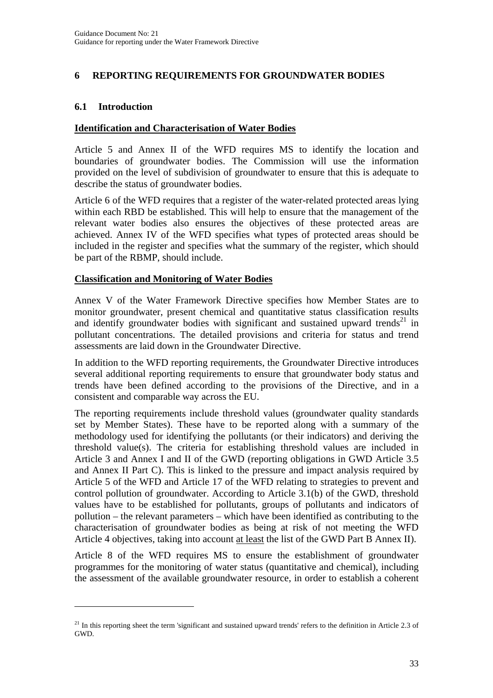# **6 REPORTING REQUIREMENTS FOR GROUNDWATER BODIES**

#### **6.1 Introduction**

 $\overline{a}$ 

#### **Identification and Characterisation of Water Bodies**

Article 5 and Annex II of the WFD requires MS to identify the location and boundaries of groundwater bodies. The Commission will use the information provided on the level of subdivision of groundwater to ensure that this is adequate to describe the status of groundwater bodies.

Article 6 of the WFD requires that a register of the water-related protected areas lying within each RBD be established. This will help to ensure that the management of the relevant water bodies also ensures the objectives of these protected areas are achieved. Annex IV of the WFD specifies what types of protected areas should be included in the register and specifies what the summary of the register, which should be part of the RBMP, should include.

#### **Classification and Monitoring of Water Bodies**

Annex V of the Water Framework Directive specifies how Member States are to monitor groundwater, present chemical and quantitative status classification results and identify groundwater bodies with significant and sustained upward trends<sup>21</sup> in pollutant concentrations. The detailed provisions and criteria for status and trend assessments are laid down in the Groundwater Directive.

In addition to the WFD reporting requirements, the Groundwater Directive introduces several additional reporting requirements to ensure that groundwater body status and trends have been defined according to the provisions of the Directive, and in a consistent and comparable way across the EU.

The reporting requirements include threshold values (groundwater quality standards set by Member States). These have to be reported along with a summary of the methodology used for identifying the pollutants (or their indicators) and deriving the threshold value(s). The criteria for establishing threshold values are included in Article 3 and Annex I and II of the GWD (reporting obligations in GWD Article 3.5 and Annex II Part C). This is linked to the pressure and impact analysis required by Article 5 of the WFD and Article 17 of the WFD relating to strategies to prevent and control pollution of groundwater. According to Article 3.1(b) of the GWD, threshold values have to be established for pollutants, groups of pollutants and indicators of pollution – the relevant parameters – which have been identified as contributing to the characterisation of groundwater bodies as being at risk of not meeting the WFD Article 4 objectives, taking into account at least the list of the GWD Part B Annex II).

Article 8 of the WFD requires MS to ensure the establishment of groundwater programmes for the monitoring of water status (quantitative and chemical), including the assessment of the available groundwater resource, in order to establish a coherent

 $21$  In this reporting sheet the term 'significant and sustained upward trends' refers to the definition in Article 2.3 of GWD.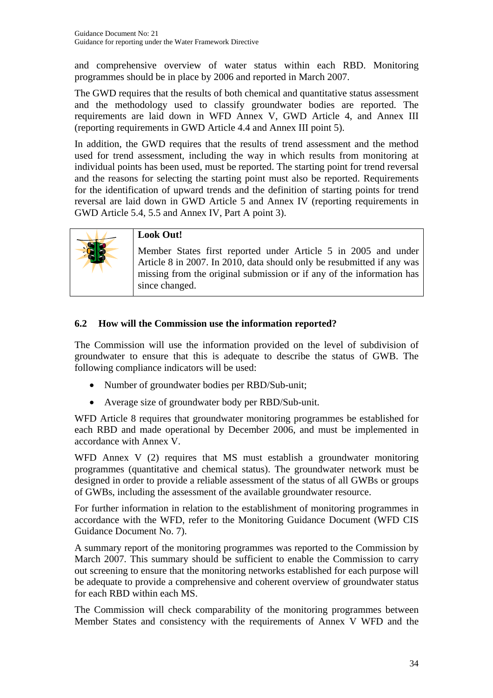and comprehensive overview of water status within each RBD. Monitoring programmes should be in place by 2006 and reported in March 2007.

The GWD requires that the results of both chemical and quantitative status assessment and the methodology used to classify groundwater bodies are reported. The requirements are laid down in WFD Annex V, GWD Article 4, and Annex III (reporting requirements in GWD Article 4.4 and Annex III point 5).

In addition, the GWD requires that the results of trend assessment and the method used for trend assessment, including the way in which results from monitoring at individual points has been used, must be reported. The starting point for trend reversal and the reasons for selecting the starting point must also be reported. Requirements for the identification of upward trends and the definition of starting points for trend reversal are laid down in GWD Article 5 and Annex IV (reporting requirements in GWD Article 5.4, 5.5 and Annex IV, Part A point 3).



## **Look Out!**

Member States first reported under Article 5 in 2005 and under Article 8 in 2007. In 2010, data should only be resubmitted if any was missing from the original submission or if any of the information has since changed.

## **6.2 How will the Commission use the information reported?**

The Commission will use the information provided on the level of subdivision of groundwater to ensure that this is adequate to describe the status of GWB. The following compliance indicators will be used:

- Number of groundwater bodies per RBD/Sub-unit;
- Average size of groundwater body per RBD/Sub-unit.

WFD Article 8 requires that groundwater monitoring programmes be established for each RBD and made operational by December 2006, and must be implemented in accordance with Annex V.

WFD Annex V (2) requires that MS must establish a groundwater monitoring programmes (quantitative and chemical status). The groundwater network must be designed in order to provide a reliable assessment of the status of all GWBs or groups of GWBs, including the assessment of the available groundwater resource.

For further information in relation to the establishment of monitoring programmes in accordance with the WFD, refer to the Monitoring Guidance Document (WFD CIS Guidance Document No. 7).

A summary report of the monitoring programmes was reported to the Commission by March 2007. This summary should be sufficient to enable the Commission to carry out screening to ensure that the monitoring networks established for each purpose will be adequate to provide a comprehensive and coherent overview of groundwater status for each RBD within each MS.

The Commission will check comparability of the monitoring programmes between Member States and consistency with the requirements of Annex V WFD and the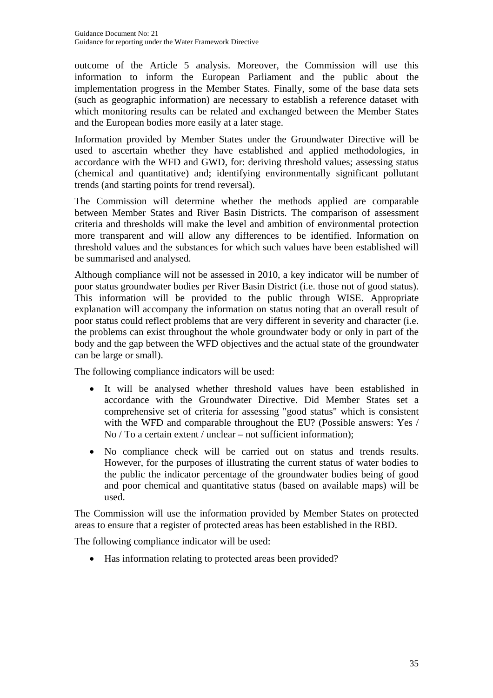outcome of the Article 5 analysis. Moreover, the Commission will use this information to inform the European Parliament and the public about the implementation progress in the Member States. Finally, some of the base data sets (such as geographic information) are necessary to establish a reference dataset with which monitoring results can be related and exchanged between the Member States and the European bodies more easily at a later stage.

Information provided by Member States under the Groundwater Directive will be used to ascertain whether they have established and applied methodologies, in accordance with the WFD and GWD, for: deriving threshold values; assessing status (chemical and quantitative) and; identifying environmentally significant pollutant trends (and starting points for trend reversal).

The Commission will determine whether the methods applied are comparable between Member States and River Basin Districts. The comparison of assessment criteria and thresholds will make the level and ambition of environmental protection more transparent and will allow any differences to be identified. Information on threshold values and the substances for which such values have been established will be summarised and analysed.

Although compliance will not be assessed in 2010, a key indicator will be number of poor status groundwater bodies per River Basin District (i.e. those not of good status). This information will be provided to the public through WISE. Appropriate explanation will accompany the information on status noting that an overall result of poor status could reflect problems that are very different in severity and character (i.e. the problems can exist throughout the whole groundwater body or only in part of the body and the gap between the WFD objectives and the actual state of the groundwater can be large or small).

The following compliance indicators will be used:

- It will be analysed whether threshold values have been established in accordance with the Groundwater Directive. Did Member States set a comprehensive set of criteria for assessing "good status" which is consistent with the WFD and comparable throughout the EU? (Possible answers: Yes / No / To a certain extent / unclear – not sufficient information);
- No compliance check will be carried out on status and trends results. However, for the purposes of illustrating the current status of water bodies to the public the indicator percentage of the groundwater bodies being of good and poor chemical and quantitative status (based on available maps) will be used.

The Commission will use the information provided by Member States on protected areas to ensure that a register of protected areas has been established in the RBD.

The following compliance indicator will be used:

• Has information relating to protected areas been provided?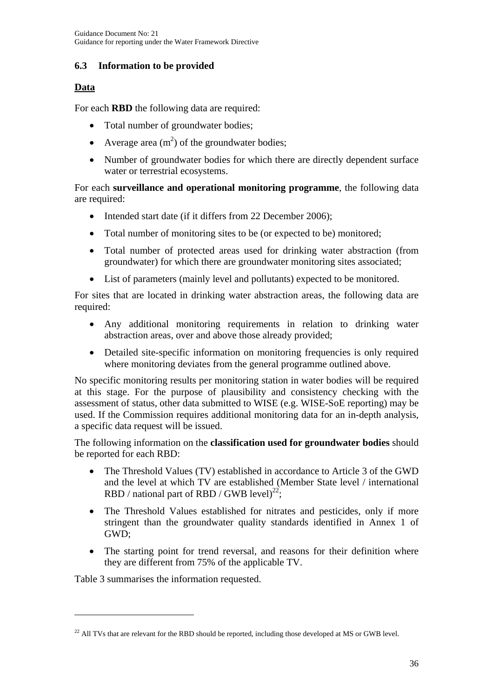# **6.3 Information to be provided**

## **Data**

For each **RBD** the following data are required:

- Total number of groundwater bodies;
- Average area  $(m^2)$  of the groundwater bodies;
- Number of groundwater bodies for which there are directly dependent surface water or terrestrial ecosystems.

For each **surveillance and operational monitoring programme**, the following data are required:

- Intended start date (if it differs from 22 December 2006);
- Total number of monitoring sites to be (or expected to be) monitored;
- Total number of protected areas used for drinking water abstraction (from groundwater) for which there are groundwater monitoring sites associated;
- List of parameters (mainly level and pollutants) expected to be monitored.

For sites that are located in drinking water abstraction areas, the following data are required:

- Any additional monitoring requirements in relation to drinking water abstraction areas, over and above those already provided;
- Detailed site-specific information on monitoring frequencies is only required where monitoring deviates from the general programme outlined above.

No specific monitoring results per monitoring station in water bodies will be required at this stage. For the purpose of plausibility and consistency checking with the assessment of status, other data submitted to WISE (e.g. WISE-SoE reporting) may be used. If the Commission requires additional monitoring data for an in-depth analysis, a specific data request will be issued.

The following information on the **classification used for groundwater bodies** should be reported for each RBD:

- The Threshold Values (TV) established in accordance to Article 3 of the GWD and the level at which TV are established (Member State level / international RBD / national part of RBD / GWB level) $^{22}$ ;
- The Threshold Values established for nitrates and pesticides, only if more stringent than the groundwater quality standards identified in Annex 1 of GWD;
- The starting point for trend reversal, and reasons for their definition where they are different from 75% of the applicable TV.

Table 3 summarises the information requested.

 $^{22}$  All TVs that are relevant for the RBD should be reported, including those developed at MS or GWB level.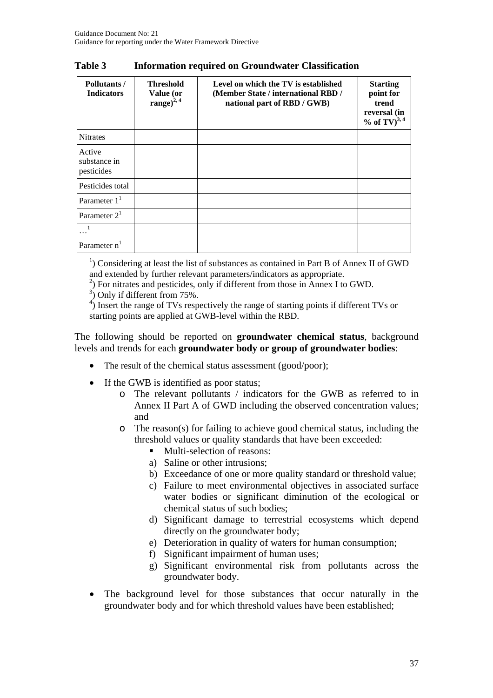| Pollutants /<br><b>Indicators</b>    | <b>Threshold</b><br>Value (or<br>range) <sup>2, 4</sup> | Level on which the TV is established<br>(Member State / international RBD /<br>national part of RBD / GWB) | <b>Starting</b><br>point for<br>trend<br>reversal (in<br>$\%$ of TV) <sup>3, 4</sup> |
|--------------------------------------|---------------------------------------------------------|------------------------------------------------------------------------------------------------------------|--------------------------------------------------------------------------------------|
| <b>Nitrates</b>                      |                                                         |                                                                                                            |                                                                                      |
| Active<br>substance in<br>pesticides |                                                         |                                                                                                            |                                                                                      |
| Pesticides total                     |                                                         |                                                                                                            |                                                                                      |
| Parameter $11$                       |                                                         |                                                                                                            |                                                                                      |
| Parameter $21$                       |                                                         |                                                                                                            |                                                                                      |
|                                      |                                                         |                                                                                                            |                                                                                      |
| Parameter n                          |                                                         |                                                                                                            |                                                                                      |

**Table 3 Information required on Groundwater Classification** 

<sup>1</sup>) Considering at least the list of substances as contained in Part B of Annex II of GWD and extended by further relevant parameters/indicators as appropriate.

 $^{2}$ ) For nitrates and pesticides, only if different from those in Annex I to GWD.

3 ) Only if different from 75%.

<sup>4</sup>) Insert the range of TVs respectively the range of starting points if different TVs or starting points are applied at GWB-level within the RBD.

The following should be reported on **groundwater chemical status**, background levels and trends for each **groundwater body or group of groundwater bodies**:

- The result of the chemical status assessment (good/poor);
- If the GWB is identified as poor status;
	- o The relevant pollutants / indicators for the GWB as referred to in Annex II Part A of GWD including the observed concentration values; and
	- o The reason(s) for failing to achieve good chemical status, including the threshold values or quality standards that have been exceeded:
		- Multi-selection of reasons:
		- a) Saline or other intrusions;
		- b) Exceedance of one or more quality standard or threshold value;
		- c) Failure to meet environmental objectives in associated surface water bodies or significant diminution of the ecological or chemical status of such bodies;
		- d) Significant damage to terrestrial ecosystems which depend directly on the groundwater body;
		- e) Deterioration in quality of waters for human consumption;
		- f) Significant impairment of human uses;
		- g) Significant environmental risk from pollutants across the groundwater body.
- The background level for those substances that occur naturally in the groundwater body and for which threshold values have been established;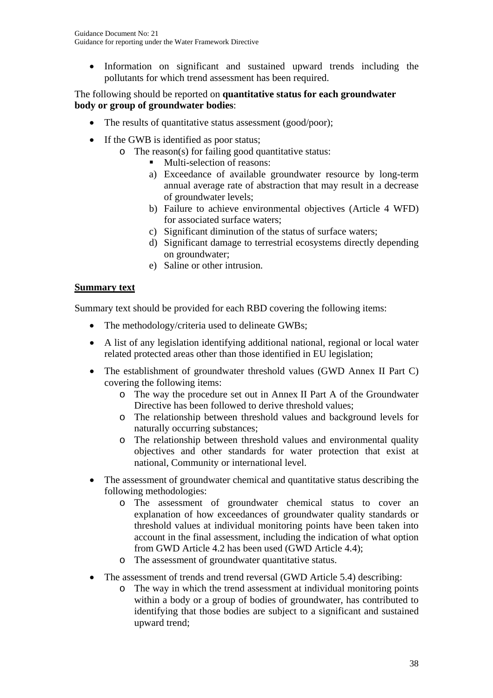Information on significant and sustained upward trends including the pollutants for which trend assessment has been required.

#### The following should be reported on **quantitative status for each groundwater body or group of groundwater bodies**:

- The results of quantitative status assessment (good/poor);
- If the GWB is identified as poor status;
	- o The reason(s) for failing good quantitative status:
		- Multi-selection of reasons:
		- a) Exceedance of available groundwater resource by long-term annual average rate of abstraction that may result in a decrease of groundwater levels;
		- b) Failure to achieve environmental objectives (Article 4 WFD) for associated surface waters;
		- c) Significant diminution of the status of surface waters;
		- d) Significant damage to terrestrial ecosystems directly depending on groundwater;
		- e) Saline or other intrusion.

#### **Summary text**

Summary text should be provided for each RBD covering the following items:

- The methodology/criteria used to delineate GWBs;
- A list of any legislation identifying additional national, regional or local water related protected areas other than those identified in EU legislation;
- The establishment of groundwater threshold values (GWD Annex II Part C) covering the following items:
	- o The way the procedure set out in Annex II Part A of the Groundwater Directive has been followed to derive threshold values;
	- o The relationship between threshold values and background levels for naturally occurring substances;
	- o The relationship between threshold values and environmental quality objectives and other standards for water protection that exist at national, Community or international level.
- The assessment of groundwater chemical and quantitative status describing the following methodologies:
	- o The assessment of groundwater chemical status to cover an explanation of how exceedances of groundwater quality standards or threshold values at individual monitoring points have been taken into account in the final assessment, including the indication of what option from GWD Article 4.2 has been used (GWD Article 4.4);
	- o The assessment of groundwater quantitative status.
- The assessment of trends and trend reversal (GWD Article 5.4) describing:
	- o The way in which the trend assessment at individual monitoring points within a body or a group of bodies of groundwater, has contributed to identifying that those bodies are subject to a significant and sustained upward trend;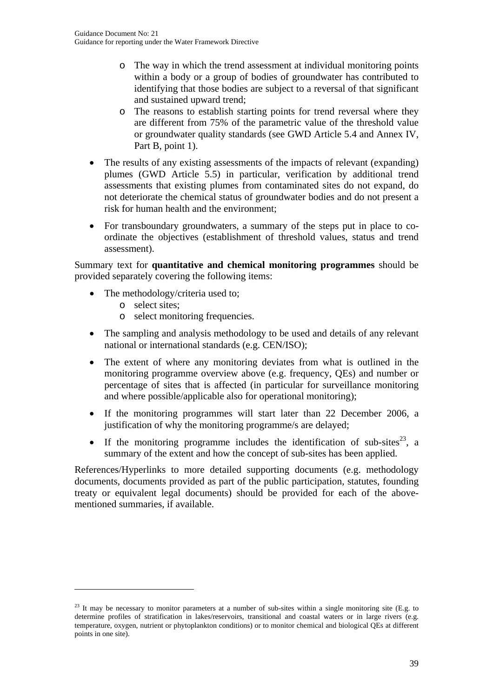- o The way in which the trend assessment at individual monitoring points within a body or a group of bodies of groundwater has contributed to identifying that those bodies are subject to a reversal of that significant and sustained upward trend;
- o The reasons to establish starting points for trend reversal where they are different from 75% of the parametric value of the threshold value or groundwater quality standards (see GWD Article 5.4 and Annex IV, Part B, point 1).
- The results of any existing assessments of the impacts of relevant (expanding) plumes (GWD Article 5.5) in particular, verification by additional trend assessments that existing plumes from contaminated sites do not expand, do not deteriorate the chemical status of groundwater bodies and do not present a risk for human health and the environment;
- For transboundary groundwaters, a summary of the steps put in place to coordinate the objectives (establishment of threshold values, status and trend assessment).

Summary text for **quantitative and chemical monitoring programmes** should be provided separately covering the following items:

- The methodology/criteria used to;
	- o select sites;

 $\overline{a}$ 

- o select monitoring frequencies.
- The sampling and analysis methodology to be used and details of any relevant national or international standards (e.g. CEN/ISO);
- The extent of where any monitoring deviates from what is outlined in the monitoring programme overview above (e.g. frequency, QEs) and number or percentage of sites that is affected (in particular for surveillance monitoring and where possible/applicable also for operational monitoring);
- If the monitoring programmes will start later than 22 December 2006, a justification of why the monitoring programme/s are delayed;
- If the monitoring programme includes the identification of sub-sites $^{23}$ , a summary of the extent and how the concept of sub-sites has been applied.

References/Hyperlinks to more detailed supporting documents (e.g. methodology documents, documents provided as part of the public participation, statutes, founding treaty or equivalent legal documents) should be provided for each of the abovementioned summaries, if available.

<sup>&</sup>lt;sup>23</sup> It may be necessary to monitor parameters at a number of sub-sites within a single monitoring site (E.g. to determine profiles of stratification in lakes/reservoirs, transitional and coastal waters or in large rivers (e.g. temperature, oxygen, nutrient or phytoplankton conditions) or to monitor chemical and biological QEs at different points in one site).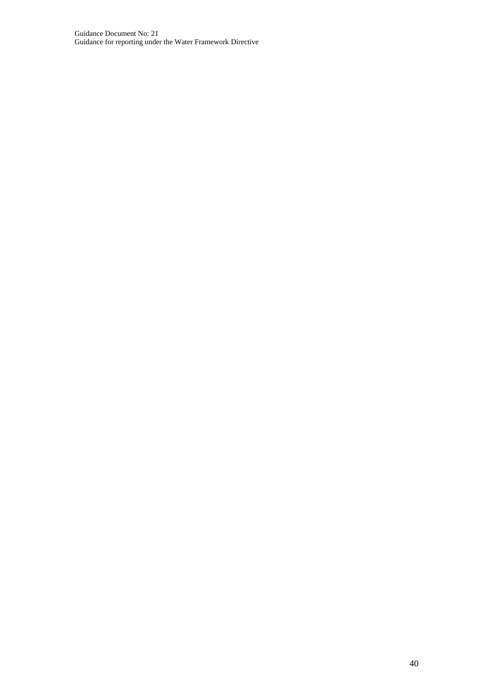Guidance Document No: 21 Guidance for reporting under the Water Framework Directive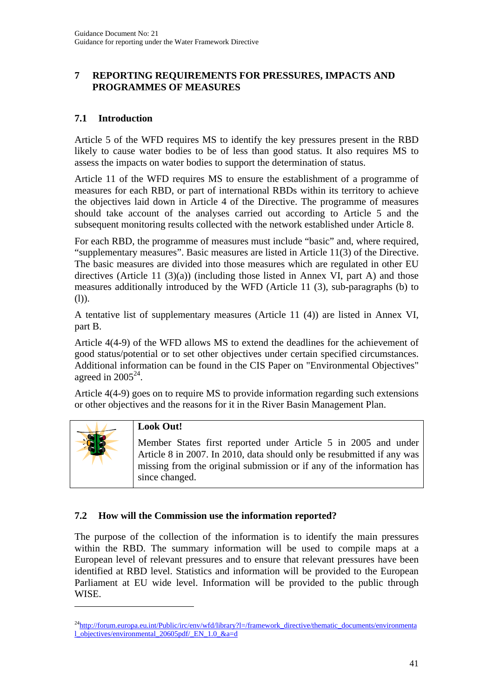## **7 REPORTING REQUIREMENTS FOR PRESSURES, IMPACTS AND PROGRAMMES OF MEASURES**

# **7.1 Introduction**

Article 5 of the WFD requires MS to identify the key pressures present in the RBD likely to cause water bodies to be of less than good status. It also requires MS to assess the impacts on water bodies to support the determination of status.

Article 11 of the WFD requires MS to ensure the establishment of a programme of measures for each RBD, or part of international RBDs within its territory to achieve the objectives laid down in Article 4 of the Directive. The programme of measures should take account of the analyses carried out according to Article 5 and the subsequent monitoring results collected with the network established under Article 8.

For each RBD, the programme of measures must include "basic" and, where required, "supplementary measures". Basic measures are listed in Article 11(3) of the Directive. The basic measures are divided into those measures which are regulated in other EU directives (Article 11  $(3)(a)$ ) (including those listed in Annex VI, part A) and those measures additionally introduced by the WFD (Article 11 (3), sub-paragraphs (b) to (l)).

A tentative list of supplementary measures (Article 11 (4)) are listed in Annex VI, part B.

Article 4(4-9) of the WFD allows MS to extend the deadlines for the achievement of good status/potential or to set other objectives under certain specified circumstances. Additional information can be found in the CIS Paper on "Environmental Objectives" agreed in  $2005^{24}$ .

Article 4(4-9) goes on to require MS to provide information regarding such extensions or other objectives and the reasons for it in the River Basin Management Plan.



 $\overline{a}$ 

#### **Look Out!**

Member States first reported under Article 5 in 2005 and under Article 8 in 2007. In 2010, data should only be resubmitted if any was missing from the original submission or if any of the information has since changed.

#### **7.2 How will the Commission use the information reported?**

The purpose of the collection of the information is to identify the main pressures within the RBD. The summary information will be used to compile maps at a European level of relevant pressures and to ensure that relevant pressures have been identified at RBD level. Statistics and information will be provided to the European Parliament at EU wide level. Information will be provided to the public through WISE.

<sup>&</sup>lt;sup>24</sup>http://forum.europa.eu.int/Public/irc/env/wfd/library?l=/framework\_directive/thematic\_documents/environmenta [l\\_objectives/environmental\\_20605pdf/\\_EN\\_1.0\\_&a=d](http://forum.europa.eu.int/Public/irc/env/wfd/library?l=/framework_directive/thematic_documents/environmental_objectives/environmental_20605pdf/_EN_1.0_&a=d)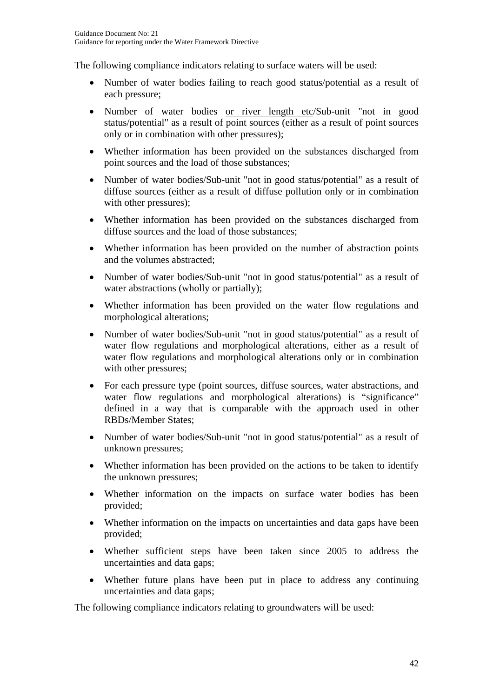The following compliance indicators relating to surface waters will be used:

- Number of water bodies failing to reach good status/potential as a result of each pressure;
- Number of water bodies or river length etc/Sub-unit "not in good status/potential" as a result of point sources (either as a result of point sources only or in combination with other pressures);
- Whether information has been provided on the substances discharged from point sources and the load of those substances;
- Number of water bodies/Sub-unit "not in good status/potential" as a result of diffuse sources (either as a result of diffuse pollution only or in combination with other pressures):
- Whether information has been provided on the substances discharged from diffuse sources and the load of those substances;
- Whether information has been provided on the number of abstraction points and the volumes abstracted;
- Number of water bodies/Sub-unit "not in good status/potential" as a result of water abstractions (wholly or partially):
- Whether information has been provided on the water flow regulations and morphological alterations;
- Number of water bodies/Sub-unit "not in good status/potential" as a result of water flow regulations and morphological alterations, either as a result of water flow regulations and morphological alterations only or in combination with other pressures;
- For each pressure type (point sources, diffuse sources, water abstractions, and water flow regulations and morphological alterations) is "significance" defined in a way that is comparable with the approach used in other RBDs/Member States;
- Number of water bodies/Sub-unit "not in good status/potential" as a result of unknown pressures;
- Whether information has been provided on the actions to be taken to identify the unknown pressures;
- Whether information on the impacts on surface water bodies has been provided;
- Whether information on the impacts on uncertainties and data gaps have been provided;
- Whether sufficient steps have been taken since 2005 to address the uncertainties and data gaps;
- Whether future plans have been put in place to address any continuing uncertainties and data gaps;

The following compliance indicators relating to groundwaters will be used: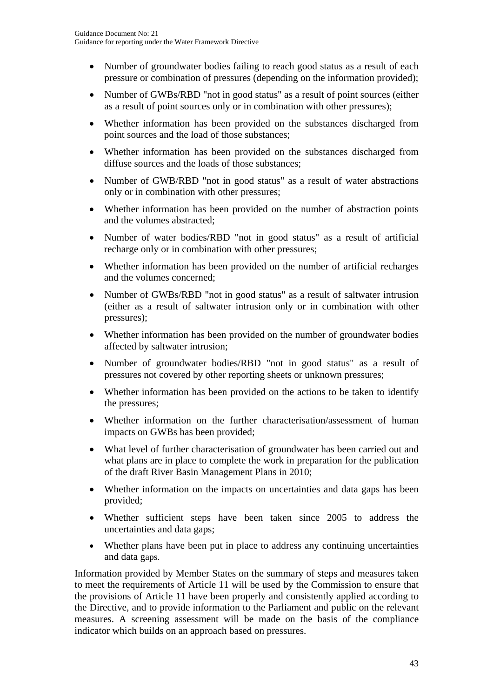- Number of groundwater bodies failing to reach good status as a result of each pressure or combination of pressures (depending on the information provided);
- Number of GWBs/RBD "not in good status" as a result of point sources (either as a result of point sources only or in combination with other pressures);
- Whether information has been provided on the substances discharged from point sources and the load of those substances;
- Whether information has been provided on the substances discharged from diffuse sources and the loads of those substances;
- Number of GWB/RBD "not in good status" as a result of water abstractions only or in combination with other pressures;
- Whether information has been provided on the number of abstraction points and the volumes abstracted;
- Number of water bodies/RBD "not in good status" as a result of artificial recharge only or in combination with other pressures;
- Whether information has been provided on the number of artificial recharges and the volumes concerned;
- Number of GWBs/RBD "not in good status" as a result of saltwater intrusion (either as a result of saltwater intrusion only or in combination with other pressures);
- Whether information has been provided on the number of groundwater bodies affected by saltwater intrusion;
- Number of groundwater bodies/RBD "not in good status" as a result of pressures not covered by other reporting sheets or unknown pressures;
- Whether information has been provided on the actions to be taken to identify the pressures;
- Whether information on the further characterisation/assessment of human impacts on GWBs has been provided;
- What level of further characterisation of groundwater has been carried out and what plans are in place to complete the work in preparation for the publication of the draft River Basin Management Plans in 2010;
- Whether information on the impacts on uncertainties and data gaps has been provided;
- Whether sufficient steps have been taken since 2005 to address the uncertainties and data gaps;
- Whether plans have been put in place to address any continuing uncertainties and data gaps.

Information provided by Member States on the summary of steps and measures taken to meet the requirements of Article 11 will be used by the Commission to ensure that the provisions of Article 11 have been properly and consistently applied according to the Directive, and to provide information to the Parliament and public on the relevant measures. A screening assessment will be made on the basis of the compliance indicator which builds on an approach based on pressures.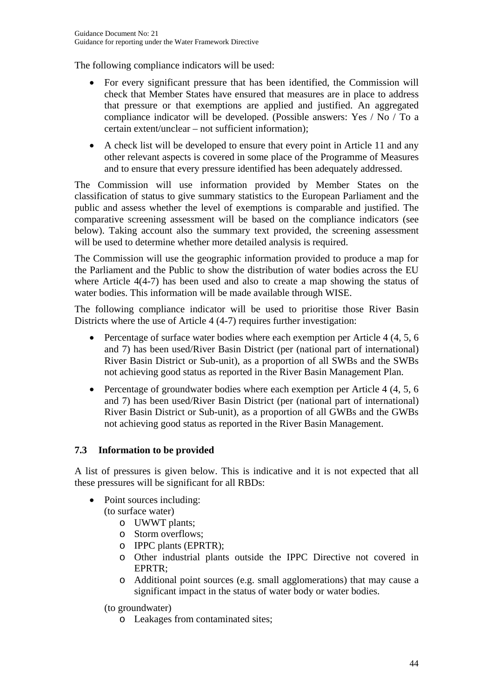The following compliance indicators will be used:

- For every significant pressure that has been identified, the Commission will check that Member States have ensured that measures are in place to address that pressure or that exemptions are applied and justified. An aggregated compliance indicator will be developed. (Possible answers: Yes / No / To a certain extent/unclear – not sufficient information);
- A check list will be developed to ensure that every point in Article 11 and any other relevant aspects is covered in some place of the Programme of Measures and to ensure that every pressure identified has been adequately addressed.

The Commission will use information provided by Member States on the classification of status to give summary statistics to the European Parliament and the public and assess whether the level of exemptions is comparable and justified. The comparative screening assessment will be based on the compliance indicators (see below). Taking account also the summary text provided, the screening assessment will be used to determine whether more detailed analysis is required.

The Commission will use the geographic information provided to produce a map for the Parliament and the Public to show the distribution of water bodies across the EU where Article 4(4-7) has been used and also to create a map showing the status of water bodies. This information will be made available through WISE.

The following compliance indicator will be used to prioritise those River Basin Districts where the use of Article 4 (4-7) requires further investigation:

- Percentage of surface water bodies where each exemption per Article 4 (4, 5, 6) and 7) has been used/River Basin District (per (national part of international) River Basin District or Sub-unit), as a proportion of all SWBs and the SWBs not achieving good status as reported in the River Basin Management Plan.
- Percentage of groundwater bodies where each exemption per Article 4 (4, 5, 6) and 7) has been used/River Basin District (per (national part of international) River Basin District or Sub-unit), as a proportion of all GWBs and the GWBs not achieving good status as reported in the River Basin Management.

# **7.3 Information to be provided**

A list of pressures is given below. This is indicative and it is not expected that all these pressures will be significant for all RBDs:

- Point sources including:
	- (to surface water)
		- o UWWT plants;
		- o Storm overflows;
		- o IPPC plants (EPRTR);
		- o Other industrial plants outside the IPPC Directive not covered in EPRTR;
		- o Additional point sources (e.g. small agglomerations) that may cause a significant impact in the status of water body or water bodies.

(to groundwater)

o Leakages from contaminated sites;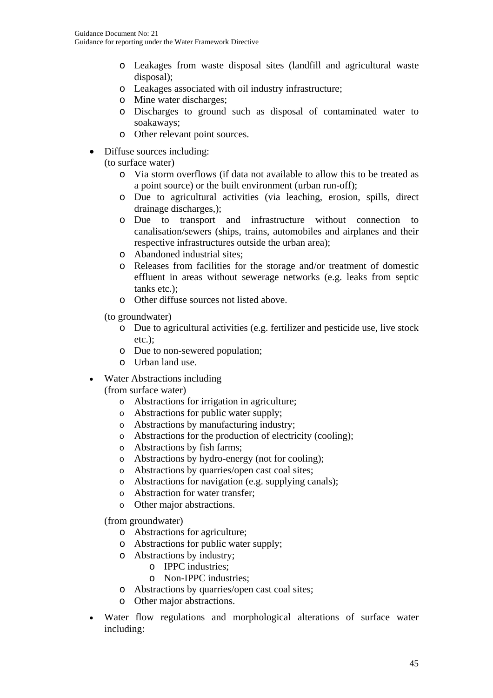- o Leakages from waste disposal sites (landfill and agricultural waste disposal);
- o Leakages associated with oil industry infrastructure;
- o Mine water discharges;
- o Discharges to ground such as disposal of contaminated water to soakaways;
- o Other relevant point sources.
- Diffuse sources including:

(to surface water)

- o Via storm overflows (if data not available to allow this to be treated as a point source) or the built environment (urban run-off);
- o Due to agricultural activities (via leaching, erosion, spills, direct drainage discharges,);
- o Due to transport and infrastructure without connection to canalisation/sewers (ships, trains, automobiles and airplanes and their respective infrastructures outside the urban area);
- o Abandoned industrial sites;
- o Releases from facilities for the storage and/or treatment of domestic effluent in areas without sewerage networks (e.g. leaks from septic tanks etc.);
- o Other diffuse sources not listed above.
- (to groundwater)
	- o Due to agricultural activities (e.g. fertilizer and pesticide use, live stock etc.);
	- o Due to non-sewered population;
	- o Urban land use.
- Water Abstractions including

(from surface water)

- o Abstractions for irrigation in agriculture;
- o Abstractions for public water supply;
- o Abstractions by manufacturing industry;
- o Abstractions for the production of electricity (cooling);
- o Abstractions by fish farms;
- o Abstractions by hydro-energy (not for cooling);
- o Abstractions by quarries/open cast coal sites;
- o Abstractions for navigation (e.g. supplying canals);
- o Abstraction for water transfer;
- o Other major abstractions.

(from groundwater)

- o Abstractions for agriculture;
- o Abstractions for public water supply;
- o Abstractions by industry;
	- o IPPC industries;
	- o Non-IPPC industries;
- o Abstractions by quarries/open cast coal sites;
- o Other major abstractions.
- Water flow regulations and morphological alterations of surface water including: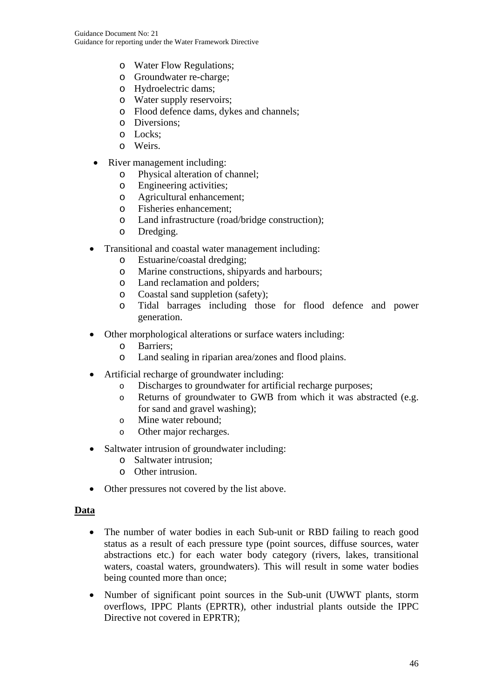- o Water Flow Regulations;
- o Groundwater re-charge;
- o Hydroelectric dams;
- o Water supply reservoirs;
- o Flood defence dams, dykes and channels;
- o Diversions;
- o Locks;
- o Weirs.
- River management including:
	- o Physical alteration of channel;
	- o Engineering activities;
	- o Agricultural enhancement;
	- o Fisheries enhancement;
	- o Land infrastructure (road/bridge construction);
	- o Dredging.
- Transitional and coastal water management including:
	- o Estuarine/coastal dredging;
	- o Marine constructions, shipyards and harbours;
	- o Land reclamation and polders;
	- o Coastal sand suppletion (safety);
	- o Tidal barrages including those for flood defence and power generation.
- Other morphological alterations or surface waters including:
	- o Barriers;
	- o Land sealing in riparian area/zones and flood plains.
- Artificial recharge of groundwater including:
	- o Discharges to groundwater for artificial recharge purposes;
	- o Returns of groundwater to GWB from which it was abstracted (e.g. for sand and gravel washing);
	- o Mine water rebound;
	- o Other major recharges.
- Saltwater intrusion of groundwater including:
	- o Saltwater intrusion;
	- o Other intrusion.
- Other pressures not covered by the list above.

#### **Data**

- The number of water bodies in each Sub-unit or RBD failing to reach good status as a result of each pressure type (point sources, diffuse sources, water abstractions etc.) for each water body category (rivers, lakes, transitional waters, coastal waters, groundwaters). This will result in some water bodies being counted more than once;
- Number of significant point sources in the Sub-unit (UWWT plants, storm overflows, IPPC Plants (EPRTR), other industrial plants outside the IPPC Directive not covered in EPRTR);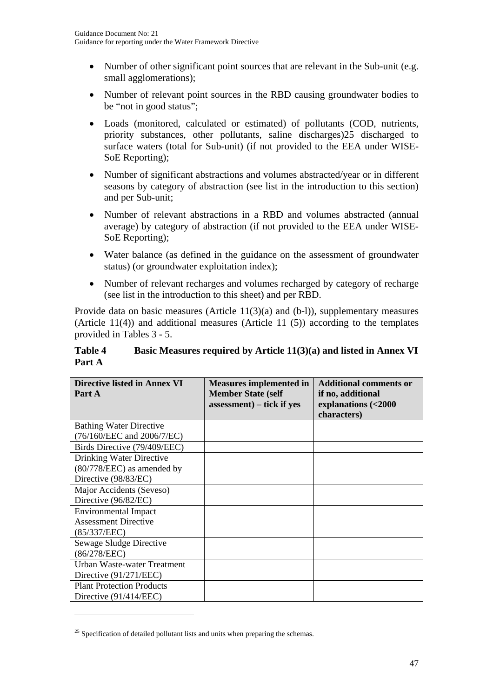- Number of other significant point sources that are relevant in the Sub-unit (e.g. small agglomerations);
- Number of relevant point sources in the RBD causing groundwater bodies to be "not in good status";
- Loads (monitored, calculated or estimated) of pollutants (COD, nutrients, priority substances, other pollutants, saline discharges)25 discharged to surface waters (total for Sub-unit) (if not provided to the EEA under WISE-SoE Reporting);
- Number of significant abstractions and volumes abstracted/year or in different seasons by category of abstraction (see list in the introduction to this section) and per Sub-unit;
- Number of relevant abstractions in a RBD and volumes abstracted (annual average) by category of abstraction (if not provided to the EEA under WISE-SoE Reporting);
- Water balance (as defined in the guidance on the assessment of groundwater status) (or groundwater exploitation index);
- Number of relevant recharges and volumes recharged by category of recharge (see list in the introduction to this sheet) and per RBD.

Provide data on basic measures (Article  $11(3)(a)$  and (b-1)), supplementary measures (Article 11(4)) and additional measures (Article 11 (5)) according to the templates provided in Tables 3 - 5.

#### **Table 4 Basic Measures required by Article 11(3)(a) and listed in Annex VI Part A**

| Directive listed in Annex VI<br>Part A | <b>Measures implemented in</b><br><b>Member State (self</b><br>$assessment) - tick if yes$ | <b>Additional comments or</b><br>if no, additional<br>explanations (<2000<br>characters) |
|----------------------------------------|--------------------------------------------------------------------------------------------|------------------------------------------------------------------------------------------|
| <b>Bathing Water Directive</b>         |                                                                                            |                                                                                          |
| (76/160/EEC and 2006/7/EC)             |                                                                                            |                                                                                          |
| Birds Directive (79/409/EEC)           |                                                                                            |                                                                                          |
| Drinking Water Directive               |                                                                                            |                                                                                          |
| $(80/778/EEC)$ as amended by           |                                                                                            |                                                                                          |
| Directive (98/83/EC)                   |                                                                                            |                                                                                          |
| Major Accidents (Seveso)               |                                                                                            |                                                                                          |
| Directive (96/82/EC)                   |                                                                                            |                                                                                          |
| <b>Environmental Impact</b>            |                                                                                            |                                                                                          |
| <b>Assessment Directive</b>            |                                                                                            |                                                                                          |
| (85/337/EEC)                           |                                                                                            |                                                                                          |
| Sewage Sludge Directive                |                                                                                            |                                                                                          |
| (86/278/EEC)                           |                                                                                            |                                                                                          |
| Urban Waste-water Treatment            |                                                                                            |                                                                                          |
| Directive $(91/271/EEC)$               |                                                                                            |                                                                                          |
| <b>Plant Protection Products</b>       |                                                                                            |                                                                                          |
| Directive $(91/414/EEC)$               |                                                                                            |                                                                                          |

 $25$  Specification of detailed pollutant lists and units when preparing the schemas.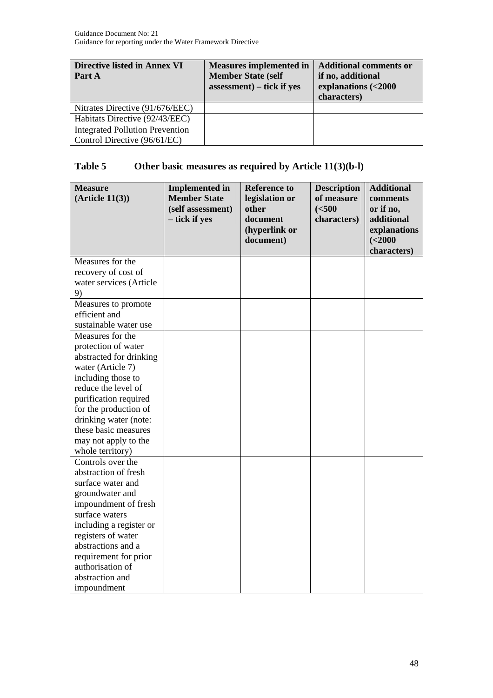| <b>Directive listed in Annex VI</b>    | <b>Measures implemented in</b> | <b>Additional comments or</b> |
|----------------------------------------|--------------------------------|-------------------------------|
| Part A                                 | <b>Member State (self)</b>     | if no, additional             |
|                                        | $assessment) - tick if yes$    | explanations (<2000           |
|                                        |                                | characters)                   |
| Nitrates Directive (91/676/EEC)        |                                |                               |
| Habitats Directive (92/43/EEC)         |                                |                               |
| <b>Integrated Pollution Prevention</b> |                                |                               |
| Control Directive (96/61/EC)           |                                |                               |

# **Table 5 Other basic measures as required by Article 11(3)(b-l)**

| <b>Measure</b><br>(Article 11(3)) | <b>Implemented in</b><br><b>Member State</b><br>(self assessment)<br>- tick if yes | <b>Reference to</b><br>legislation or<br>other<br>document<br>(hyperlink or<br>document) | <b>Description</b><br>of measure<br>(<500<br>characters) | <b>Additional</b><br>comments<br>or if no,<br>additional<br>explanations<br>(<2000<br>characters) |
|-----------------------------------|------------------------------------------------------------------------------------|------------------------------------------------------------------------------------------|----------------------------------------------------------|---------------------------------------------------------------------------------------------------|
| Measures for the                  |                                                                                    |                                                                                          |                                                          |                                                                                                   |
| recovery of cost of               |                                                                                    |                                                                                          |                                                          |                                                                                                   |
| water services (Article           |                                                                                    |                                                                                          |                                                          |                                                                                                   |
| 9)                                |                                                                                    |                                                                                          |                                                          |                                                                                                   |
| Measures to promote               |                                                                                    |                                                                                          |                                                          |                                                                                                   |
| efficient and                     |                                                                                    |                                                                                          |                                                          |                                                                                                   |
| sustainable water use             |                                                                                    |                                                                                          |                                                          |                                                                                                   |
| Measures for the                  |                                                                                    |                                                                                          |                                                          |                                                                                                   |
| protection of water               |                                                                                    |                                                                                          |                                                          |                                                                                                   |
| abstracted for drinking           |                                                                                    |                                                                                          |                                                          |                                                                                                   |
| water (Article 7)                 |                                                                                    |                                                                                          |                                                          |                                                                                                   |
| including those to                |                                                                                    |                                                                                          |                                                          |                                                                                                   |
| reduce the level of               |                                                                                    |                                                                                          |                                                          |                                                                                                   |
| purification required             |                                                                                    |                                                                                          |                                                          |                                                                                                   |
| for the production of             |                                                                                    |                                                                                          |                                                          |                                                                                                   |
| drinking water (note:             |                                                                                    |                                                                                          |                                                          |                                                                                                   |
| these basic measures              |                                                                                    |                                                                                          |                                                          |                                                                                                   |
| may not apply to the              |                                                                                    |                                                                                          |                                                          |                                                                                                   |
| whole territory)                  |                                                                                    |                                                                                          |                                                          |                                                                                                   |
| Controls over the                 |                                                                                    |                                                                                          |                                                          |                                                                                                   |
| abstraction of fresh              |                                                                                    |                                                                                          |                                                          |                                                                                                   |
| surface water and                 |                                                                                    |                                                                                          |                                                          |                                                                                                   |
| groundwater and                   |                                                                                    |                                                                                          |                                                          |                                                                                                   |
| impoundment of fresh              |                                                                                    |                                                                                          |                                                          |                                                                                                   |
| surface waters                    |                                                                                    |                                                                                          |                                                          |                                                                                                   |
| including a register or           |                                                                                    |                                                                                          |                                                          |                                                                                                   |
| registers of water                |                                                                                    |                                                                                          |                                                          |                                                                                                   |
| abstractions and a                |                                                                                    |                                                                                          |                                                          |                                                                                                   |
| requirement for prior             |                                                                                    |                                                                                          |                                                          |                                                                                                   |
| authorisation of                  |                                                                                    |                                                                                          |                                                          |                                                                                                   |
| abstraction and                   |                                                                                    |                                                                                          |                                                          |                                                                                                   |
| impoundment                       |                                                                                    |                                                                                          |                                                          |                                                                                                   |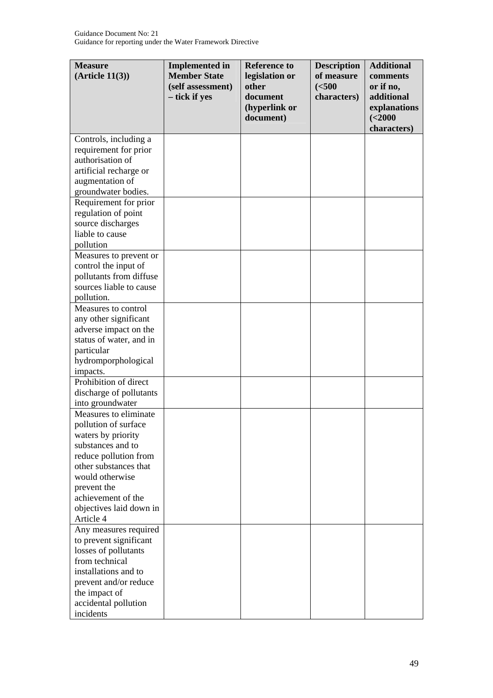| <b>Measure</b><br>(Article 11(3))      | <b>Implemented</b> in<br><b>Member State</b><br>(self assessment)<br>- tick if yes | <b>Reference to</b><br>legislation or<br>other<br>document<br>(hyperlink or<br>document) | <b>Description</b><br>of measure<br>(<500<br>characters) | <b>Additional</b><br>comments<br>or if no,<br>additional<br>explanations<br>( <b>2000</b> )<br>characters) |
|----------------------------------------|------------------------------------------------------------------------------------|------------------------------------------------------------------------------------------|----------------------------------------------------------|------------------------------------------------------------------------------------------------------------|
| Controls, including a                  |                                                                                    |                                                                                          |                                                          |                                                                                                            |
| requirement for prior                  |                                                                                    |                                                                                          |                                                          |                                                                                                            |
| authorisation of                       |                                                                                    |                                                                                          |                                                          |                                                                                                            |
| artificial recharge or                 |                                                                                    |                                                                                          |                                                          |                                                                                                            |
| augmentation of<br>groundwater bodies. |                                                                                    |                                                                                          |                                                          |                                                                                                            |
| Requirement for prior                  |                                                                                    |                                                                                          |                                                          |                                                                                                            |
| regulation of point                    |                                                                                    |                                                                                          |                                                          |                                                                                                            |
| source discharges                      |                                                                                    |                                                                                          |                                                          |                                                                                                            |
| liable to cause                        |                                                                                    |                                                                                          |                                                          |                                                                                                            |
| pollution                              |                                                                                    |                                                                                          |                                                          |                                                                                                            |
| Measures to prevent or                 |                                                                                    |                                                                                          |                                                          |                                                                                                            |
| control the input of                   |                                                                                    |                                                                                          |                                                          |                                                                                                            |
| pollutants from diffuse                |                                                                                    |                                                                                          |                                                          |                                                                                                            |
| sources liable to cause                |                                                                                    |                                                                                          |                                                          |                                                                                                            |
| pollution.                             |                                                                                    |                                                                                          |                                                          |                                                                                                            |
| Measures to control                    |                                                                                    |                                                                                          |                                                          |                                                                                                            |
| any other significant                  |                                                                                    |                                                                                          |                                                          |                                                                                                            |
| adverse impact on the                  |                                                                                    |                                                                                          |                                                          |                                                                                                            |
| status of water, and in                |                                                                                    |                                                                                          |                                                          |                                                                                                            |
| particular                             |                                                                                    |                                                                                          |                                                          |                                                                                                            |
| hydromporphological                    |                                                                                    |                                                                                          |                                                          |                                                                                                            |
| impacts.<br>Prohibition of direct      |                                                                                    |                                                                                          |                                                          |                                                                                                            |
| discharge of pollutants                |                                                                                    |                                                                                          |                                                          |                                                                                                            |
| into groundwater                       |                                                                                    |                                                                                          |                                                          |                                                                                                            |
| Measures to eliminate                  |                                                                                    |                                                                                          |                                                          |                                                                                                            |
| pollution of surface                   |                                                                                    |                                                                                          |                                                          |                                                                                                            |
| waters by priority                     |                                                                                    |                                                                                          |                                                          |                                                                                                            |
| substances and to                      |                                                                                    |                                                                                          |                                                          |                                                                                                            |
| reduce pollution from                  |                                                                                    |                                                                                          |                                                          |                                                                                                            |
| other substances that                  |                                                                                    |                                                                                          |                                                          |                                                                                                            |
| would otherwise                        |                                                                                    |                                                                                          |                                                          |                                                                                                            |
| prevent the                            |                                                                                    |                                                                                          |                                                          |                                                                                                            |
| achievement of the                     |                                                                                    |                                                                                          |                                                          |                                                                                                            |
| objectives laid down in                |                                                                                    |                                                                                          |                                                          |                                                                                                            |
| Article 4                              |                                                                                    |                                                                                          |                                                          |                                                                                                            |
| Any measures required                  |                                                                                    |                                                                                          |                                                          |                                                                                                            |
| to prevent significant                 |                                                                                    |                                                                                          |                                                          |                                                                                                            |
| losses of pollutants<br>from technical |                                                                                    |                                                                                          |                                                          |                                                                                                            |
| installations and to                   |                                                                                    |                                                                                          |                                                          |                                                                                                            |
| prevent and/or reduce                  |                                                                                    |                                                                                          |                                                          |                                                                                                            |
| the impact of                          |                                                                                    |                                                                                          |                                                          |                                                                                                            |
| accidental pollution                   |                                                                                    |                                                                                          |                                                          |                                                                                                            |
| incidents                              |                                                                                    |                                                                                          |                                                          |                                                                                                            |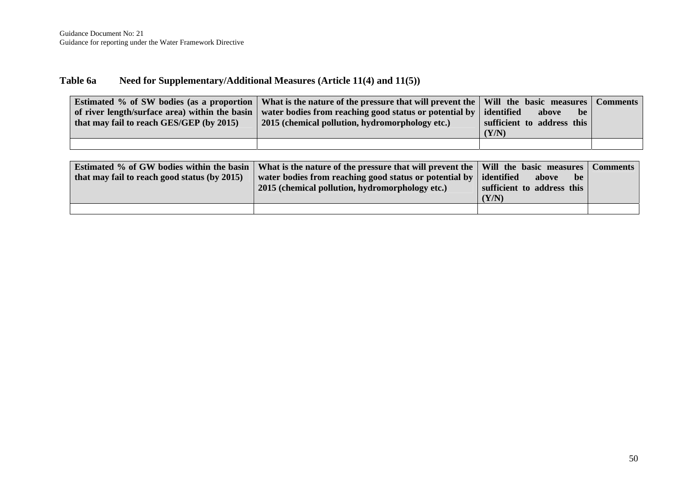## **Table 6a Need for Supplementary/Additional Measures (Article 11(4) and 11(5))**

|                                                | Estimated % of SW bodies (as a proportion   What is the nature of the pressure that will prevent the   Will the basic measures   Comments |                            |  |
|------------------------------------------------|-------------------------------------------------------------------------------------------------------------------------------------------|----------------------------|--|
| of river length/surface area) within the basin | water bodies from reaching good status or potential by identified                                                                         | above<br>be                |  |
| that may fail to reach GES/GEP (by 2015)       | 2015 (chemical pollution, hydromorphology etc.)                                                                                           | sufficient to address this |  |
|                                                |                                                                                                                                           | (Y/N)                      |  |
|                                                |                                                                                                                                           |                            |  |

| Estimated % of GW bodies within the basin<br>that may fail to reach good status (by 2015) | What is the nature of the pressure that will prevent the   Will the basic measures   Comments  <br>water bodies from reaching good status or potential by $\vert$ identified<br>2015 (chemical pollution, hydromorphology etc.) | above<br><b>be</b><br>sufficient to address this<br>(Y/N) |  |
|-------------------------------------------------------------------------------------------|---------------------------------------------------------------------------------------------------------------------------------------------------------------------------------------------------------------------------------|-----------------------------------------------------------|--|
|                                                                                           |                                                                                                                                                                                                                                 |                                                           |  |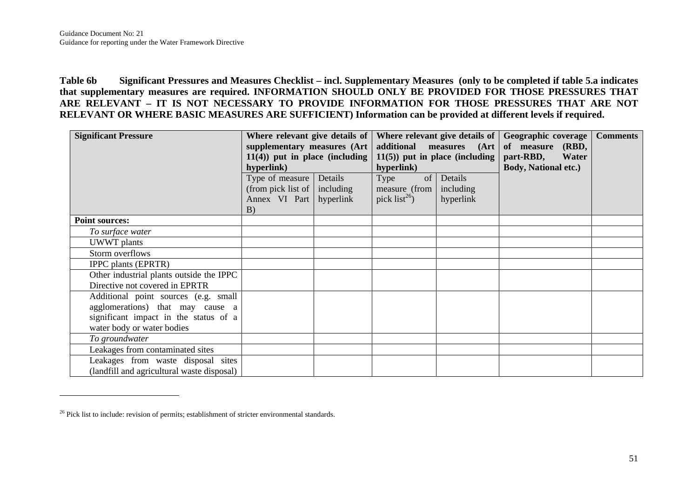**Table 6b Significant Pressures and Measures Checklist – incl. Supplementary Measures (only to be completed if table 5.a indicates that supplementary measures are required. INFORMATION SHOULD ONLY BE PROVIDED FOR THOSE PRESSURES THAT ARE RELEVANT – IT IS NOT NECESSARY TO PROVIDE INFORMATION FOR THOSE PRESSURES THAT ARE NOT RELEVANT OR WHERE BASIC MEASURES ARE SUFFICIENT) Information can be provided at different levels if required.** 

| <b>Significant Pressure</b>                |                                 |           | Where relevant give details of   Where relevant give details of |                                 | Geographic coverage         | <b>Comments</b> |
|--------------------------------------------|---------------------------------|-----------|-----------------------------------------------------------------|---------------------------------|-----------------------------|-----------------|
|                                            | supplementary measures (Art     |           | additional measures (Art)                                       |                                 | of measure (RBD,            |                 |
|                                            | $11(4)$ put in place (including |           |                                                                 | $11(5)$ put in place (including | part-RBD,<br><b>Water</b>   |                 |
|                                            | hyperlink)                      |           | hyperlink)                                                      |                                 | <b>Body, National etc.)</b> |                 |
|                                            | Type of measure                 | Details   | of<br>Type                                                      | Details                         |                             |                 |
|                                            | (from pick list of $\vert$      | including | measure (from                                                   | including                       |                             |                 |
|                                            | Annex VI Part hyperlink         |           | pick list <sup>26</sup> )                                       | hyperlink                       |                             |                 |
|                                            | B)                              |           |                                                                 |                                 |                             |                 |
| <b>Point sources:</b>                      |                                 |           |                                                                 |                                 |                             |                 |
| To surface water                           |                                 |           |                                                                 |                                 |                             |                 |
| <b>UWWT</b> plants                         |                                 |           |                                                                 |                                 |                             |                 |
| Storm overflows                            |                                 |           |                                                                 |                                 |                             |                 |
| <b>IPPC</b> plants (EPRTR)                 |                                 |           |                                                                 |                                 |                             |                 |
| Other industrial plants outside the IPPC   |                                 |           |                                                                 |                                 |                             |                 |
| Directive not covered in EPRTR             |                                 |           |                                                                 |                                 |                             |                 |
| Additional point sources (e.g. small       |                                 |           |                                                                 |                                 |                             |                 |
| agglomerations) that may cause a           |                                 |           |                                                                 |                                 |                             |                 |
| significant impact in the status of a      |                                 |           |                                                                 |                                 |                             |                 |
| water body or water bodies                 |                                 |           |                                                                 |                                 |                             |                 |
| To groundwater                             |                                 |           |                                                                 |                                 |                             |                 |
| Leakages from contaminated sites           |                                 |           |                                                                 |                                 |                             |                 |
| Leakages from waste disposal sites         |                                 |           |                                                                 |                                 |                             |                 |
| (landfill and agricultural waste disposal) |                                 |           |                                                                 |                                 |                             |                 |

<sup>&</sup>lt;sup>26</sup> Pick list to include: revision of permits; establishment of stricter environmental standards.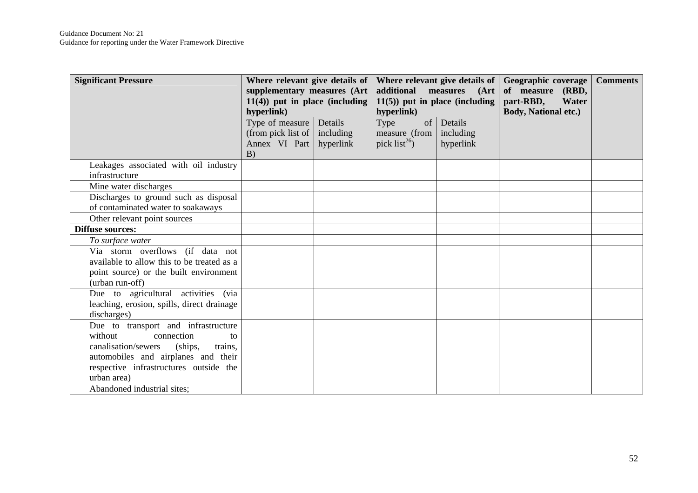| <b>Significant Pressure</b>                | Where relevant give details of<br>supplementary measures (Art<br>$11(4)$ put in place (including<br>hyperlink) |           | additional<br>hyperlink)                   | Where relevant give details of $\vert$<br>measures<br>(Art)<br>$11(5)$ put in place (including | Geographic coverage<br>of measure (RBD,<br>part-RBD,<br>Water<br><b>Body, National etc.)</b> | <b>Comments</b> |
|--------------------------------------------|----------------------------------------------------------------------------------------------------------------|-----------|--------------------------------------------|------------------------------------------------------------------------------------------------|----------------------------------------------------------------------------------------------|-----------------|
|                                            | Type of measure                                                                                                | Details   | Type<br>of <sub>1</sub>                    | Details                                                                                        |                                                                                              |                 |
|                                            | (from pick list of $\vert$                                                                                     | including | measure (from<br>pick list <sup>26</sup> ) | including                                                                                      |                                                                                              |                 |
|                                            | Annex VI Part hyperlink<br>B)                                                                                  |           |                                            | hyperlink                                                                                      |                                                                                              |                 |
| Leakages associated with oil industry      |                                                                                                                |           |                                            |                                                                                                |                                                                                              |                 |
| infrastructure                             |                                                                                                                |           |                                            |                                                                                                |                                                                                              |                 |
| Mine water discharges                      |                                                                                                                |           |                                            |                                                                                                |                                                                                              |                 |
| Discharges to ground such as disposal      |                                                                                                                |           |                                            |                                                                                                |                                                                                              |                 |
| of contaminated water to soakaways         |                                                                                                                |           |                                            |                                                                                                |                                                                                              |                 |
| Other relevant point sources               |                                                                                                                |           |                                            |                                                                                                |                                                                                              |                 |
| <b>Diffuse sources:</b>                    |                                                                                                                |           |                                            |                                                                                                |                                                                                              |                 |
| To surface water                           |                                                                                                                |           |                                            |                                                                                                |                                                                                              |                 |
| Via storm overflows (if data not           |                                                                                                                |           |                                            |                                                                                                |                                                                                              |                 |
| available to allow this to be treated as a |                                                                                                                |           |                                            |                                                                                                |                                                                                              |                 |
| point source) or the built environment     |                                                                                                                |           |                                            |                                                                                                |                                                                                              |                 |
| (urban run-off)                            |                                                                                                                |           |                                            |                                                                                                |                                                                                              |                 |
| Due to agricultural activities (via        |                                                                                                                |           |                                            |                                                                                                |                                                                                              |                 |
| leaching, erosion, spills, direct drainage |                                                                                                                |           |                                            |                                                                                                |                                                                                              |                 |
| discharges)                                |                                                                                                                |           |                                            |                                                                                                |                                                                                              |                 |
| Due to transport and infrastructure        |                                                                                                                |           |                                            |                                                                                                |                                                                                              |                 |
| without<br>connection<br>to                |                                                                                                                |           |                                            |                                                                                                |                                                                                              |                 |
| canalisation/sewers<br>(ships,<br>trains,  |                                                                                                                |           |                                            |                                                                                                |                                                                                              |                 |
| automobiles and airplanes and their        |                                                                                                                |           |                                            |                                                                                                |                                                                                              |                 |
| respective infrastructures outside the     |                                                                                                                |           |                                            |                                                                                                |                                                                                              |                 |
| urban area)                                |                                                                                                                |           |                                            |                                                                                                |                                                                                              |                 |
| Abandoned industrial sites:                |                                                                                                                |           |                                            |                                                                                                |                                                                                              |                 |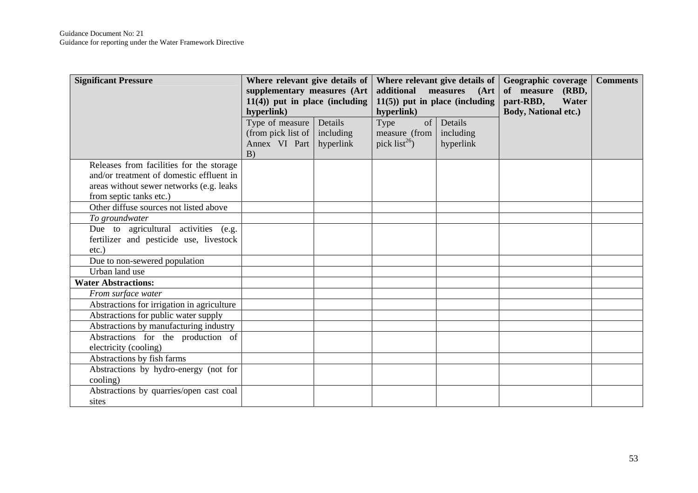| <b>Significant Pressure</b>                                                                                                                                 | Where relevant give details of<br>supplementary measures (Art<br>$11(4)$ put in place (including |                                   | additional                                                             | Where relevant give details of $\vert$<br>measures<br>(Art)<br>$11(5)$ put in place (including | Geographic coverage<br>of measure (RBD,<br>part-RBD,<br>Water | <b>Comments</b> |
|-------------------------------------------------------------------------------------------------------------------------------------------------------------|--------------------------------------------------------------------------------------------------|-----------------------------------|------------------------------------------------------------------------|------------------------------------------------------------------------------------------------|---------------------------------------------------------------|-----------------|
|                                                                                                                                                             | hyperlink)<br>Type of measure  <br>(from pick list of<br>Annex VI Part<br>B)                     | Details<br>including<br>hyperlink | hyperlink)<br>of<br>Type<br>measure (from<br>pick list <sup>26</sup> ) | Details<br>including<br>hyperlink                                                              | <b>Body, National etc.)</b>                                   |                 |
| Releases from facilities for the storage<br>and/or treatment of domestic effluent in<br>areas without sewer networks (e.g. leaks<br>from septic tanks etc.) |                                                                                                  |                                   |                                                                        |                                                                                                |                                                               |                 |
| Other diffuse sources not listed above                                                                                                                      |                                                                                                  |                                   |                                                                        |                                                                                                |                                                               |                 |
| To groundwater                                                                                                                                              |                                                                                                  |                                   |                                                                        |                                                                                                |                                                               |                 |
| Due to agricultural activities (e.g.<br>fertilizer and pesticide use, livestock<br>$etc.$ )                                                                 |                                                                                                  |                                   |                                                                        |                                                                                                |                                                               |                 |
| Due to non-sewered population                                                                                                                               |                                                                                                  |                                   |                                                                        |                                                                                                |                                                               |                 |
| Urban land use                                                                                                                                              |                                                                                                  |                                   |                                                                        |                                                                                                |                                                               |                 |
| <b>Water Abstractions:</b>                                                                                                                                  |                                                                                                  |                                   |                                                                        |                                                                                                |                                                               |                 |
| From surface water                                                                                                                                          |                                                                                                  |                                   |                                                                        |                                                                                                |                                                               |                 |
| Abstractions for irrigation in agriculture                                                                                                                  |                                                                                                  |                                   |                                                                        |                                                                                                |                                                               |                 |
| Abstractions for public water supply                                                                                                                        |                                                                                                  |                                   |                                                                        |                                                                                                |                                                               |                 |
| Abstractions by manufacturing industry                                                                                                                      |                                                                                                  |                                   |                                                                        |                                                                                                |                                                               |                 |
| Abstractions for the production of<br>electricity (cooling)                                                                                                 |                                                                                                  |                                   |                                                                        |                                                                                                |                                                               |                 |
| Abstractions by fish farms                                                                                                                                  |                                                                                                  |                                   |                                                                        |                                                                                                |                                                               |                 |
| Abstractions by hydro-energy (not for<br>cooling)                                                                                                           |                                                                                                  |                                   |                                                                        |                                                                                                |                                                               |                 |
| Abstractions by quarries/open cast coal<br>sites                                                                                                            |                                                                                                  |                                   |                                                                        |                                                                                                |                                                               |                 |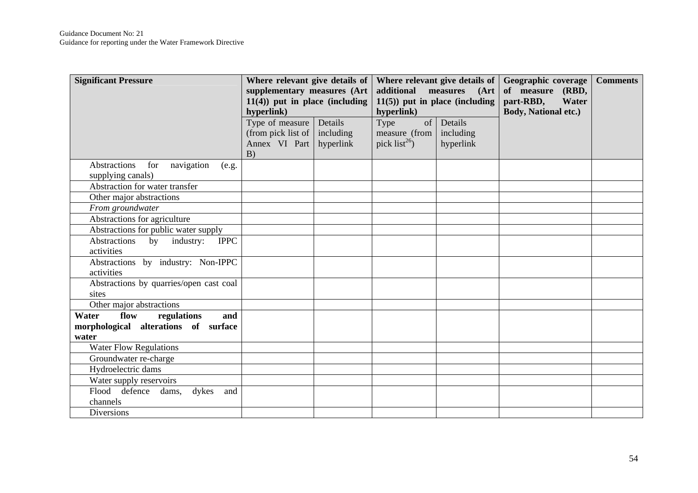| <b>Significant Pressure</b>                                                       | Where relevant give details of<br>supplementary measures (Art<br>$11(4)$ put in place (including<br>hyperlink) |                                   | additional<br>hyperlink)                                              | Where relevant give details of<br>measures<br>(Art)<br>$11(5)$ put in place (including | Geographic coverage<br>of measure (RBD,<br>part-RBD,<br>Water<br><b>Body, National etc.)</b> | <b>Comments</b> |
|-----------------------------------------------------------------------------------|----------------------------------------------------------------------------------------------------------------|-----------------------------------|-----------------------------------------------------------------------|----------------------------------------------------------------------------------------|----------------------------------------------------------------------------------------------|-----------------|
|                                                                                   | Type of measure<br>(from pick list of $\vert$<br>Annex VI Part<br>B)                                           | Details<br>including<br>hyperlink | of <sub>1</sub><br>Type<br>measure (from<br>pick list <sup>26</sup> ) | Details<br>including<br>hyperlink                                                      |                                                                                              |                 |
| Abstractions<br>for<br>navigation<br>(e.g.<br>supplying canals)                   |                                                                                                                |                                   |                                                                       |                                                                                        |                                                                                              |                 |
| Abstraction for water transfer                                                    |                                                                                                                |                                   |                                                                       |                                                                                        |                                                                                              |                 |
| Other major abstractions                                                          |                                                                                                                |                                   |                                                                       |                                                                                        |                                                                                              |                 |
| From groundwater                                                                  |                                                                                                                |                                   |                                                                       |                                                                                        |                                                                                              |                 |
| Abstractions for agriculture                                                      |                                                                                                                |                                   |                                                                       |                                                                                        |                                                                                              |                 |
| Abstractions for public water supply                                              |                                                                                                                |                                   |                                                                       |                                                                                        |                                                                                              |                 |
| Abstractions<br><b>IPPC</b><br>industry:<br>$\mathbf{b} \mathbf{v}$<br>activities |                                                                                                                |                                   |                                                                       |                                                                                        |                                                                                              |                 |
| Abstractions by industry: Non-IPPC<br>activities                                  |                                                                                                                |                                   |                                                                       |                                                                                        |                                                                                              |                 |
| Abstractions by quarries/open cast coal<br>sites                                  |                                                                                                                |                                   |                                                                       |                                                                                        |                                                                                              |                 |
| Other major abstractions                                                          |                                                                                                                |                                   |                                                                       |                                                                                        |                                                                                              |                 |
| Water<br>flow<br>regulations<br>and                                               |                                                                                                                |                                   |                                                                       |                                                                                        |                                                                                              |                 |
| morphological alterations of surface                                              |                                                                                                                |                                   |                                                                       |                                                                                        |                                                                                              |                 |
| water                                                                             |                                                                                                                |                                   |                                                                       |                                                                                        |                                                                                              |                 |
| <b>Water Flow Regulations</b>                                                     |                                                                                                                |                                   |                                                                       |                                                                                        |                                                                                              |                 |
| Groundwater re-charge                                                             |                                                                                                                |                                   |                                                                       |                                                                                        |                                                                                              |                 |
| Hydroelectric dams                                                                |                                                                                                                |                                   |                                                                       |                                                                                        |                                                                                              |                 |
| Water supply reservoirs                                                           |                                                                                                                |                                   |                                                                       |                                                                                        |                                                                                              |                 |
| Flood defence dams,<br>dykes<br>and<br>channels                                   |                                                                                                                |                                   |                                                                       |                                                                                        |                                                                                              |                 |
| <b>Diversions</b>                                                                 |                                                                                                                |                                   |                                                                       |                                                                                        |                                                                                              |                 |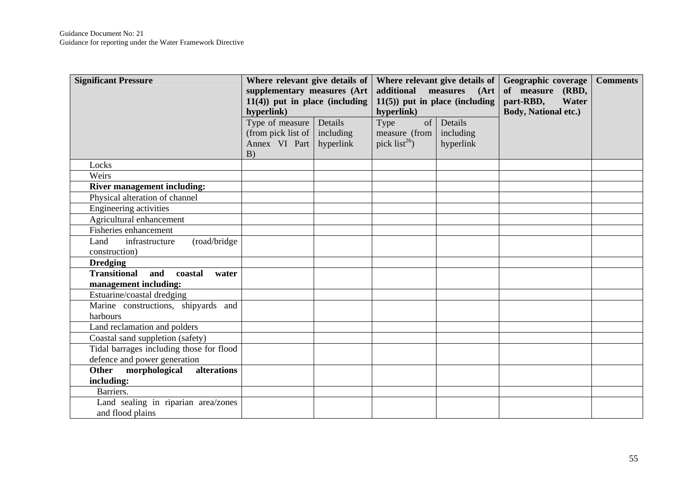| <b>Significant Pressure</b>                    | Where relevant give details of<br>supplementary measures (Art<br>$11(4)$ put in place (including<br>hyperlink) |                      | additional<br>hyperlink)                                              | Where relevant give details of<br>measures<br>(Art)<br>$11(5)$ put in place (including | Geographic coverage<br>of measure (RBD,<br>part-RBD,<br>Water<br><b>Body, National etc.)</b> | <b>Comments</b> |
|------------------------------------------------|----------------------------------------------------------------------------------------------------------------|----------------------|-----------------------------------------------------------------------|----------------------------------------------------------------------------------------|----------------------------------------------------------------------------------------------|-----------------|
|                                                | Type of measure<br>(from pick list of $\vert$<br>Annex VI Part   hyperlink<br>B)                               | Details<br>including | of <sub>1</sub><br>Type<br>measure (from<br>pick list <sup>26</sup> ) | Details<br>including<br>hyperlink                                                      |                                                                                              |                 |
| Locks                                          |                                                                                                                |                      |                                                                       |                                                                                        |                                                                                              |                 |
| Weirs                                          |                                                                                                                |                      |                                                                       |                                                                                        |                                                                                              |                 |
| <b>River management including:</b>             |                                                                                                                |                      |                                                                       |                                                                                        |                                                                                              |                 |
| Physical alteration of channel                 |                                                                                                                |                      |                                                                       |                                                                                        |                                                                                              |                 |
| Engineering activities                         |                                                                                                                |                      |                                                                       |                                                                                        |                                                                                              |                 |
| Agricultural enhancement                       |                                                                                                                |                      |                                                                       |                                                                                        |                                                                                              |                 |
| Fisheries enhancement                          |                                                                                                                |                      |                                                                       |                                                                                        |                                                                                              |                 |
| infrastructure<br>(road/bridge<br>Land         |                                                                                                                |                      |                                                                       |                                                                                        |                                                                                              |                 |
| construction)                                  |                                                                                                                |                      |                                                                       |                                                                                        |                                                                                              |                 |
| <b>Dredging</b>                                |                                                                                                                |                      |                                                                       |                                                                                        |                                                                                              |                 |
| <b>Transitional</b><br>and<br>coastal<br>water |                                                                                                                |                      |                                                                       |                                                                                        |                                                                                              |                 |
| management including:                          |                                                                                                                |                      |                                                                       |                                                                                        |                                                                                              |                 |
| Estuarine/coastal dredging                     |                                                                                                                |                      |                                                                       |                                                                                        |                                                                                              |                 |
| Marine constructions, shipyards and            |                                                                                                                |                      |                                                                       |                                                                                        |                                                                                              |                 |
| harbours                                       |                                                                                                                |                      |                                                                       |                                                                                        |                                                                                              |                 |
| Land reclamation and polders                   |                                                                                                                |                      |                                                                       |                                                                                        |                                                                                              |                 |
| Coastal sand suppletion (safety)               |                                                                                                                |                      |                                                                       |                                                                                        |                                                                                              |                 |
| Tidal barrages including those for flood       |                                                                                                                |                      |                                                                       |                                                                                        |                                                                                              |                 |
| defence and power generation                   |                                                                                                                |                      |                                                                       |                                                                                        |                                                                                              |                 |
| Other morphological<br>alterations             |                                                                                                                |                      |                                                                       |                                                                                        |                                                                                              |                 |
| including:                                     |                                                                                                                |                      |                                                                       |                                                                                        |                                                                                              |                 |
| Barriers.                                      |                                                                                                                |                      |                                                                       |                                                                                        |                                                                                              |                 |
| Land sealing in riparian area/zones            |                                                                                                                |                      |                                                                       |                                                                                        |                                                                                              |                 |
| and flood plains                               |                                                                                                                |                      |                                                                       |                                                                                        |                                                                                              |                 |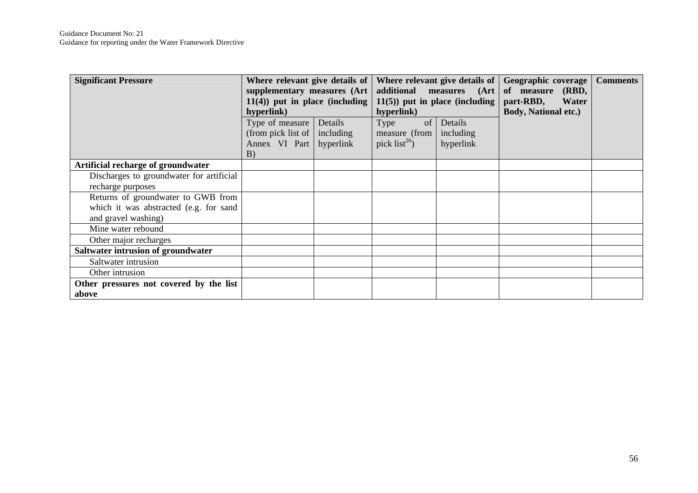| <b>Significant Pressure</b>              | Where relevant give details of<br>supplementary measures (Art<br>$11(4)$ put in place (including<br>hyperlink) |  | Where relevant give details of $\vert$<br>additional measures (Art)<br>$11(5)$ put in place (including<br>hyperlink) |           | Geographic coverage<br>of measure (RBD,<br>part-RBD,<br>Water<br><b>Body, National etc.)</b> | <b>Comments</b> |
|------------------------------------------|----------------------------------------------------------------------------------------------------------------|--|----------------------------------------------------------------------------------------------------------------------|-----------|----------------------------------------------------------------------------------------------|-----------------|
|                                          | Type of measure   Details                                                                                      |  | Type<br>$of \mid$                                                                                                    | Details   |                                                                                              |                 |
|                                          | (from pick list of $\vert$ including                                                                           |  | measure (from                                                                                                        | including |                                                                                              |                 |
|                                          | Annex VI Part hyperlink                                                                                        |  | pick list <sup>26</sup> )                                                                                            | hyperlink |                                                                                              |                 |
|                                          | B)                                                                                                             |  |                                                                                                                      |           |                                                                                              |                 |
| Artificial recharge of groundwater       |                                                                                                                |  |                                                                                                                      |           |                                                                                              |                 |
| Discharges to groundwater for artificial |                                                                                                                |  |                                                                                                                      |           |                                                                                              |                 |
| recharge purposes                        |                                                                                                                |  |                                                                                                                      |           |                                                                                              |                 |
| Returns of groundwater to GWB from       |                                                                                                                |  |                                                                                                                      |           |                                                                                              |                 |
| which it was abstracted (e.g. for sand   |                                                                                                                |  |                                                                                                                      |           |                                                                                              |                 |
| and gravel washing)                      |                                                                                                                |  |                                                                                                                      |           |                                                                                              |                 |
| Mine water rebound                       |                                                                                                                |  |                                                                                                                      |           |                                                                                              |                 |
| Other major recharges                    |                                                                                                                |  |                                                                                                                      |           |                                                                                              |                 |
| Saltwater intrusion of groundwater       |                                                                                                                |  |                                                                                                                      |           |                                                                                              |                 |
| Saltwater intrusion                      |                                                                                                                |  |                                                                                                                      |           |                                                                                              |                 |
| Other intrusion                          |                                                                                                                |  |                                                                                                                      |           |                                                                                              |                 |
| Other pressures not covered by the list  |                                                                                                                |  |                                                                                                                      |           |                                                                                              |                 |
| above                                    |                                                                                                                |  |                                                                                                                      |           |                                                                                              |                 |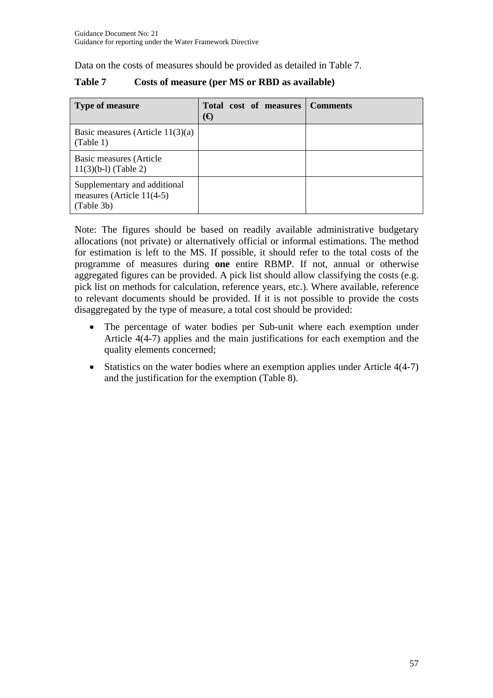Data on the costs of measures should be provided as detailed in Table 7.

| Table 7 | Costs of measure (per MS or RBD as available) |
|---------|-----------------------------------------------|
|---------|-----------------------------------------------|

| <b>Type of measure</b>                                                      | Total cost of measures<br>(€) | <b>Comments</b> |
|-----------------------------------------------------------------------------|-------------------------------|-----------------|
| Basic measures (Article $11(3)(a)$<br>(Table 1)                             |                               |                 |
| Basic measures (Article<br>$11(3)(b-1)$ (Table 2)                           |                               |                 |
| Supplementary and additional<br>measures (Article $11(4-5)$ )<br>(Table 3b) |                               |                 |

Note: The figures should be based on readily available administrative budgetary allocations (not private) or alternatively official or informal estimations. The method for estimation is left to the MS. If possible, it should refer to the total costs of the programme of measures during **one** entire RBMP. If not, annual or otherwise aggregated figures can be provided. A pick list should allow classifying the costs (e.g. pick list on methods for calculation, reference years, etc.). Where available, reference to relevant documents should be provided. If it is not possible to provide the costs disaggregated by the type of measure, a total cost should be provided:

- The percentage of water bodies per Sub-unit where each exemption under Article 4(4-7) applies and the main justifications for each exemption and the quality elements concerned;
- Statistics on the water bodies where an exemption applies under Article 4(4-7) and the justification for the exemption (Table 8).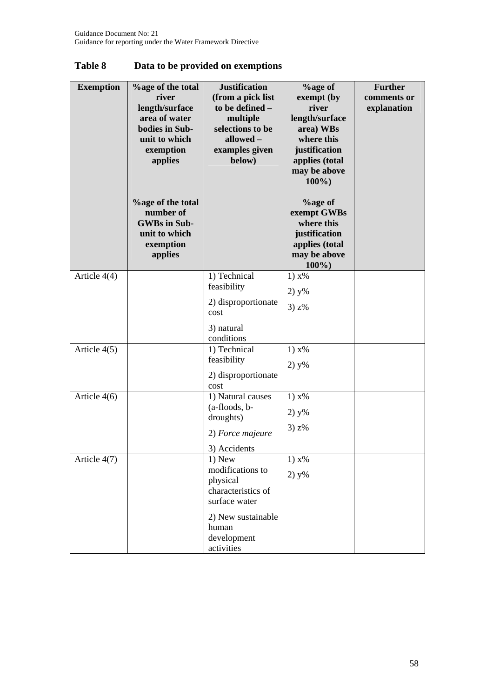| <b>Exemption</b> | <b>%age of the total</b><br>river<br>length/surface<br>area of water<br>bodies in Sub-<br>unit to which<br>exemption<br>applies | <b>Justification</b><br>(from a pick list<br>to be defined -<br>multiple<br>selections to be<br>allowed -<br>examples given<br>below)       | <b>%age of</b><br>exempt (by<br>river<br>length/surface<br>area) WBs<br>where this<br>justification<br>applies (total<br>may be above<br>$100\%$ | <b>Further</b><br>comments or<br>explanation |
|------------------|---------------------------------------------------------------------------------------------------------------------------------|---------------------------------------------------------------------------------------------------------------------------------------------|--------------------------------------------------------------------------------------------------------------------------------------------------|----------------------------------------------|
|                  | <b>%age of the total</b><br>number of<br><b>GWBs</b> in Sub-<br>unit to which<br>exemption<br>applies                           |                                                                                                                                             | <b>%age of</b><br>exempt GWBs<br>where this<br>justification<br>applies (total<br>may be above<br>$100\%$                                        |                                              |
| Article 4(4)     |                                                                                                                                 | 1) Technical<br>feasibility<br>2) disproportionate<br>cost<br>3) natural<br>conditions                                                      | 1) $x\%$<br>$2) y\%$<br>$3)$ $z\%$                                                                                                               |                                              |
| Article 4(5)     |                                                                                                                                 | 1) Technical<br>feasibility<br>2) disproportionate<br>cost                                                                                  | 1) $x\%$<br>$2) y\%$                                                                                                                             |                                              |
| Article 4(6)     |                                                                                                                                 | 1) Natural causes<br>(a-floods, b-<br>droughts)<br>2) Force majeure<br>3) Accidents                                                         | $1)$ $x\%$<br>$2)$ y%<br>$3)$ $z\%$                                                                                                              |                                              |
| Article 4(7)     |                                                                                                                                 | $1)$ New<br>modifications to<br>physical<br>characteristics of<br>surface water<br>2) New sustainable<br>human<br>development<br>activities | 1) $x\%$<br>$2) y\%$                                                                                                                             |                                              |

# **Table 8 Data to be provided on exemptions**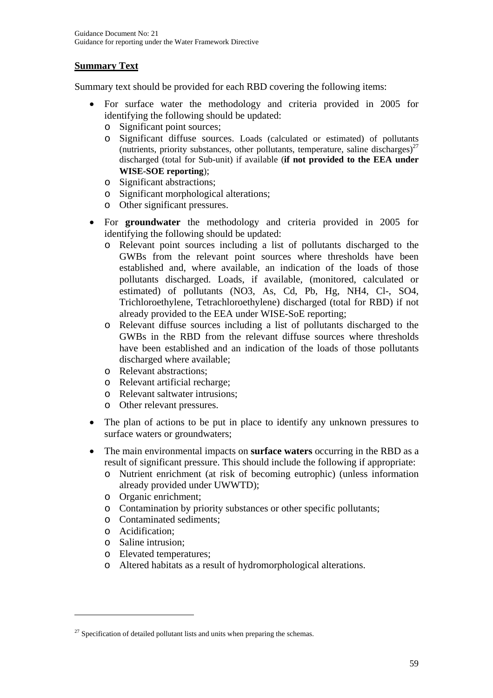## **Summary Text**

Summary text should be provided for each RBD covering the following items:

- For surface water the methodology and criteria provided in 2005 for identifying the following should be updated:
	- o Significant point sources;
	- o Significant diffuse sources. Loads (calculated or estimated) of pollutants (nutrients, priority substances, other pollutants, temperature, saline discharges)<sup>27</sup> discharged (total for Sub-unit) if available (**if not provided to the EEA under WISE-SOE reporting**);
	- o Significant abstractions;
	- o Significant morphological alterations;
	- o Other significant pressures.
- For **groundwater** the methodology and criteria provided in 2005 for identifying the following should be updated:
	- o Relevant point sources including a list of pollutants discharged to the GWBs from the relevant point sources where thresholds have been established and, where available, an indication of the loads of those pollutants discharged. Loads, if available, (monitored, calculated or estimated) of pollutants (NO3, As, Cd, Pb, Hg, NH4, Cl-, SO4, Trichloroethylene, Tetrachloroethylene) discharged (total for RBD) if not already provided to the EEA under WISE-SoE reporting;
	- o Relevant diffuse sources including a list of pollutants discharged to the GWBs in the RBD from the relevant diffuse sources where thresholds have been established and an indication of the loads of those pollutants discharged where available;
	- o Relevant abstractions;
	- o Relevant artificial recharge;
	- o Relevant saltwater intrusions;
	- o Other relevant pressures.
- The plan of actions to be put in place to identify any unknown pressures to surface waters or groundwaters;
- The main environmental impacts on **surface waters** occurring in the RBD as a result of significant pressure. This should include the following if appropriate:
	- o Nutrient enrichment (at risk of becoming eutrophic) (unless information already provided under UWWTD);
	- o Organic enrichment;
	- o Contamination by priority substances or other specific pollutants;
	- o Contaminated sediments;
	- o Acidification;

- o Saline intrusion;
- o Elevated temperatures;
- o Altered habitats as a result of hydromorphological alterations.

 $27$  Specification of detailed pollutant lists and units when preparing the schemas.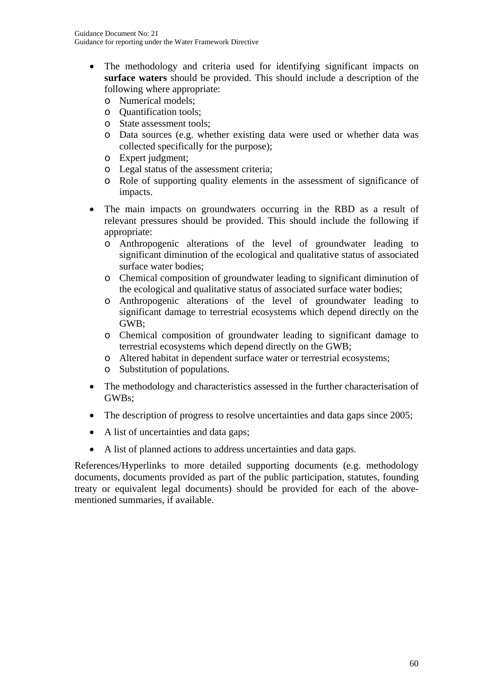- The methodology and criteria used for identifying significant impacts on **surface waters** should be provided. This should include a description of the following where appropriate:
	- o Numerical models;
	- o Quantification tools;
	- o State assessment tools;
	- o Data sources (e.g. whether existing data were used or whether data was collected specifically for the purpose);
	- o Expert judgment;
	- o Legal status of the assessment criteria;
	- o Role of supporting quality elements in the assessment of significance of impacts.
- The main impacts on groundwaters occurring in the RBD as a result of relevant pressures should be provided. This should include the following if appropriate:
	- o Anthropogenic alterations of the level of groundwater leading to significant diminution of the ecological and qualitative status of associated surface water bodies;
	- o Chemical composition of groundwater leading to significant diminution of the ecological and qualitative status of associated surface water bodies;
	- o Anthropogenic alterations of the level of groundwater leading to significant damage to terrestrial ecosystems which depend directly on the GWB;
	- o Chemical composition of groundwater leading to significant damage to terrestrial ecosystems which depend directly on the GWB;
	- o Altered habitat in dependent surface water or terrestrial ecosystems;
	- o Substitution of populations.
- The methodology and characteristics assessed in the further characterisation of GWBs;
- The description of progress to resolve uncertainties and data gaps since 2005;
- A list of uncertainties and data gaps;
- A list of planned actions to address uncertainties and data gaps.

References/Hyperlinks to more detailed supporting documents (e.g. methodology documents, documents provided as part of the public participation, statutes, founding treaty or equivalent legal documents) should be provided for each of the abovementioned summaries, if available.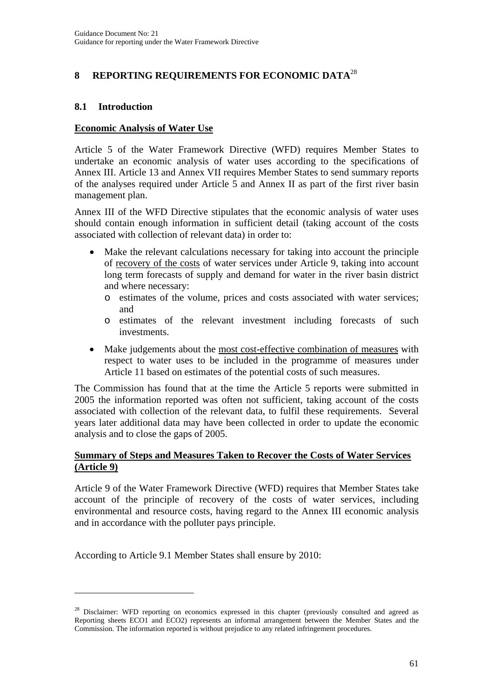# **8 REPORTING REQUIREMENTS FOR ECONOMIC DATA**<sup>28</sup>

#### **8.1 Introduction**

#### **Economic Analysis of Water Use**

Article 5 of the Water Framework Directive (WFD) requires Member States to undertake an economic analysis of water uses according to the specifications of Annex III. Article 13 and Annex VII requires Member States to send summary reports of the analyses required under Article 5 and Annex II as part of the first river basin management plan.

Annex III of the WFD Directive stipulates that the economic analysis of water uses should contain enough information in sufficient detail (taking account of the costs associated with collection of relevant data) in order to:

- Make the relevant calculations necessary for taking into account the principle of recovery of the costs of water services under Article 9, taking into account long term forecasts of supply and demand for water in the river basin district and where necessary:
	- o estimates of the volume, prices and costs associated with water services; and
	- o estimates of the relevant investment including forecasts of such investments.
- Make judgements about the most cost-effective combination of measures with respect to water uses to be included in the programme of measures under Article 11 based on estimates of the potential costs of such measures.

The Commission has found that at the time the Article 5 reports were submitted in 2005 the information reported was often not sufficient, taking account of the costs associated with collection of the relevant data, to fulfil these requirements. Several years later additional data may have been collected in order to update the economic analysis and to close the gaps of 2005.

#### **Summary of Steps and Measures Taken to Recover the Costs of Water Services (Article 9)**

Article 9 of the Water Framework Directive (WFD) requires that Member States take account of the principle of recovery of the costs of water services, including environmental and resource costs, having regard to the Annex III economic analysis and in accordance with the polluter pays principle.

According to Article 9.1 Member States shall ensure by 2010:

<sup>&</sup>lt;sup>28</sup> Disclaimer: WFD reporting on economics expressed in this chapter (previously consulted and agreed as Reporting sheets ECO1 and ECO2) represents an informal arrangement between the Member States and the Commission. The information reported is without prejudice to any related infringement procedures.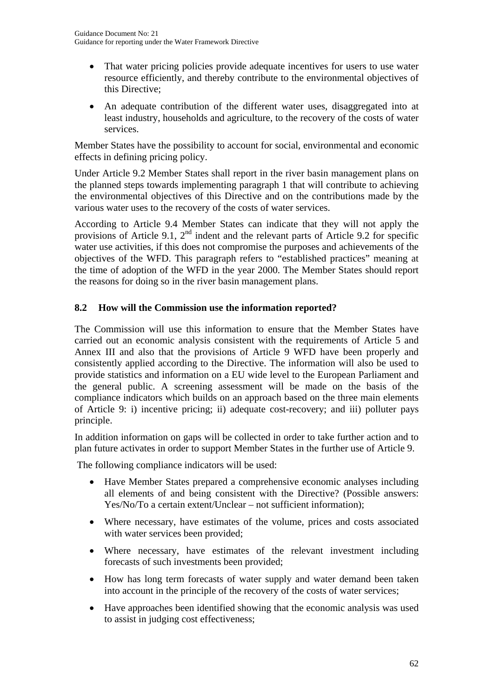- That water pricing policies provide adequate incentives for users to use water resource efficiently, and thereby contribute to the environmental objectives of this Directive;
- An adequate contribution of the different water uses, disaggregated into at least industry, households and agriculture, to the recovery of the costs of water services.

Member States have the possibility to account for social, environmental and economic effects in defining pricing policy.

Under Article 9.2 Member States shall report in the river basin management plans on the planned steps towards implementing paragraph 1 that will contribute to achieving the environmental objectives of this Directive and on the contributions made by the various water uses to the recovery of the costs of water services.

According to Article 9.4 Member States can indicate that they will not apply the provisions of Article 9.1, 2nd indent and the relevant parts of Article 9.2 for specific water use activities, if this does not compromise the purposes and achievements of the objectives of the WFD. This paragraph refers to "established practices" meaning at the time of adoption of the WFD in the year 2000. The Member States should report the reasons for doing so in the river basin management plans.

# **8.2 How will the Commission use the information reported?**

The Commission will use this information to ensure that the Member States have carried out an economic analysis consistent with the requirements of Article 5 and Annex III and also that the provisions of Article 9 WFD have been properly and consistently applied according to the Directive. The information will also be used to provide statistics and information on a EU wide level to the European Parliament and the general public. A screening assessment will be made on the basis of the compliance indicators which builds on an approach based on the three main elements of Article 9: i) incentive pricing; ii) adequate cost-recovery; and iii) polluter pays principle.

In addition information on gaps will be collected in order to take further action and to plan future activates in order to support Member States in the further use of Article 9.

The following compliance indicators will be used:

- Have Member States prepared a comprehensive economic analyses including all elements of and being consistent with the Directive? (Possible answers: Yes/No/To a certain extent/Unclear – not sufficient information);
- Where necessary, have estimates of the volume, prices and costs associated with water services been provided;
- Where necessary, have estimates of the relevant investment including forecasts of such investments been provided;
- How has long term forecasts of water supply and water demand been taken into account in the principle of the recovery of the costs of water services;
- Have approaches been identified showing that the economic analysis was used to assist in judging cost effectiveness;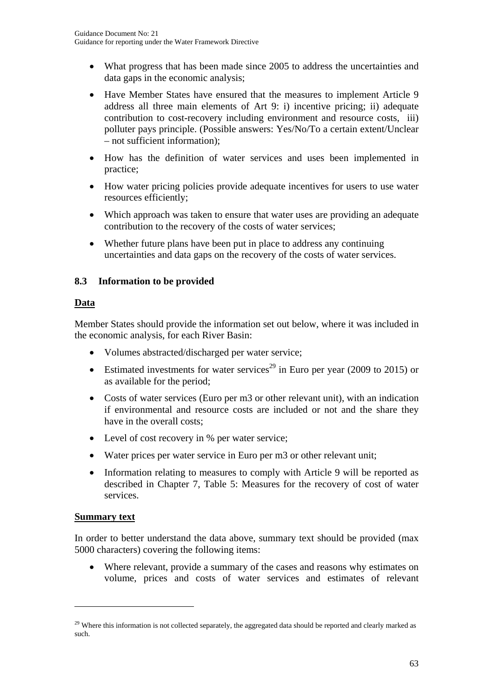- What progress that has been made since 2005 to address the uncertainties and data gaps in the economic analysis;
- Have Member States have ensured that the measures to implement Article 9 address all three main elements of Art 9: i) incentive pricing; ii) adequate contribution to cost-recovery including environment and resource costs, iii) polluter pays principle. (Possible answers: Yes/No/To a certain extent/Unclear – not sufficient information);
- How has the definition of water services and uses been implemented in practice;
- How water pricing policies provide adequate incentives for users to use water resources efficiently;
- Which approach was taken to ensure that water uses are providing an adequate contribution to the recovery of the costs of water services;
- Whether future plans have been put in place to address any continuing uncertainties and data gaps on the recovery of the costs of water services.

## **8.3 Information to be provided**

## **Data**

Member States should provide the information set out below, where it was included in the economic analysis, for each River Basin:

- Volumes abstracted/discharged per water service;
- Estimated investments for water services<sup>29</sup> in Euro per year (2009 to 2015) or as available for the period;
- Costs of water services (Euro per m3 or other relevant unit), with an indication if environmental and resource costs are included or not and the share they have in the overall costs;
- Level of cost recovery in % per water service;
- Water prices per water service in Euro per m3 or other relevant unit;
- Information relating to measures to comply with Article 9 will be reported as described in Chapter 7, Table 5: Measures for the recovery of cost of water services.

#### **Summary text**

 $\overline{a}$ 

In order to better understand the data above, summary text should be provided (max 5000 characters) covering the following items:

• Where relevant, provide a summary of the cases and reasons why estimates on volume, prices and costs of water services and estimates of relevant

<sup>&</sup>lt;sup>29</sup> Where this information is not collected separately, the aggregated data should be reported and clearly marked as such.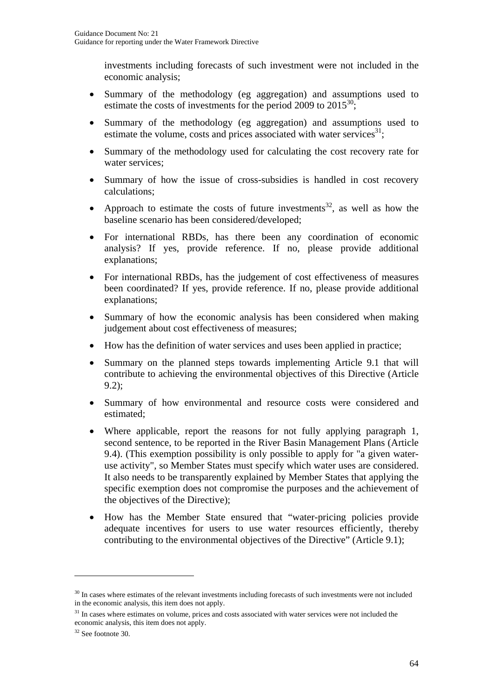investments including forecasts of such investment were not included in the economic analysis;

- Summary of the methodology (eg aggregation) and assumptions used to estimate the costs of investments for the period 2009 to  $2015^{30}$ ;
- Summary of the methodology (eg aggregation) and assumptions used to estimate the volume, costs and prices associated with water services<sup>31</sup>;
- Summary of the methodology used for calculating the cost recovery rate for water services;
- Summary of how the issue of cross-subsidies is handled in cost recovery calculations;
- Approach to estimate the costs of future investments<sup>32</sup>, as well as how the baseline scenario has been considered/developed;
- For international RBDs, has there been any coordination of economic analysis? If yes, provide reference. If no, please provide additional explanations;
- For international RBDs, has the judgement of cost effectiveness of measures been coordinated? If yes, provide reference. If no, please provide additional explanations;
- Summary of how the economic analysis has been considered when making judgement about cost effectiveness of measures;
- How has the definition of water services and uses been applied in practice;
- Summary on the planned steps towards implementing Article 9.1 that will contribute to achieving the environmental objectives of this Directive (Article 9.2);
- Summary of how environmental and resource costs were considered and estimated;
- Where applicable, report the reasons for not fully applying paragraph 1, second sentence, to be reported in the River Basin Management Plans (Article 9.4). (This exemption possibility is only possible to apply for "a given wateruse activity", so Member States must specify which water uses are considered. It also needs to be transparently explained by Member States that applying the specific exemption does not compromise the purposes and the achievement of the objectives of the Directive);
- How has the Member State ensured that "water-pricing policies provide adequate incentives for users to use water resources efficiently, thereby contributing to the environmental objectives of the Directive" (Article 9.1);

<sup>&</sup>lt;sup>30</sup> In cases where estimates of the relevant investments including forecasts of such investments were not included in the economic analysis, this item does not apply.

<sup>&</sup>lt;sup>31</sup> In cases where estimates on volume, prices and costs associated with water services were not included the economic analysis, this item does not apply.

<sup>32</sup> See footnote 30.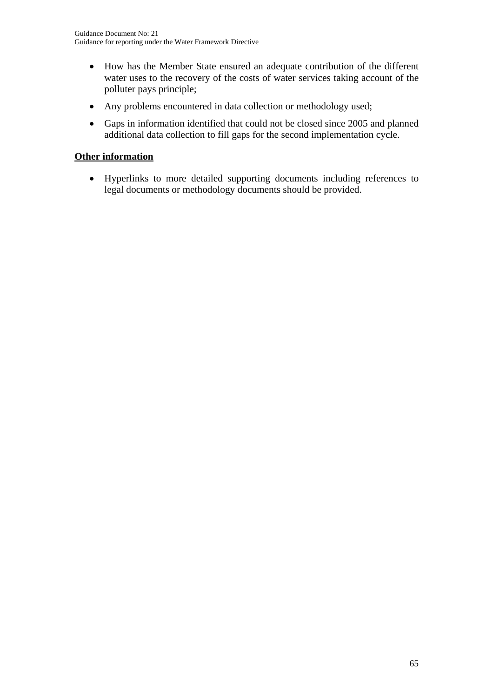- How has the Member State ensured an adequate contribution of the different water uses to the recovery of the costs of water services taking account of the polluter pays principle;
- Any problems encountered in data collection or methodology used;
- Gaps in information identified that could not be closed since 2005 and planned additional data collection to fill gaps for the second implementation cycle.

## **Other information**

• Hyperlinks to more detailed supporting documents including references to legal documents or methodology documents should be provided.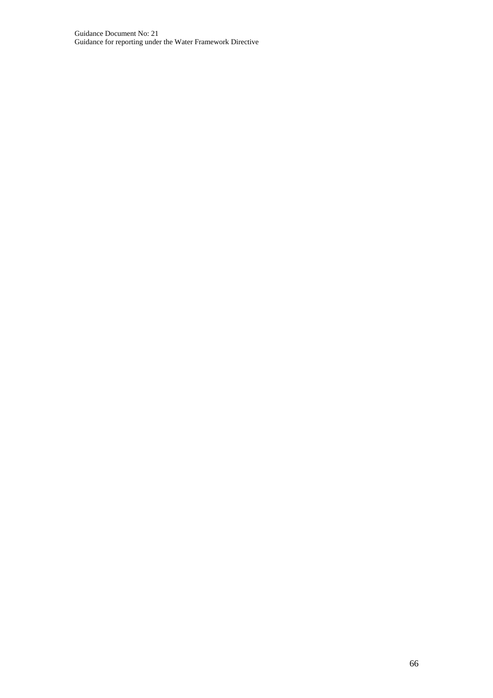Guidance Document No: 21 Guidance for reporting under the Water Framework Directive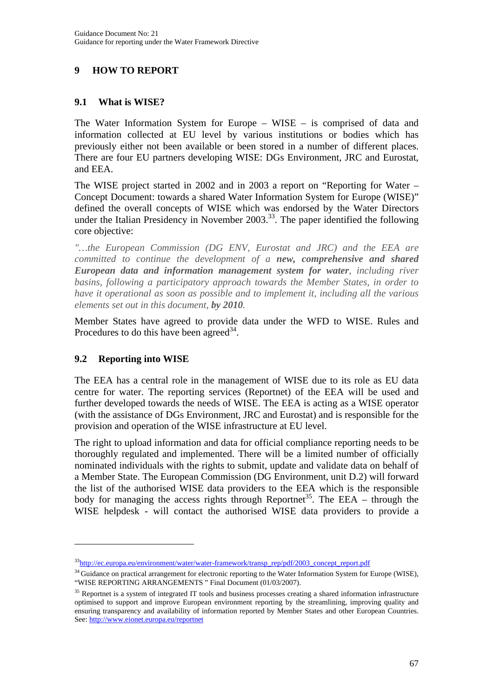# **9 HOW TO REPORT**

## **9.1 What is WISE?**

The Water Information System for Europe – WISE – is comprised of data and information collected at EU level by various institutions or bodies which has previously either not been available or been stored in a number of different places. There are four EU partners developing WISE: DGs Environment, JRC and Eurostat, and EEA.

The WISE project started in 2002 and in 2003 a report on "Reporting for Water – Concept Document: towards a shared Water Information System for Europe (WISE)" defined the overall concepts of WISE which was endorsed by the Water Directors under the Italian Presidency in November  $2003<sup>33</sup>$ . The paper identified the following core objective:

*"…the European Commission (DG ENV, Eurostat and JRC) and the EEA are committed to continue the development of a new, comprehensive and shared European data and information management system for water, including river basins, following a participatory approach towards the Member States, in order to have it operational as soon as possible and to implement it, including all the various elements set out in this document, by 2010.*

Member States have agreed to provide data under the WFD to WISE. Rules and Procedures to do this have been agreed  $34$ .

# **9.2 Reporting into WISE**

 $\overline{a}$ 

The EEA has a central role in the management of WISE due to its role as EU data centre for water. The reporting services (Reportnet) of the EEA will be used and further developed towards the needs of WISE. The EEA is acting as a WISE operator (with the assistance of DGs Environment, JRC and Eurostat) and is responsible for the provision and operation of the WISE infrastructure at EU level.

The right to upload information and data for official compliance reporting needs to be thoroughly regulated and implemented. There will be a limited number of officially nominated individuals with the rights to submit, update and validate data on behalf of a Member State. The European Commission (DG Environment, unit D.2) will forward the list of the authorised WISE data providers to the EEA which is the responsible body for managing the access rights through Reportnet<sup>35</sup>. The EEA – through the WISE helpdesk - will contact the authorised WISE data providers to provide a

<sup>3</sup>[3http://ec.europa.eu/environment/water/water-framework/transp\\_rep/pdf/2003\\_concept\\_report.pdf](http://ec.europa.eu/environment/water/water-framework/transp_rep/pdf/2003_concept_report.pdf)

<sup>&</sup>lt;sup>34</sup> Guidance on practical arrangement for electronic reporting to the Water Information System for Europe (WISE), "WISE REPORTING ARRANGEMENTS " Final Document (01/03/2007).

<sup>&</sup>lt;sup>35</sup> Reportnet is a system of integrated IT tools and business processes creating a shared information infrastructure optimised to support and improve European environment reporting by the streamlining, improving quality and ensuring transparency and availability of information reported by Member States and other European Countries. See[: http://www.eionet.europa.eu/reportnet](http://www.eionet.europa.eu/reportnet)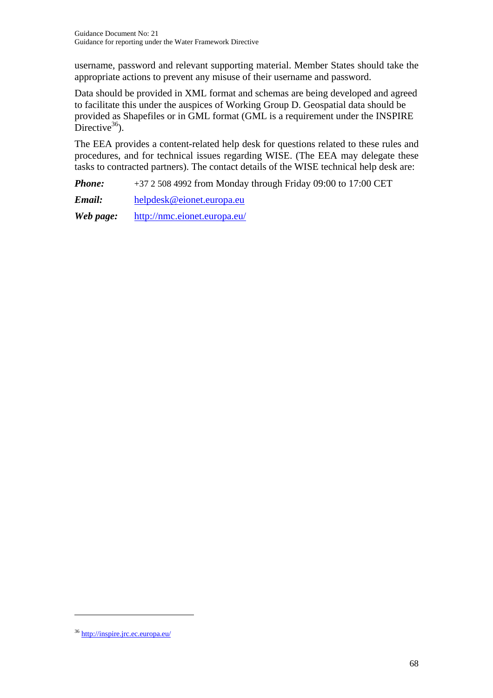username, password and relevant supporting material. Member States should take the appropriate actions to prevent any misuse of their username and password.

Data should be provided in XML format and schemas are being developed and agreed to facilitate this under the auspices of Working Group D. Geospatial data should be provided as Shapefiles or in GML format (GML is a requirement under the INSPIRE Directive $36$ ).

The EEA provides a content-related help desk for questions related to these rules and procedures, and for technical issues regarding WISE. (The EEA may delegate these tasks to contracted partners). The contact details of the WISE technical help desk are:

*Phone:* +37 2 508 4992 from Monday through Friday 09:00 to 17:00 CET

*Email:* [helpdesk@eionet.europa.eu](mailto:helpdesk@eionet.europa.eu)

*Web page:* <http://nmc.eionet.europa.eu/>

<sup>36</sup> <http://inspire.jrc.ec.europa.eu/>